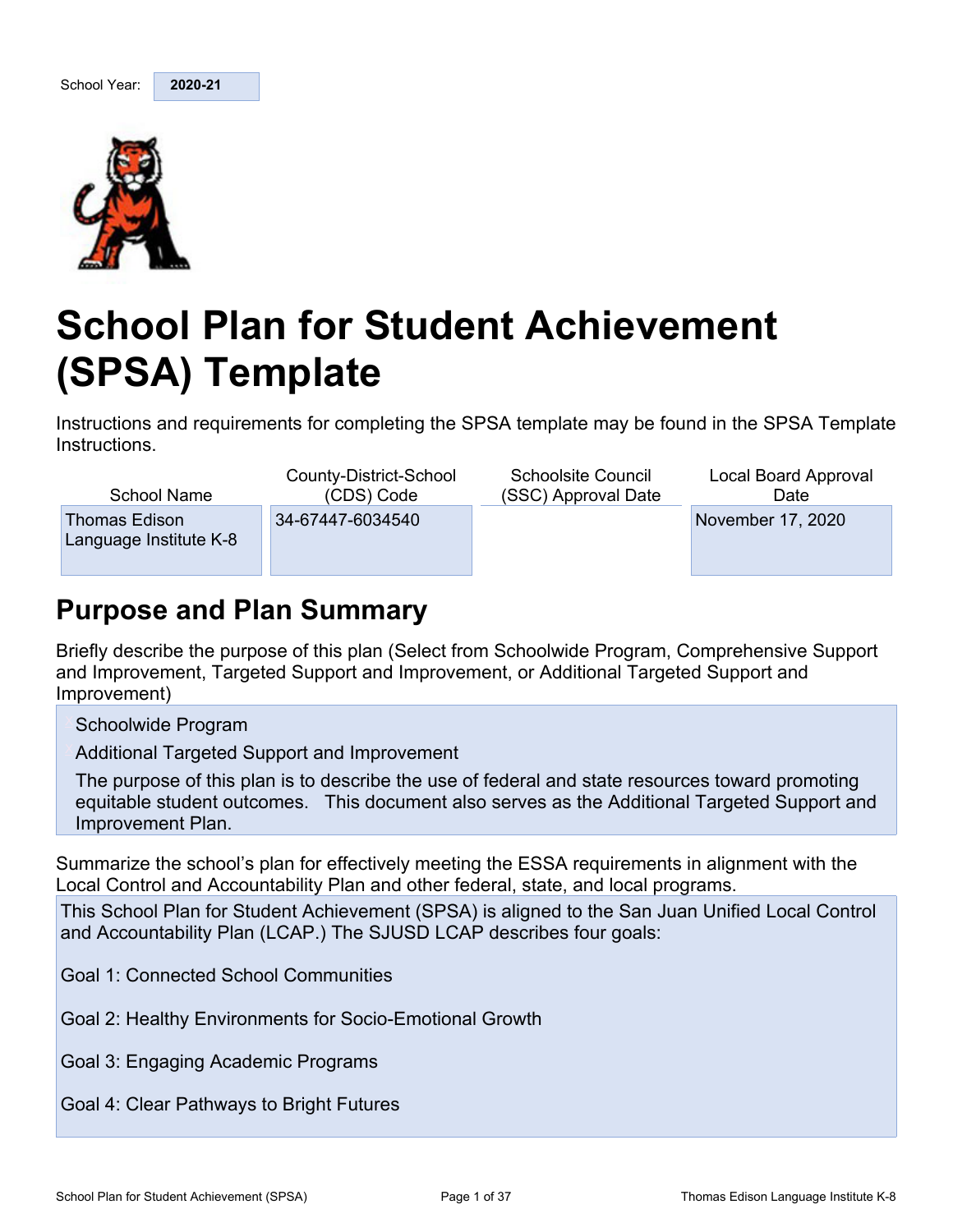

# **School Plan for Student Achievement (SPSA) Template**

Instructions and requirements for completing the SPSA template may be found in the SPSA Template Instructions.

School Name Thomas Edison Language Institute K-8

County-District-School (CDS) Code 34-67447-6034540

Schoolsite Council (SSC) Approval Date

Local Board Approval Date November 17, 2020

# **Purpose and Plan Summary**

Briefly describe the purpose of this plan (Select from Schoolwide Program, Comprehensive Support and Improvement, Targeted Support and Improvement, or Additional Targeted Support and Improvement)

Schoolwide Program

Additional Targeted Support and Improvement

The purpose of this plan is to describe the use of federal and state resources toward promoting equitable student outcomes. This document also serves as the Additional Targeted Support and Improvement Plan.

Summarize the school's plan for effectively meeting the ESSA requirements in alignment with the Local Control and Accountability Plan and other federal, state, and local programs.

This School Plan for Student Achievement (SPSA) is aligned to the San Juan Unified Local Control and Accountability Plan (LCAP.) The SJUSD LCAP describes four goals:

Goal 1: Connected School Communities

Goal 2: Healthy Environments for Socio-Emotional Growth

Goal 3: Engaging Academic Programs

Goal 4: Clear Pathways to Bright Futures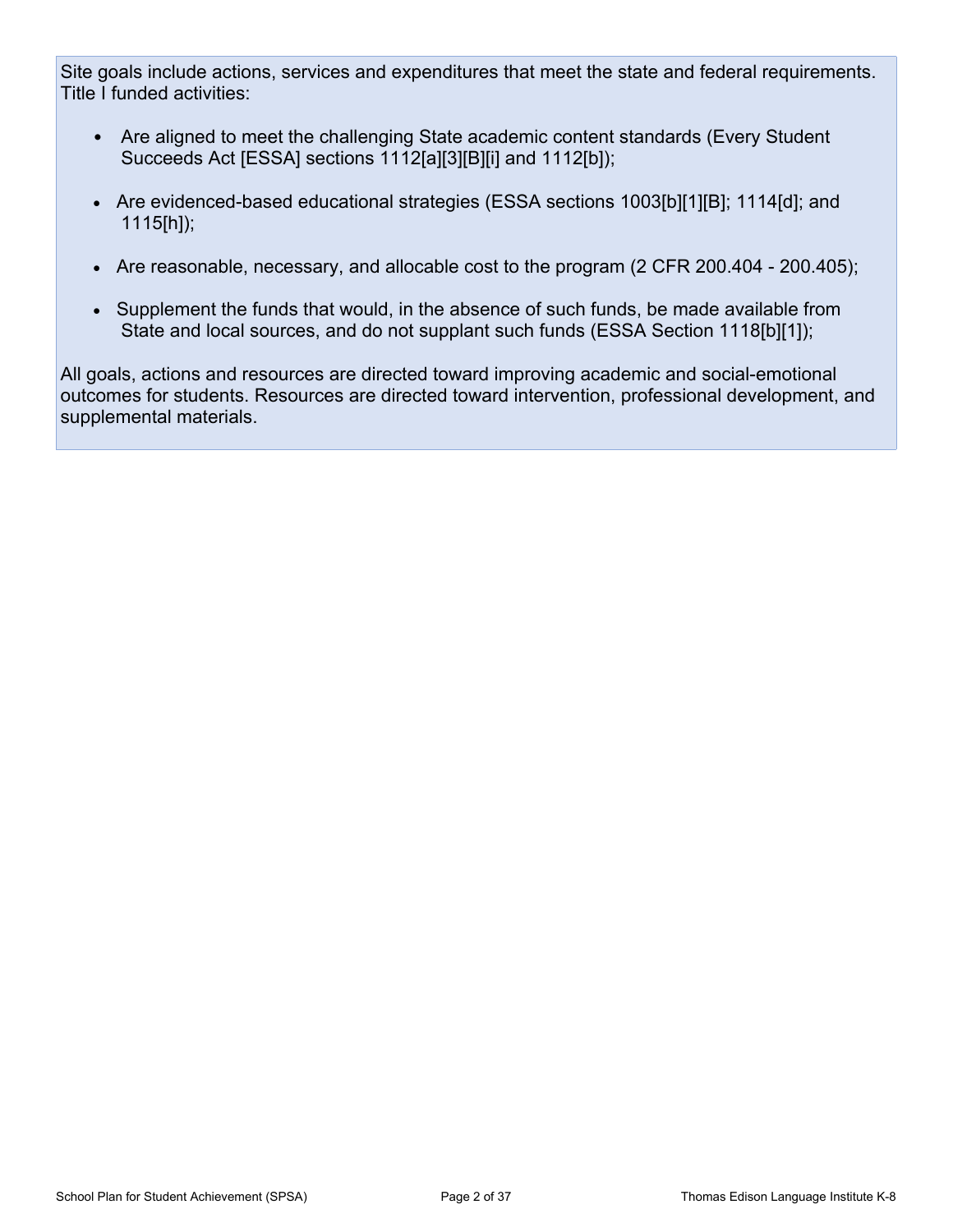Site goals include actions, services and expenditures that meet the state and federal requirements. Title I funded activities:

- Are aligned to meet the challenging State academic content standards (Every Student Succeeds Act [ESSA] sections 1112[a][3][B][i] and 1112[b]);
- Are evidenced-based educational strategies (ESSA sections 1003[b][1][B]; 1114[d]; and 1115[h]);
- Are reasonable, necessary, and allocable cost to the program (2 CFR 200.404 200.405);
- Supplement the funds that would, in the absence of such funds, be made available from State and local sources, and do not supplant such funds (ESSA Section 1118[b][1]);

All goals, actions and resources are directed toward improving academic and social-emotional outcomes for students. Resources are directed toward intervention, professional development, and supplemental materials.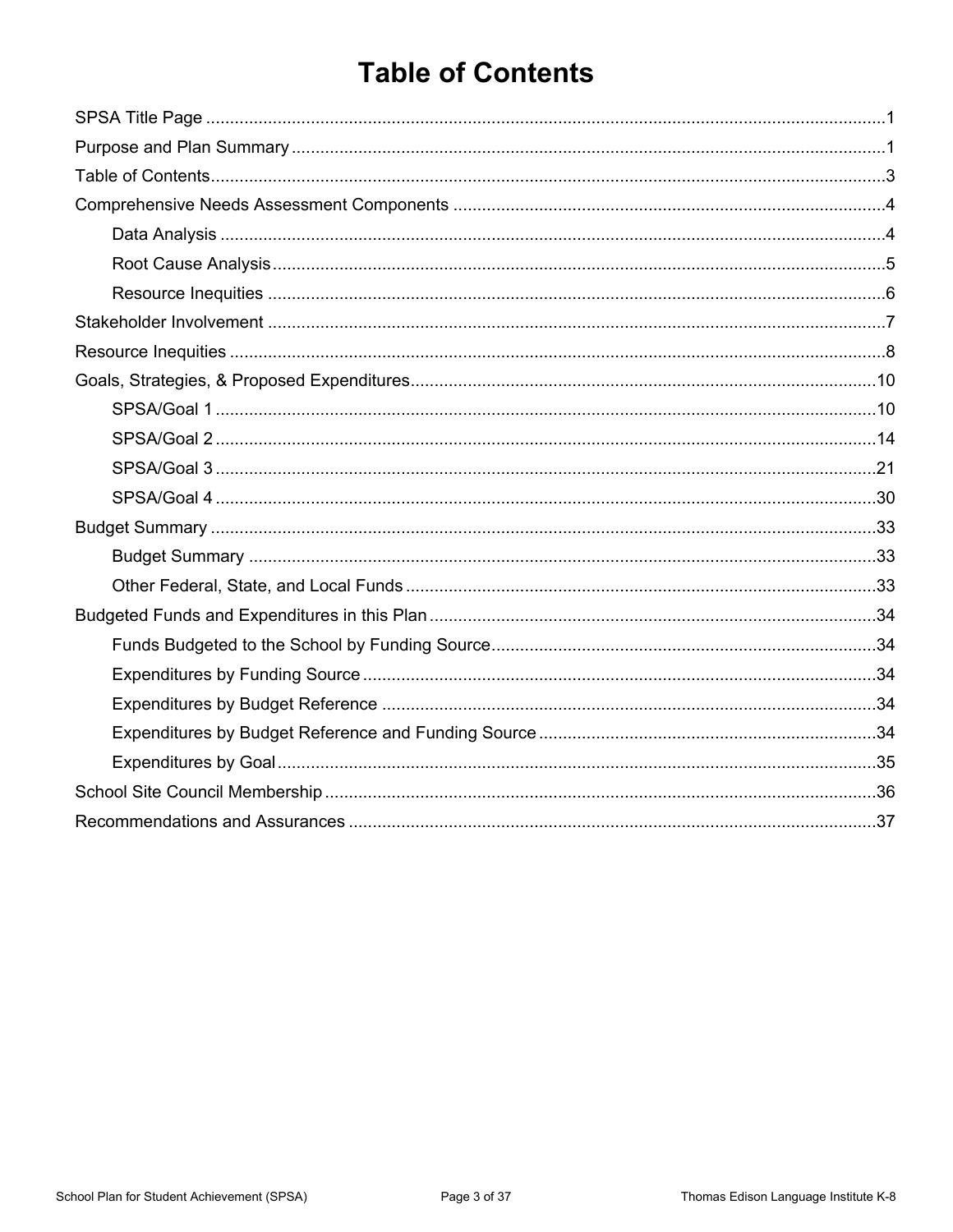# **Table of Contents**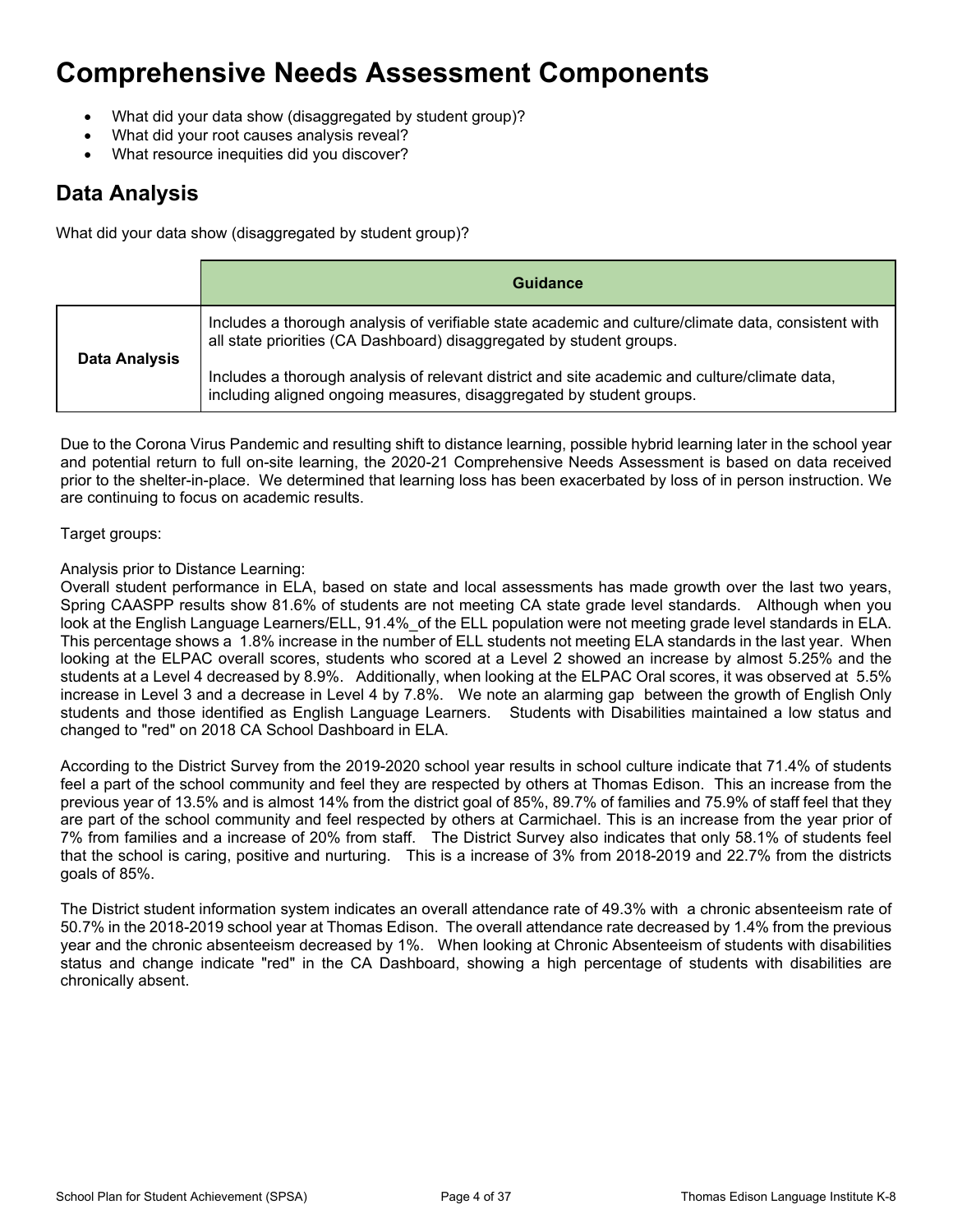# **Comprehensive Needs Assessment Components**

- What did your data show (disaggregated by student group)?
- What did your root causes analysis reveal?
- What resource inequities did you discover?

### **Data Analysis**

What did your data show (disaggregated by student group)?

|                      | Guidance                                                                                                                                                                    |
|----------------------|-----------------------------------------------------------------------------------------------------------------------------------------------------------------------------|
|                      | Includes a thorough analysis of verifiable state academic and culture/climate data, consistent with<br>all state priorities (CA Dashboard) disaggregated by student groups. |
| <b>Data Analysis</b> | Includes a thorough analysis of relevant district and site academic and culture/climate data,<br>including aligned ongoing measures, disaggregated by student groups.       |

Due to the Corona Virus Pandemic and resulting shift to distance learning, possible hybrid learning later in the school year and potential return to full on-site learning, the 2020-21 Comprehensive Needs Assessment is based on data received prior to the shelter-in-place. We determined that learning loss has been exacerbated by loss of in person instruction. We are continuing to focus on academic results.

#### Target groups:

Analysis prior to Distance Learning:

Overall student performance in ELA, based on state and local assessments has made growth over the last two years, Spring CAASPP results show 81.6% of students are not meeting CA state grade level standards. Although when you look at the English Language Learners/ELL, 91.4% of the ELL population were not meeting grade level standards in ELA. This percentage shows a 1.8% increase in the number of ELL students not meeting ELA standards in the last year. When looking at the ELPAC overall scores, students who scored at a Level 2 showed an increase by almost 5.25% and the students at a Level 4 decreased by 8.9%. Additionally, when looking at the ELPAC Oral scores, it was observed at 5.5% increase in Level 3 and a decrease in Level 4 by 7.8%. We note an alarming gap between the growth of English Only students and those identified as English Language Learners. Students with Disabilities maintained a low status and changed to "red" on 2018 CA School Dashboard in ELA.

According to the District Survey from the 2019-2020 school year results in school culture indicate that 71.4% of students feel a part of the school community and feel they are respected by others at Thomas Edison. This an increase from the previous year of 13.5% and is almost 14% from the district goal of 85%, 89.7% of families and 75.9% of staff feel that they are part of the school community and feel respected by others at Carmichael. This is an increase from the year prior of 7% from families and a increase of 20% from staff. The District Survey also indicates that only 58.1% of students feel that the school is caring, positive and nurturing. This is a increase of 3% from 2018-2019 and 22.7% from the districts goals of 85%.

The District student information system indicates an overall attendance rate of 49.3% with a chronic absenteeism rate of 50.7% in the 2018-2019 school year at Thomas Edison. The overall attendance rate decreased by 1.4% from the previous year and the chronic absenteeism decreased by 1%. When looking at Chronic Absenteeism of students with disabilities status and change indicate "red" in the CA Dashboard, showing a high percentage of students with disabilities are chronically absent.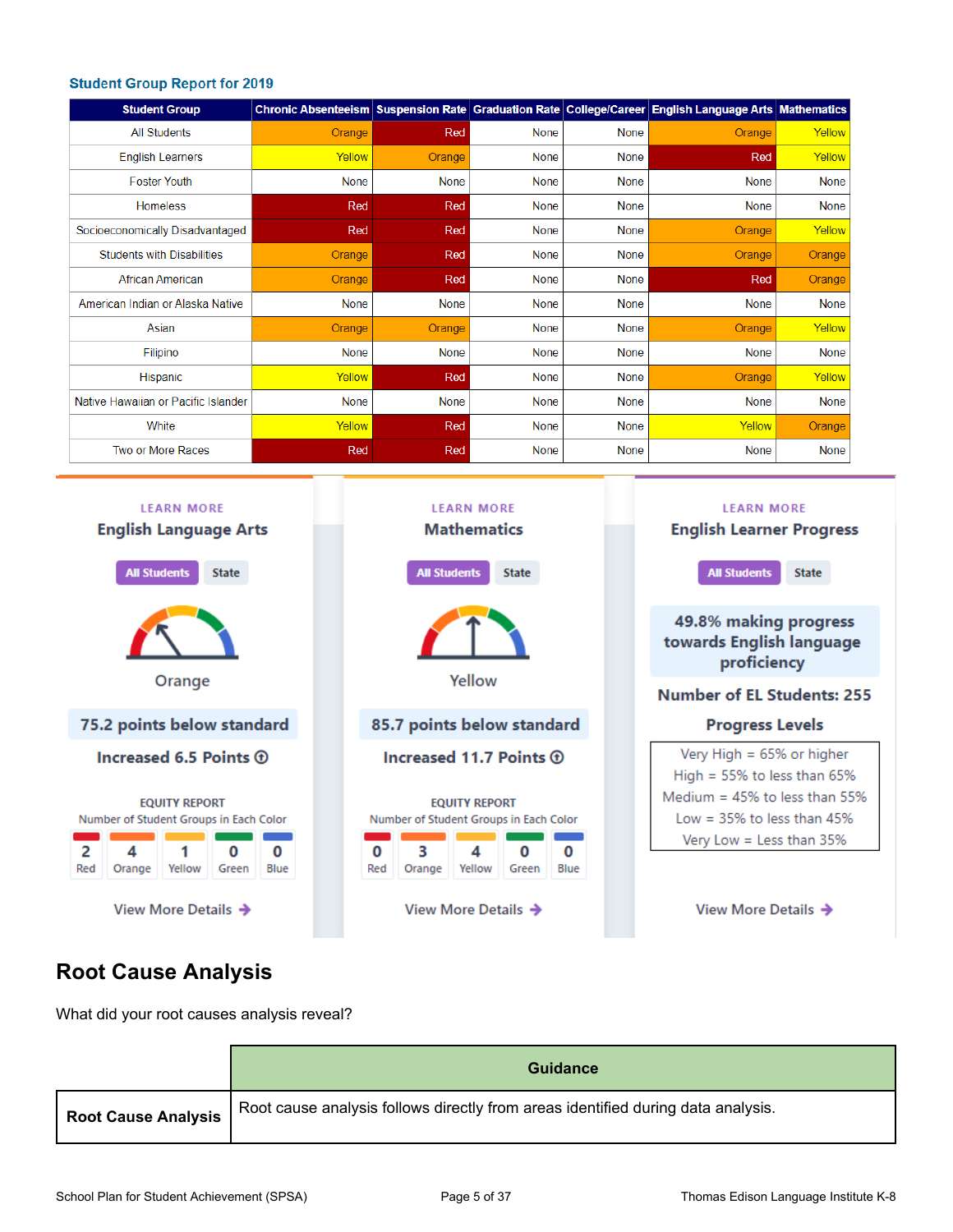#### **Student Group Report for 2019**

| <b>Student Group</b>                |             |             |             |             | Chronic Absenteeism Suspension Rate Graduation Rate College/Career English Language Arts Mathematics |             |
|-------------------------------------|-------------|-------------|-------------|-------------|------------------------------------------------------------------------------------------------------|-------------|
| <b>All Students</b>                 | Orange      | Red         | <b>None</b> | <b>None</b> | Orange                                                                                               | Yellow      |
| <b>English Learners</b>             | Yellow      | Orange      | <b>None</b> | <b>None</b> | Red                                                                                                  | Yellow      |
| <b>Foster Youth</b>                 | <b>None</b> | None        | <b>None</b> | <b>None</b> | None                                                                                                 | None        |
| <b>Homeless</b>                     | Red         | Red         | None        | <b>None</b> | <b>None</b>                                                                                          | None        |
| Socioeconomically Disadvantaged     | Red         | Red         | <b>None</b> | <b>None</b> | Orange                                                                                               | Yellow      |
| <b>Students with Disabilities</b>   | Orange      | Red         | <b>None</b> | <b>None</b> | Orange                                                                                               | Orange      |
| <b>African American</b>             | Orange      | Red         | <b>None</b> | <b>None</b> | Red                                                                                                  | Orange      |
| American Indian or Alaska Native    | <b>None</b> | <b>None</b> | <b>None</b> | <b>None</b> | <b>None</b>                                                                                          | <b>None</b> |
| Asian                               | Orange      | Orange      | None        | None        | Orange                                                                                               | Yellow      |
| Filipino                            | None        | None        | <b>None</b> | None        | <b>None</b>                                                                                          | <b>None</b> |
| Hispanic                            | Yellow      | Red         | None        | None        | Orange                                                                                               | Yellow      |
| Native Hawaiian or Pacific Islander | None        | None        | None        | None        | <b>None</b>                                                                                          | None        |
| White                               | Yellow      | Red         | None        | <b>None</b> | Yellow                                                                                               | Orange      |
| Two or More Races                   | Red         | Red         | <b>None</b> | None        | <b>None</b>                                                                                          | None        |



### **Root Cause Analysis**

What did your root causes analysis reveal?

|                            | <b>Guidance</b>                                                                  |
|----------------------------|----------------------------------------------------------------------------------|
| <b>Root Cause Analysis</b> | Root cause analysis follows directly from areas identified during data analysis. |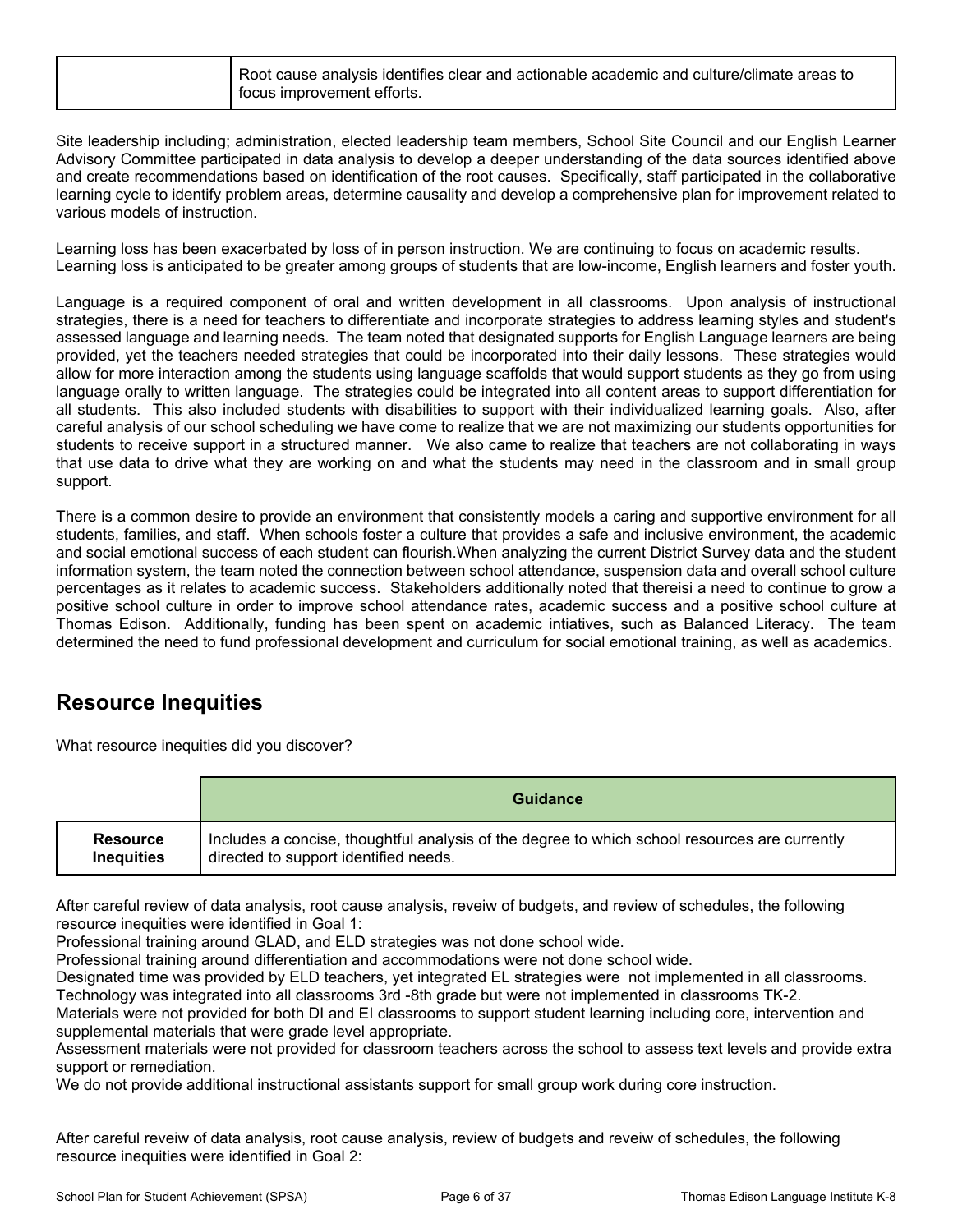Site leadership including; administration, elected leadership team members, School Site Council and our English Learner Advisory Committee participated in data analysis to develop a deeper understanding of the data sources identified above and create recommendations based on identification of the root causes. Specifically, staff participated in the collaborative learning cycle to identify problem areas, determine causality and develop a comprehensive plan for improvement related to various models of instruction.

Learning loss has been exacerbated by loss of in person instruction. We are continuing to focus on academic results. Learning loss is anticipated to be greater among groups of students that are low-income, English learners and foster youth.

Language is a required component of oral and written development in all classrooms. Upon analysis of instructional strategies, there is a need for teachers to differentiate and incorporate strategies to address learning styles and student's assessed language and learning needs. The team noted that designated supports for English Language learners are being provided, yet the teachers needed strategies that could be incorporated into their daily lessons. These strategies would allow for more interaction among the students using language scaffolds that would support students as they go from using language orally to written language. The strategies could be integrated into all content areas to support differentiation for all students. This also included students with disabilities to support with their individualized learning goals. Also, after careful analysis of our school scheduling we have come to realize that we are not maximizing our students opportunities for students to receive support in a structured manner. We also came to realize that teachers are not collaborating in ways that use data to drive what they are working on and what the students may need in the classroom and in small group support.

There is a common desire to provide an environment that consistently models a caring and supportive environment for all students, families, and staff. When schools foster a culture that provides a safe and inclusive environment, the academic and social emotional success of each student can flourish.When analyzing the current District Survey data and the student information system, the team noted the connection between school attendance, suspension data and overall school culture percentages as it relates to academic success. Stakeholders additionally noted that thereisi a need to continue to grow a positive school culture in order to improve school attendance rates, academic success and a positive school culture at Thomas Edison. Additionally, funding has been spent on academic intiatives, such as Balanced Literacy. The team determined the need to fund professional development and curriculum for social emotional training, as well as academics.

### **Resource Inequities**

What resource inequities did you discover?

|                   | <b>Guidance</b>                                                                               |
|-------------------|-----------------------------------------------------------------------------------------------|
| <b>Resource</b>   | Includes a concise, thoughtful analysis of the degree to which school resources are currently |
| <b>Inequities</b> | directed to support identified needs.                                                         |

After careful review of data analysis, root cause analysis, reveiw of budgets, and review of schedules, the following resource inequities were identified in Goal 1:

Professional training around GLAD, and ELD strategies was not done school wide.

Professional training around differentiation and accommodations were not done school wide.

Designated time was provided by ELD teachers, yet integrated EL strategies were not implemented in all classrooms. Technology was integrated into all classrooms 3rd -8th grade but were not implemented in classrooms TK-2.

Materials were not provided for both DI and EI classrooms to support student learning including core, intervention and supplemental materials that were grade level appropriate.

Assessment materials were not provided for classroom teachers across the school to assess text levels and provide extra support or remediation.

We do not provide additional instructional assistants support for small group work during core instruction.

After careful reveiw of data analysis, root cause analysis, review of budgets and reveiw of schedules, the following resource inequities were identified in Goal 2: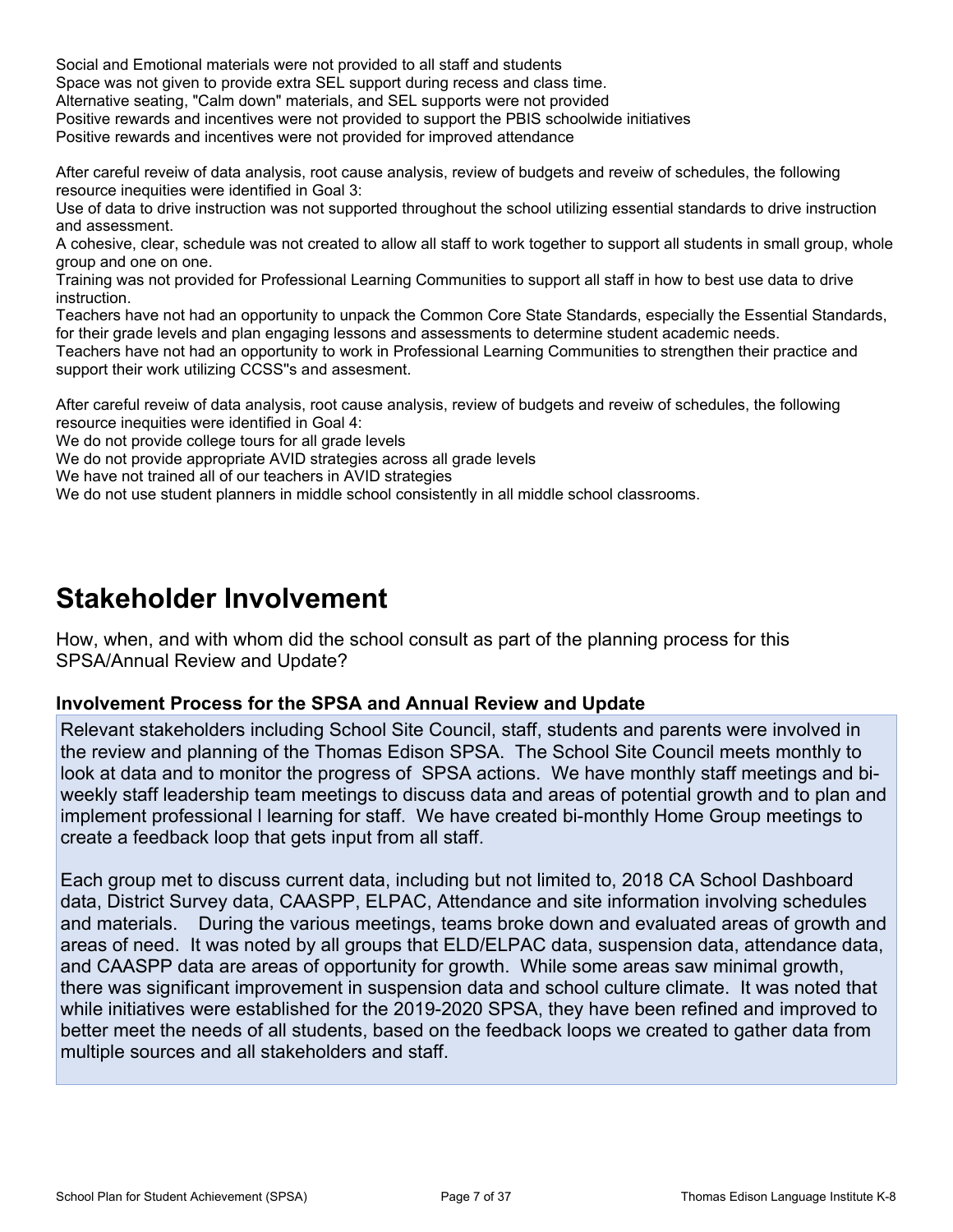Social and Emotional materials were not provided to all staff and students Space was not given to provide extra SEL support during recess and class time. Alternative seating, "Calm down" materials, and SEL supports were not provided Positive rewards and incentives were not provided to support the PBIS schoolwide initiatives Positive rewards and incentives were not provided for improved attendance

After careful reveiw of data analysis, root cause analysis, review of budgets and reveiw of schedules, the following resource inequities were identified in Goal 3:

Use of data to drive instruction was not supported throughout the school utilizing essential standards to drive instruction and assessment.

A cohesive, clear, schedule was not created to allow all staff to work together to support all students in small group, whole group and one on one.

Training was not provided for Professional Learning Communities to support all staff in how to best use data to drive instruction.

Teachers have not had an opportunity to unpack the Common Core State Standards, especially the Essential Standards, for their grade levels and plan engaging lessons and assessments to determine student academic needs.

Teachers have not had an opportunity to work in Professional Learning Communities to strengthen their practice and support their work utilizing CCSS''s and assesment.

After careful reveiw of data analysis, root cause analysis, review of budgets and reveiw of schedules, the following resource inequities were identified in Goal 4:

We do not provide college tours for all grade levels

We do not provide appropriate AVID strategies across all grade levels

We have not trained all of our teachers in AVID strategies

We do not use student planners in middle school consistently in all middle school classrooms.

## **Stakeholder Involvement**

How, when, and with whom did the school consult as part of the planning process for this SPSA/Annual Review and Update?

#### **Involvement Process for the SPSA and Annual Review and Update**

Relevant stakeholders including School Site Council, staff, students and parents were involved in the review and planning of the Thomas Edison SPSA. The School Site Council meets monthly to look at data and to monitor the progress of SPSA actions. We have monthly staff meetings and biweekly staff leadership team meetings to discuss data and areas of potential growth and to plan and implement professional l learning for staff. We have created bi-monthly Home Group meetings to create a feedback loop that gets input from all staff.

Each group met to discuss current data, including but not limited to, 2018 CA School Dashboard data, District Survey data, CAASPP, ELPAC, Attendance and site information involving schedules and materials. During the various meetings, teams broke down and evaluated areas of growth and areas of need. It was noted by all groups that ELD/ELPAC data, suspension data, attendance data, and CAASPP data are areas of opportunity for growth. While some areas saw minimal growth, there was significant improvement in suspension data and school culture climate. It was noted that while initiatives were established for the 2019-2020 SPSA, they have been refined and improved to better meet the needs of all students, based on the feedback loops we created to gather data from multiple sources and all stakeholders and staff.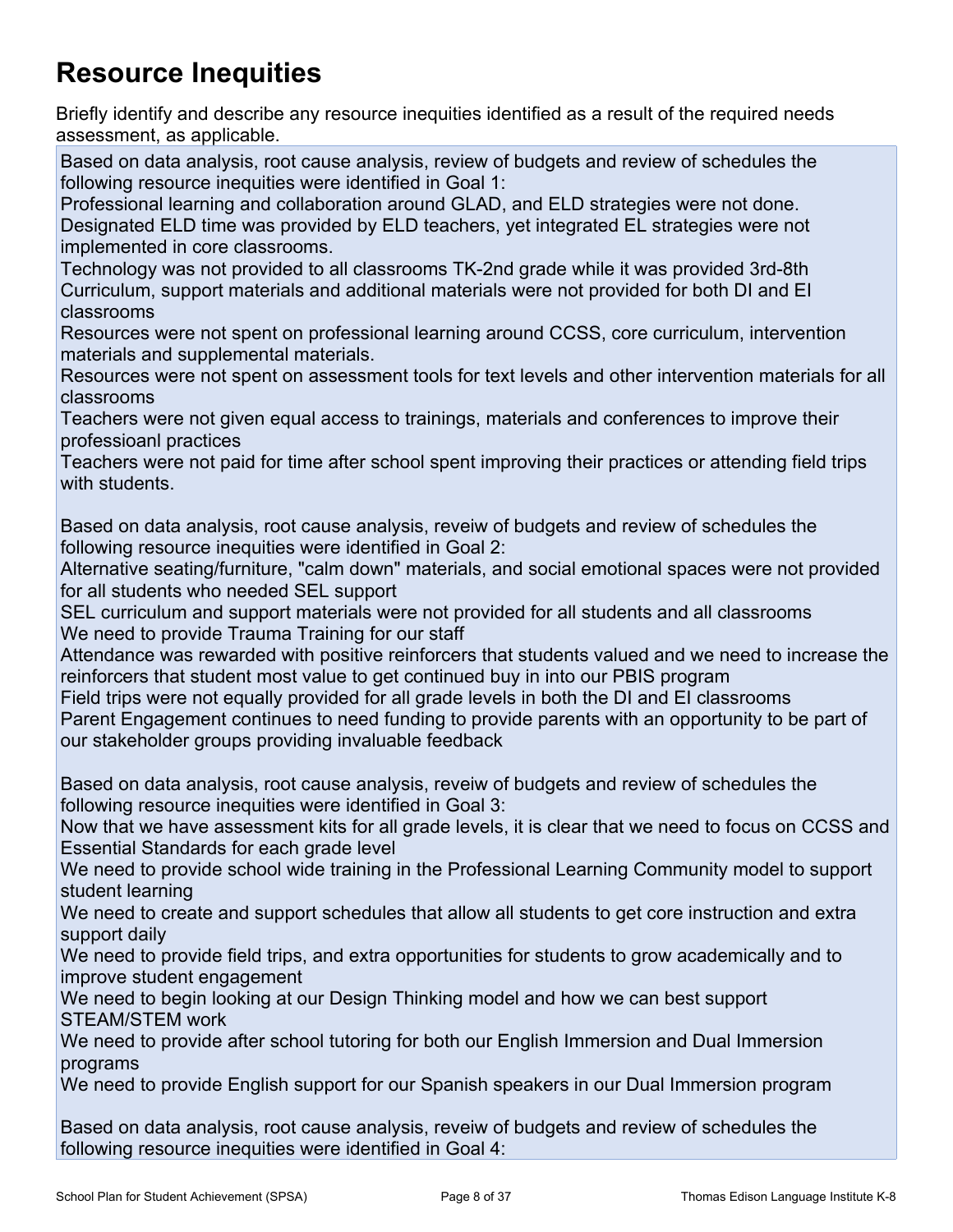# **Resource Inequities**

Briefly identify and describe any resource inequities identified as a result of the required needs assessment, as applicable.

Based on data analysis, root cause analysis, review of budgets and review of schedules the following resource inequities were identified in Goal 1:

Professional learning and collaboration around GLAD, and ELD strategies were not done. Designated ELD time was provided by ELD teachers, yet integrated EL strategies were not implemented in core classrooms.

Technology was not provided to all classrooms TK-2nd grade while it was provided 3rd-8th Curriculum, support materials and additional materials were not provided for both DI and EI classrooms

Resources were not spent on professional learning around CCSS, core curriculum, intervention materials and supplemental materials.

Resources were not spent on assessment tools for text levels and other intervention materials for all classrooms

Teachers were not given equal access to trainings, materials and conferences to improve their professioanl practices

Teachers were not paid for time after school spent improving their practices or attending field trips with students.

Based on data analysis, root cause analysis, reveiw of budgets and review of schedules the following resource inequities were identified in Goal 2:

Alternative seating/furniture, "calm down" materials, and social emotional spaces were not provided for all students who needed SEL support

SEL curriculum and support materials were not provided for all students and all classrooms We need to provide Trauma Training for our staff

Attendance was rewarded with positive reinforcers that students valued and we need to increase the reinforcers that student most value to get continued buy in into our PBIS program

Field trips were not equally provided for all grade levels in both the DI and EI classrooms Parent Engagement continues to need funding to provide parents with an opportunity to be part of our stakeholder groups providing invaluable feedback

Based on data analysis, root cause analysis, reveiw of budgets and review of schedules the following resource inequities were identified in Goal 3:

Now that we have assessment kits for all grade levels, it is clear that we need to focus on CCSS and Essential Standards for each grade level

We need to provide school wide training in the Professional Learning Community model to support student learning

We need to create and support schedules that allow all students to get core instruction and extra support daily

We need to provide field trips, and extra opportunities for students to grow academically and to improve student engagement

We need to begin looking at our Design Thinking model and how we can best support STEAM/STEM work

We need to provide after school tutoring for both our English Immersion and Dual Immersion programs

We need to provide English support for our Spanish speakers in our Dual Immersion program

Based on data analysis, root cause analysis, reveiw of budgets and review of schedules the following resource inequities were identified in Goal 4: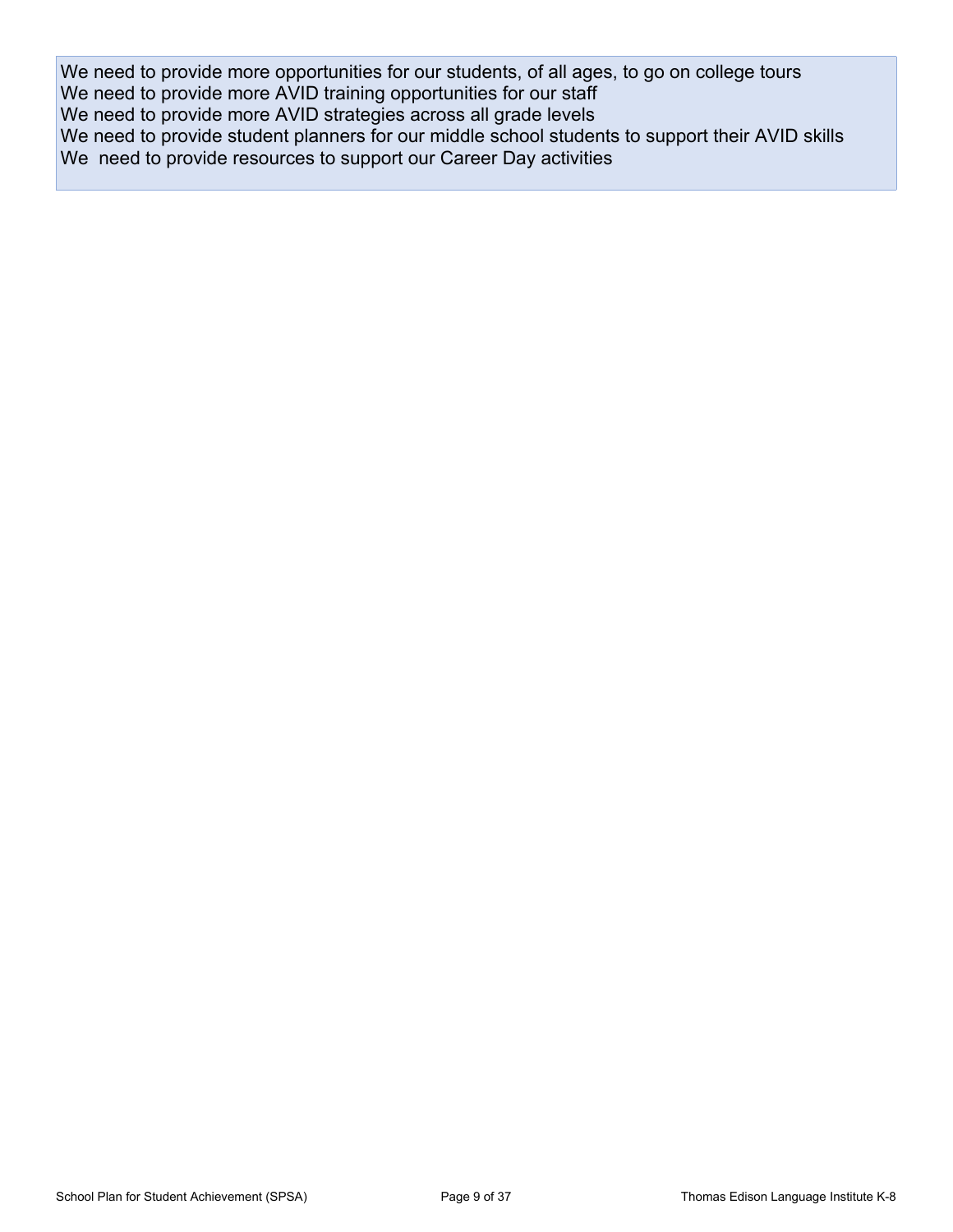We need to provide more opportunities for our students, of all ages, to go on college tours We need to provide more AVID training opportunities for our staff We need to provide more AVID strategies across all grade levels We need to provide student planners for our middle school students to support their AVID skills We need to provide resources to support our Career Day activities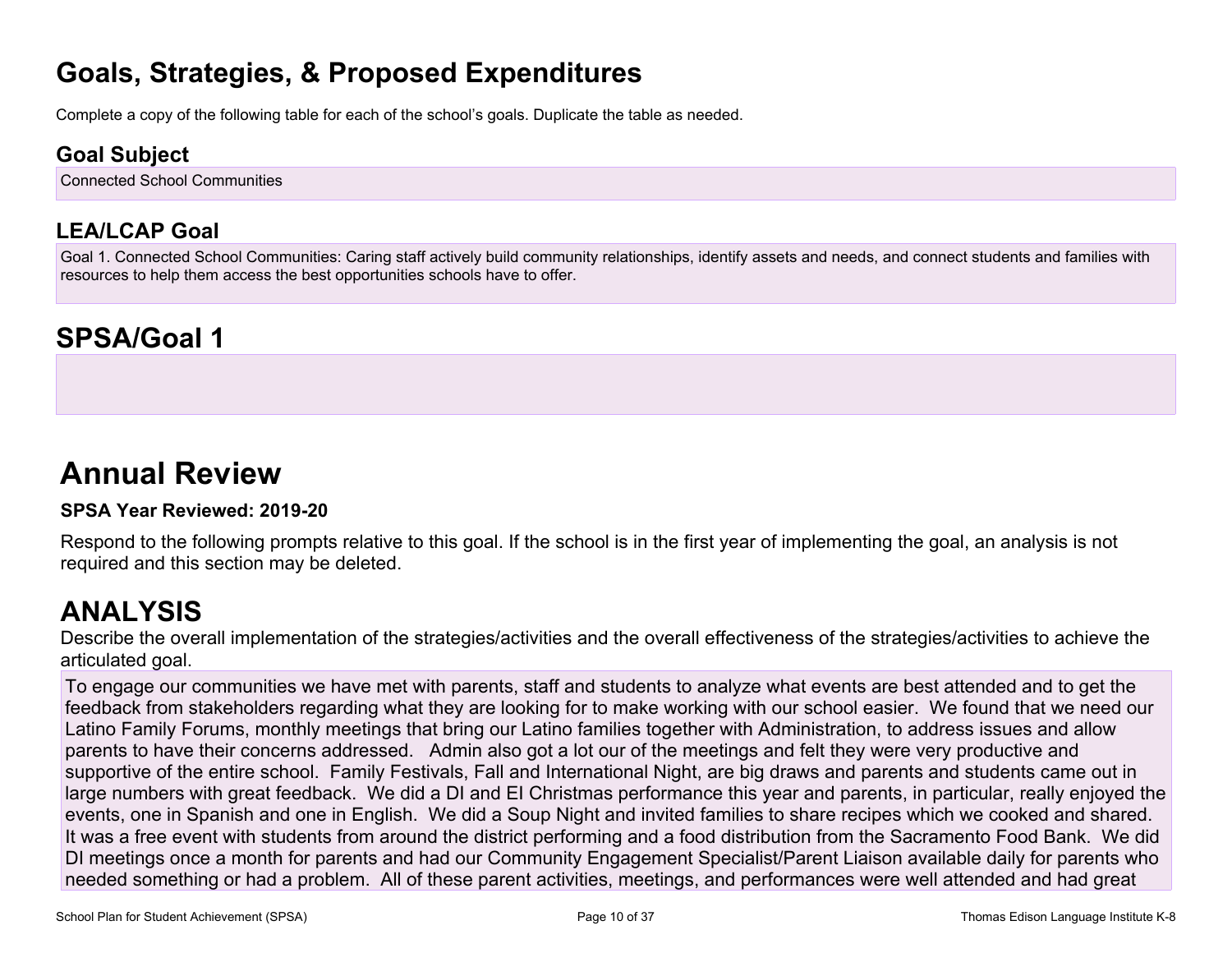# **Goals, Strategies, & Proposed Expenditures**

Complete a copy of the following table for each of the school's goals. Duplicate the table as needed.

### **Goal Subject**

Connected School Communities

### **LEA/LCAP Goal**

Goal 1. Connected School Communities: Caring staff actively build community relationships, identify assets and needs, and connect students and families with resources to help them access the best opportunities schools have to offer.

# **SPSA/Goal 1**

# **Annual Review**

#### **SPSA Year Reviewed: 2019-20**

Respond to the following prompts relative to this goal. If the school is in the first year of implementing the goal, an analysis is not required and this section may be deleted.

# **ANALYSIS**

Describe the overall implementation of the strategies/activities and the overall effectiveness of the strategies/activities to achieve the articulated goal.

To engage our communities we have met with parents, staff and students to analyze what events are best attended and to get the feedback from stakeholders regarding what they are looking for to make working with our school easier. We found that we need our Latino Family Forums, monthly meetings that bring our Latino families together with Administration, to address issues and allow parents to have their concerns addressed. Admin also got a lot our of the meetings and felt they were very productive and supportive of the entire school. Family Festivals, Fall and International Night, are big draws and parents and students came out in large numbers with great feedback. We did a DI and EI Christmas performance this year and parents, in particular, really enjoyed the events, one in Spanish and one in English. We did a Soup Night and invited families to share recipes which we cooked and shared. It was a free event with students from around the district performing and a food distribution from the Sacramento Food Bank. We did DI meetings once a month for parents and had our Community Engagement Specialist/Parent Liaison available daily for parents who needed something or had a problem. All of these parent activities, meetings, and performances were well attended and had great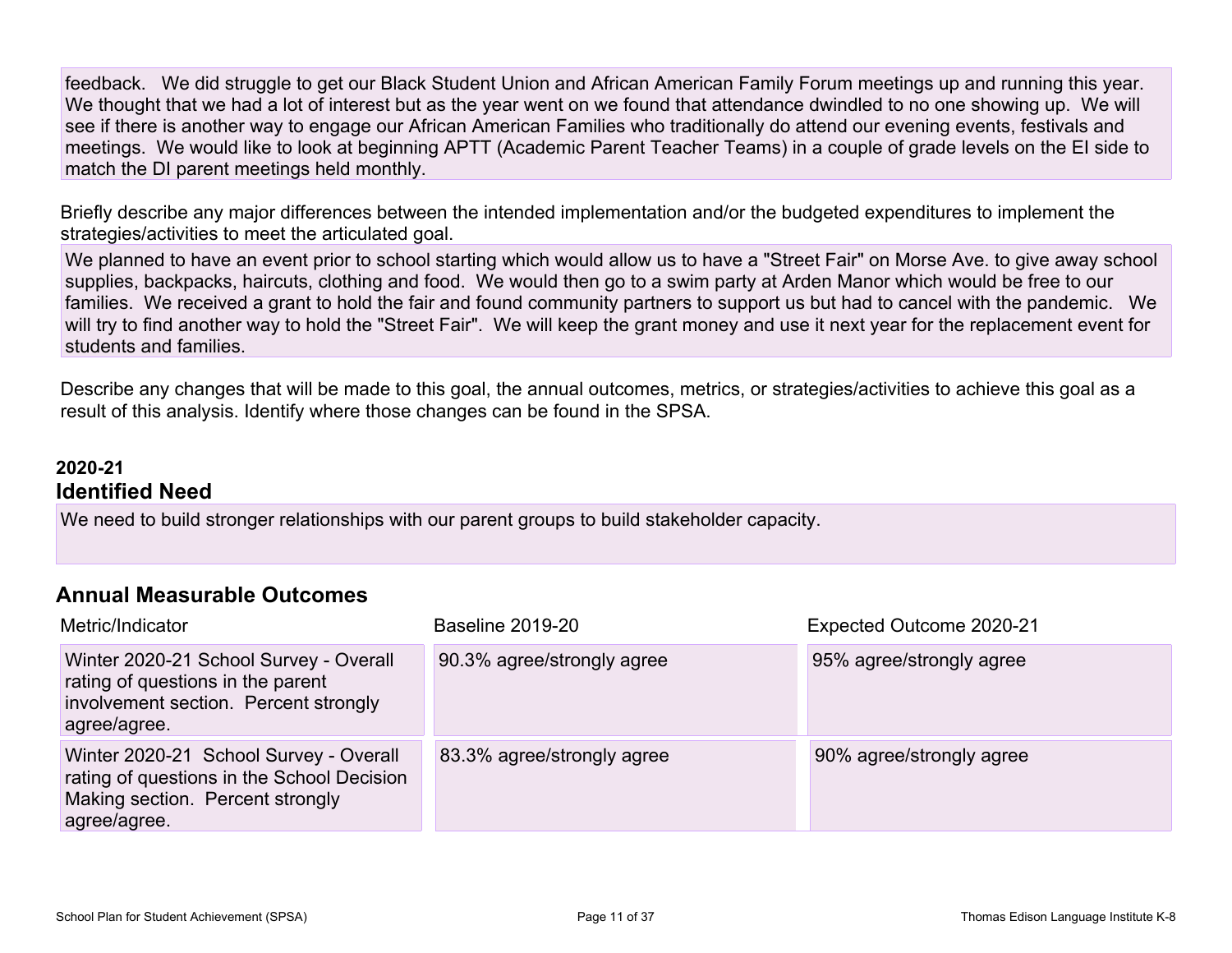feedback. We did struggle to get our Black Student Union and African American Family Forum meetings up and running this year. We thought that we had a lot of interest but as the year went on we found that attendance dwindled to no one showing up. We will see if there is another way to engage our African American Families who traditionally do attend our evening events, festivals and meetings. We would like to look at beginning APTT (Academic Parent Teacher Teams) in a couple of grade levels on the EI side to match the DI parent meetings held monthly.

Briefly describe any major differences between the intended implementation and/or the budgeted expenditures to implement the strategies/activities to meet the articulated goal.

We planned to have an event prior to school starting which would allow us to have a "Street Fair" on Morse Ave. to give away school supplies, backpacks, haircuts, clothing and food. We would then go to a swim party at Arden Manor which would be free to our families. We received a grant to hold the fair and found community partners to support us but had to cancel with the pandemic. We will try to find another way to hold the "Street Fair". We will keep the grant money and use it next year for the replacement event for students and families.

Describe any changes that will be made to this goal, the annual outcomes, metrics, or strategies/activities to achieve this goal as a result of this analysis. Identify where those changes can be found in the SPSA.

#### **2020-21 Identified Need**

We need to build stronger relationships with our parent groups to build stakeholder capacity.

#### **Annual Measurable Outcomes**

| Metric/Indicator                                                                                                                         | <b>Baseline 2019-20</b>    | Expected Outcome 2020-21 |
|------------------------------------------------------------------------------------------------------------------------------------------|----------------------------|--------------------------|
| Winter 2020-21 School Survey - Overall<br>rating of questions in the parent<br>involvement section. Percent strongly<br>agree/agree.     | 90.3% agree/strongly agree | 95% agree/strongly agree |
| Winter 2020-21 School Survey - Overall<br>rating of questions in the School Decision<br>Making section. Percent strongly<br>agree/agree. | 83.3% agree/strongly agree | 90% agree/strongly agree |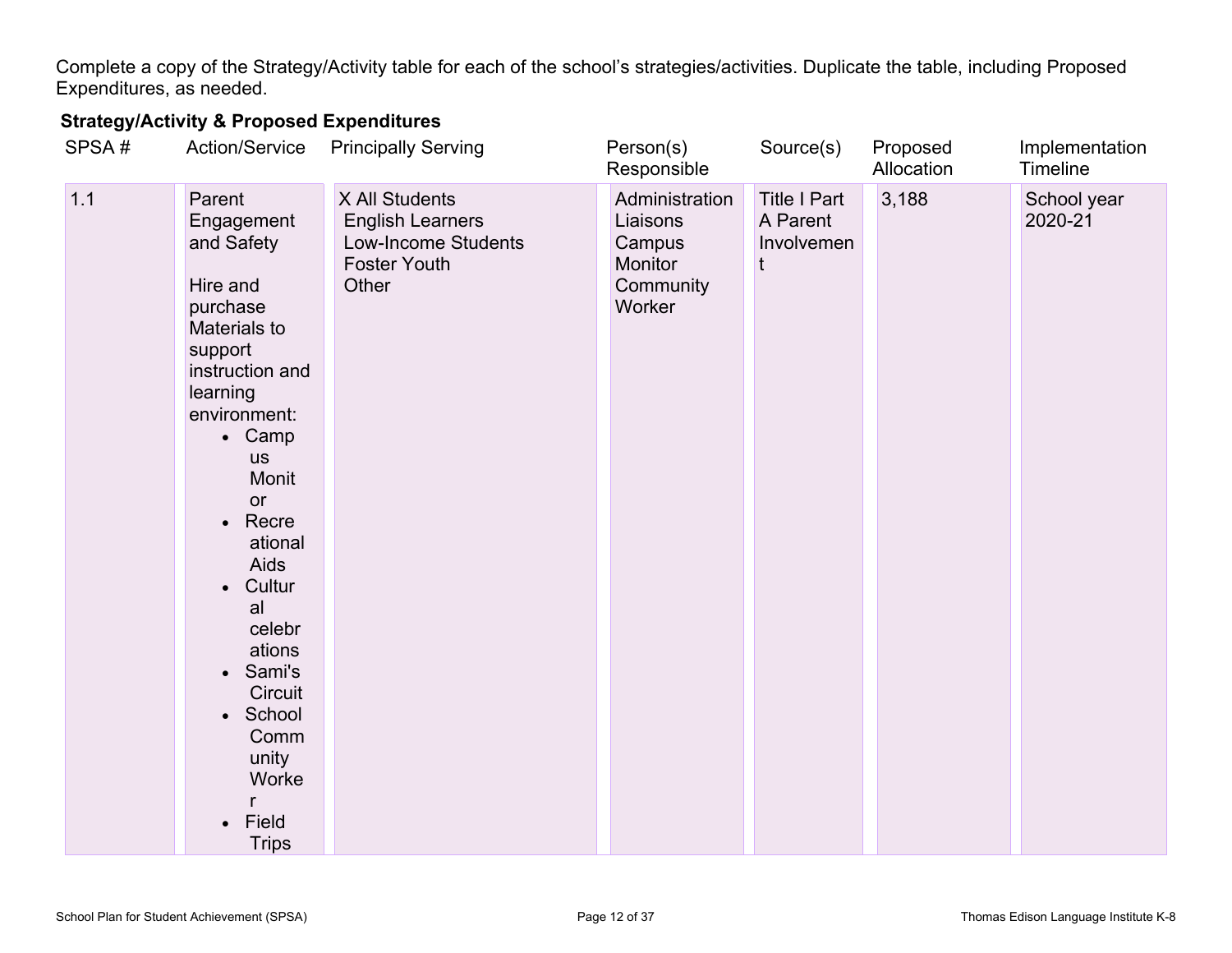Complete a copy of the Strategy/Activity table for each of the school's strategies/activities. Duplicate the table, including Proposed Expenditures, as needed.

### **Strategy/Activity & Proposed Expenditures**

| SPSA# | Action/Service                                                                                                                                                                                                                                                                                                                                                                                       | <b>Principally Serving</b>                                                                              | Person(s)<br>Responsible                                               | Source(s)                                          | Proposed<br>Allocation | Implementation<br>Timeline |
|-------|------------------------------------------------------------------------------------------------------------------------------------------------------------------------------------------------------------------------------------------------------------------------------------------------------------------------------------------------------------------------------------------------------|---------------------------------------------------------------------------------------------------------|------------------------------------------------------------------------|----------------------------------------------------|------------------------|----------------------------|
| 1.1   | Parent<br>Engagement<br>and Safety<br>Hire and<br>purchase<br>Materials to<br>support<br>instruction and<br>learning<br>environment:<br>• Camp<br><b>us</b><br>Monit<br>or<br>Recre<br>$\bullet$<br>ational<br>Aids<br>Cultur<br>$\bullet$<br>al<br>celebr<br>ations<br>Sami's<br>$\bullet$<br><b>Circuit</b><br>School<br>$\bullet$<br>Comm<br>unity<br>Worke<br>Field<br>$\bullet$<br><b>Trips</b> | X All Students<br><b>English Learners</b><br><b>Low-Income Students</b><br><b>Foster Youth</b><br>Other | Administration<br>Liaisons<br>Campus<br>Monitor<br>Community<br>Worker | <b>Title I Part</b><br>A Parent<br>Involvemen<br>t | 3,188                  | School year<br>2020-21     |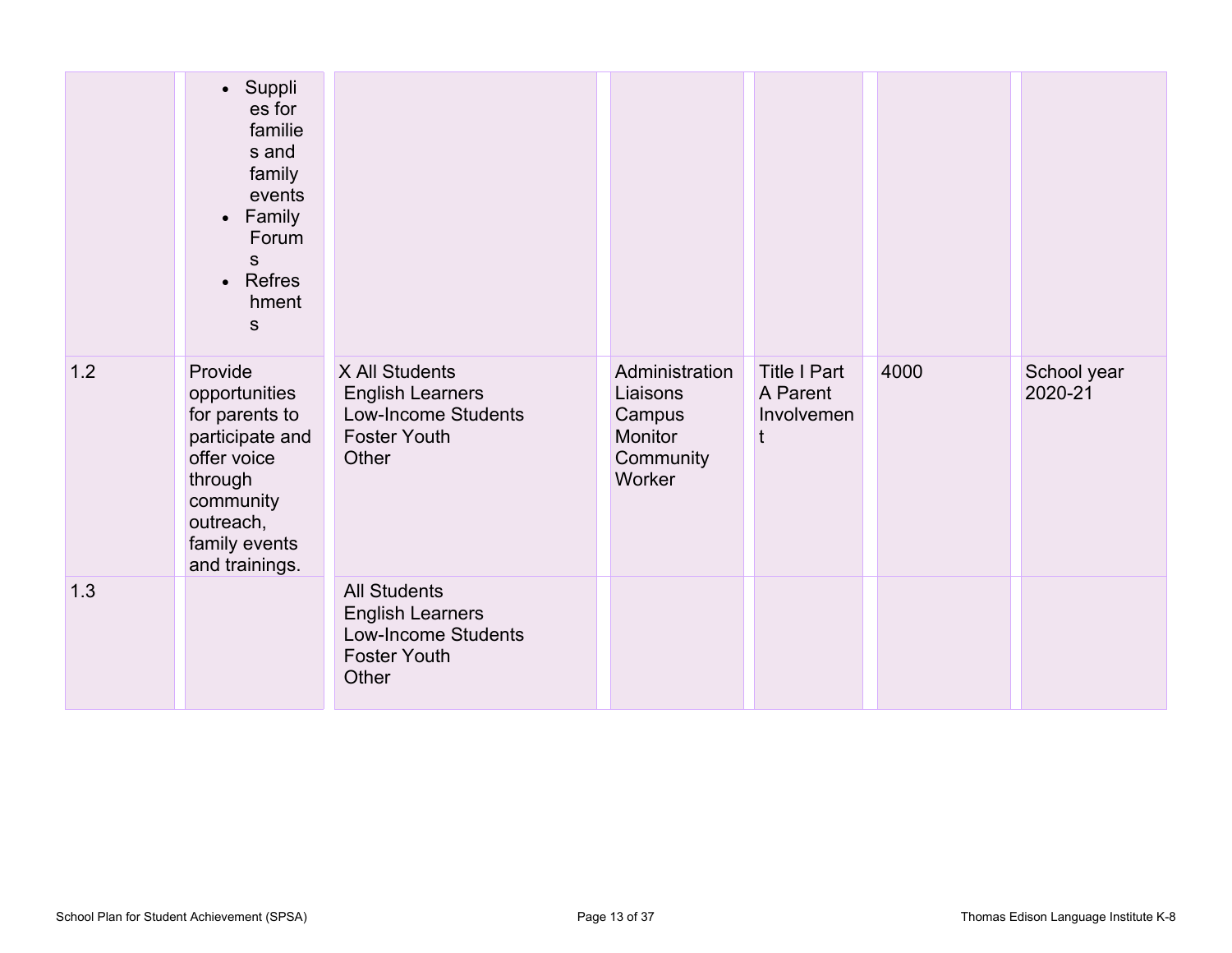|     | • Suppli<br>es for<br>familie<br>s and<br>family<br>events<br>• Family<br>Forum<br>S.<br>Refres<br>$\bullet$<br>hment<br>S                           |                                                                                                       |                                                                        |                                               |      |                        |
|-----|------------------------------------------------------------------------------------------------------------------------------------------------------|-------------------------------------------------------------------------------------------------------|------------------------------------------------------------------------|-----------------------------------------------|------|------------------------|
| 1.2 | Provide<br>opportunities<br>for parents to<br>participate and<br>offer voice<br>through<br>community<br>outreach,<br>family events<br>and trainings. | X All Students<br><b>English Learners</b><br>Low-Income Students<br><b>Foster Youth</b><br>Other      | Administration<br>Liaisons<br>Campus<br>Monitor<br>Community<br>Worker | <b>Title I Part</b><br>A Parent<br>Involvemen | 4000 | School year<br>2020-21 |
| 1.3 |                                                                                                                                                      | <b>All Students</b><br><b>English Learners</b><br>Low-Income Students<br><b>Foster Youth</b><br>Other |                                                                        |                                               |      |                        |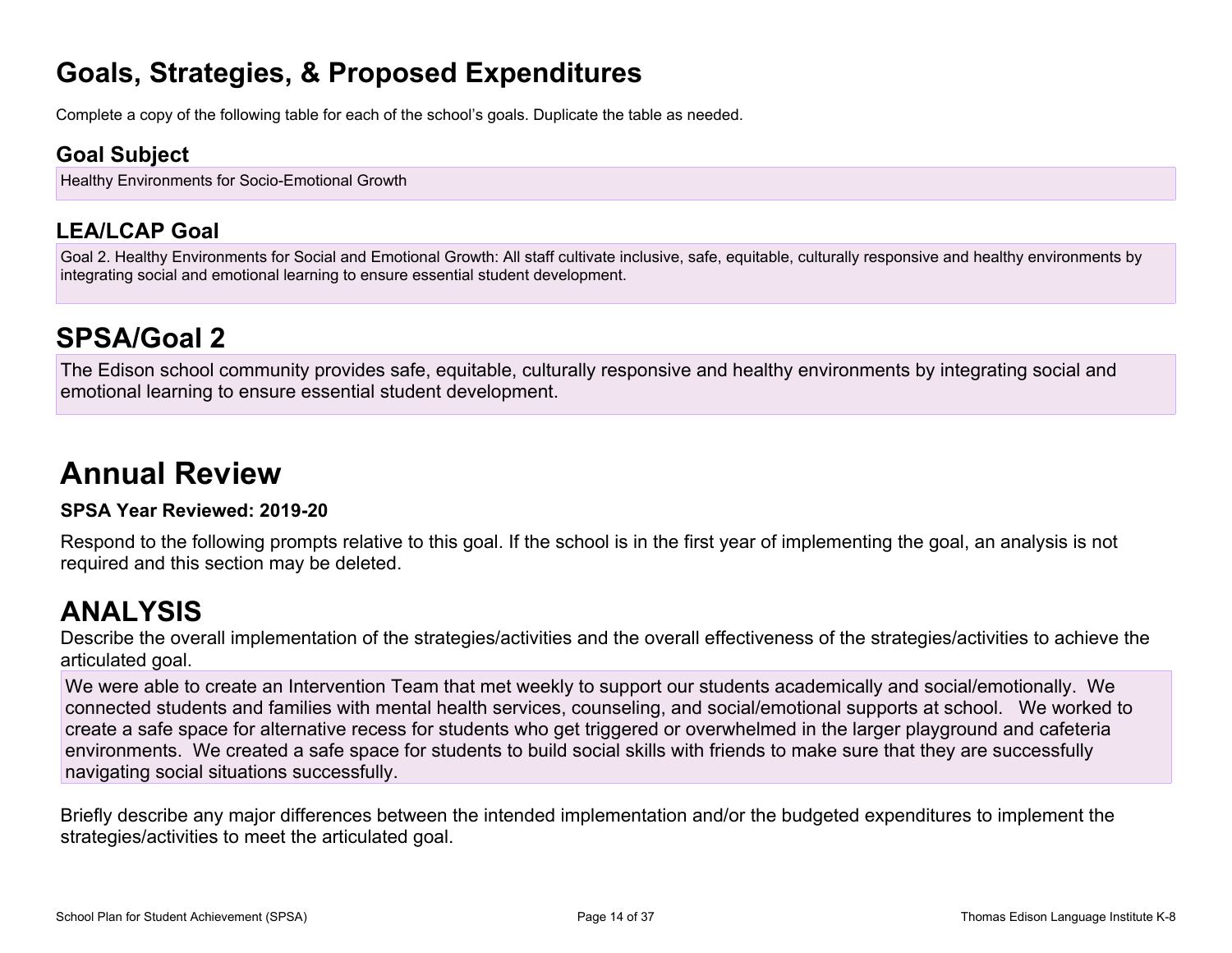# **Goals, Strategies, & Proposed Expenditures**

Complete a copy of the following table for each of the school's goals. Duplicate the table as needed.

### **Goal Subject**

Healthy Environments for Socio-Emotional Growth

### **LEA/LCAP Goal**

Goal 2. Healthy Environments for Social and Emotional Growth: All staff cultivate inclusive, safe, equitable, culturally responsive and healthy environments by integrating social and emotional learning to ensure essential student development.

# **SPSA/Goal 2**

The Edison school community provides safe, equitable, culturally responsive and healthy environments by integrating social and emotional learning to ensure essential student development.

# **Annual Review**

#### **SPSA Year Reviewed: 2019-20**

Respond to the following prompts relative to this goal. If the school is in the first year of implementing the goal, an analysis is not required and this section may be deleted.

# **ANALYSIS**

Describe the overall implementation of the strategies/activities and the overall effectiveness of the strategies/activities to achieve the articulated goal.

We were able to create an Intervention Team that met weekly to support our students academically and social/emotionally. We connected students and families with mental health services, counseling, and social/emotional supports at school. We worked to create a safe space for alternative recess for students who get triggered or overwhelmed in the larger playground and cafeteria environments. We created a safe space for students to build social skills with friends to make sure that they are successfully navigating social situations successfully.

Briefly describe any major differences between the intended implementation and/or the budgeted expenditures to implement the strategies/activities to meet the articulated goal.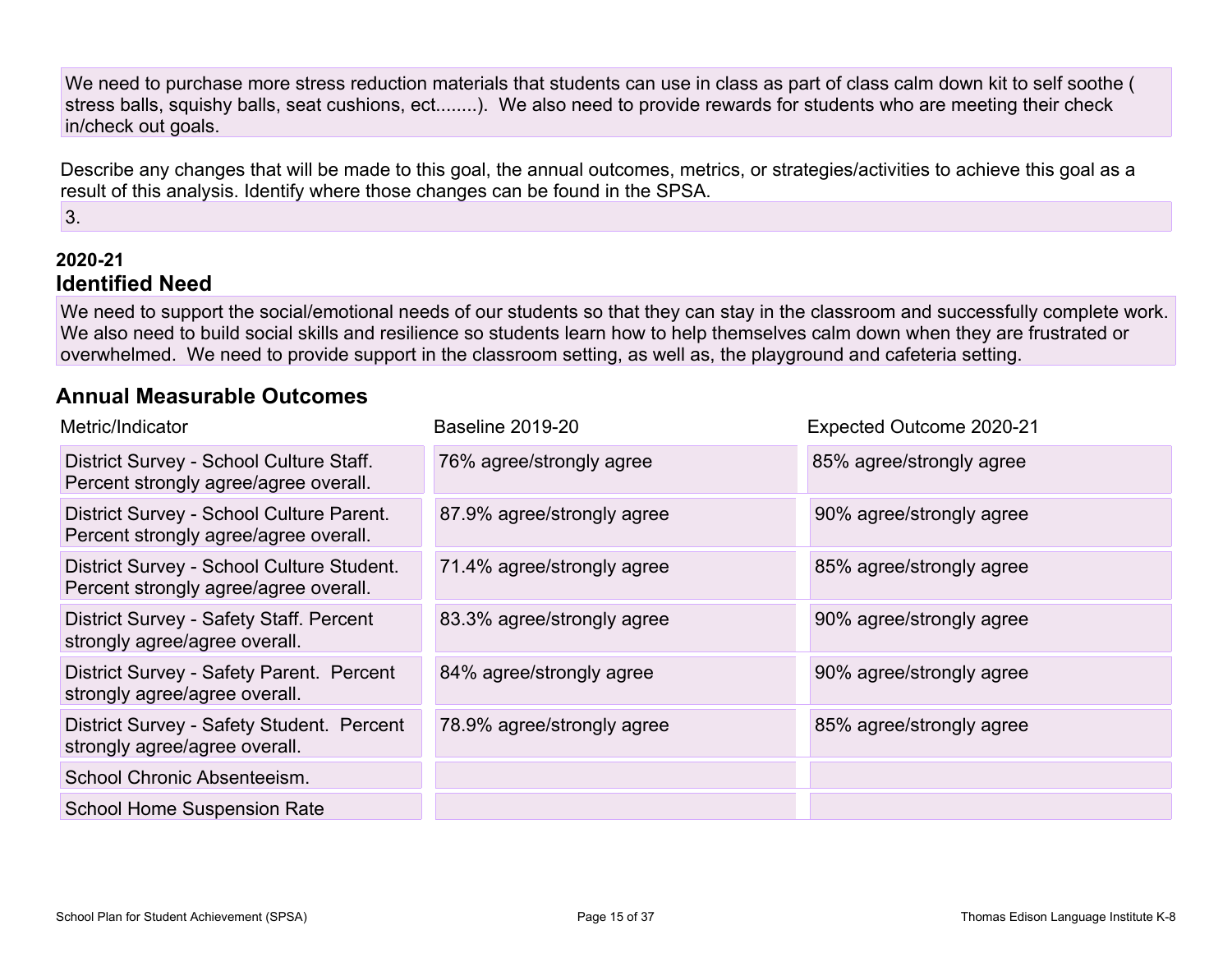We need to purchase more stress reduction materials that students can use in class as part of class calm down kit to self soothe ( stress balls, squishy balls, seat cushions, ect........). We also need to provide rewards for students who are meeting their check in/check out goals.

Describe any changes that will be made to this goal, the annual outcomes, metrics, or strategies/activities to achieve this goal as a result of this analysis. Identify where those changes can be found in the SPSA.

3.

### **2020-21 Identified Need**

We need to support the social/emotional needs of our students so that they can stay in the classroom and successfully complete work. We also need to build social skills and resilience so students learn how to help themselves calm down when they are frustrated or overwhelmed. We need to provide support in the classroom setting, as well as, the playground and cafeteria setting.

### **Annual Measurable Outcomes**

| Metric/Indicator                                                                   | <b>Baseline 2019-20</b>    | Expected Outcome 2020-21 |
|------------------------------------------------------------------------------------|----------------------------|--------------------------|
| District Survey - School Culture Staff.<br>Percent strongly agree/agree overall.   | 76% agree/strongly agree   | 85% agree/strongly agree |
| District Survey - School Culture Parent.<br>Percent strongly agree/agree overall.  | 87.9% agree/strongly agree | 90% agree/strongly agree |
| District Survey - School Culture Student.<br>Percent strongly agree/agree overall. | 71.4% agree/strongly agree | 85% agree/strongly agree |
| District Survey - Safety Staff. Percent<br>strongly agree/agree overall.           | 83.3% agree/strongly agree | 90% agree/strongly agree |
| District Survey - Safety Parent. Percent<br>strongly agree/agree overall.          | 84% agree/strongly agree   | 90% agree/strongly agree |
| District Survey - Safety Student. Percent<br>strongly agree/agree overall.         | 78.9% agree/strongly agree | 85% agree/strongly agree |
| School Chronic Absenteeism.                                                        |                            |                          |
| <b>School Home Suspension Rate</b>                                                 |                            |                          |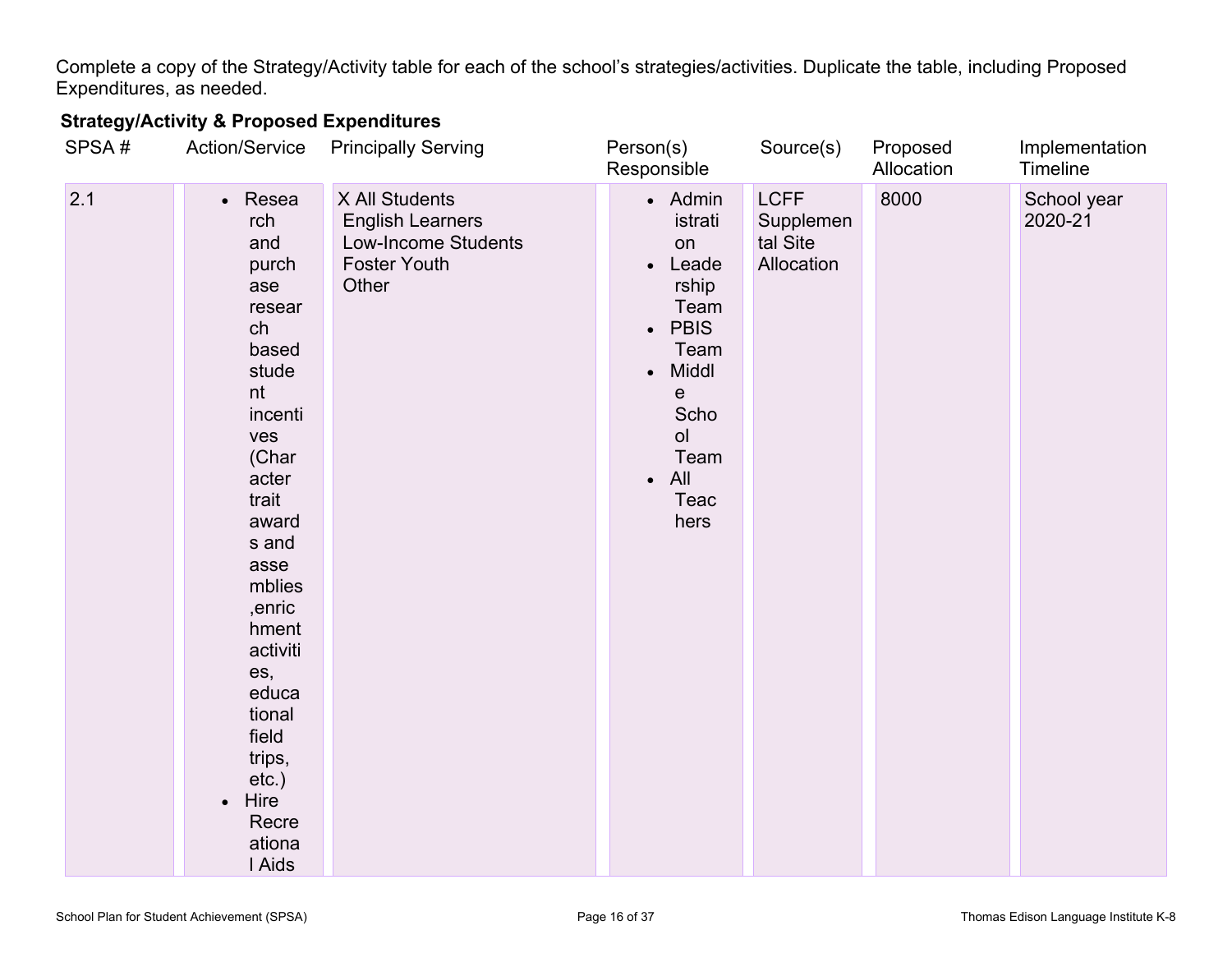Complete a copy of the Strategy/Activity table for each of the school's strategies/activities. Duplicate the table, including Proposed Expenditures, as needed.

### **Strategy/Activity & Proposed Expenditures**

| SPSA# | Action/Service                                                                                                                                                                                                                                                                                           | <b>Principally Serving</b>                                                                       | Person(s)<br>Responsible                                                                                                                                                   | Source(s)                                          | Proposed<br>Allocation | Implementation<br>Timeline |
|-------|----------------------------------------------------------------------------------------------------------------------------------------------------------------------------------------------------------------------------------------------------------------------------------------------------------|--------------------------------------------------------------------------------------------------|----------------------------------------------------------------------------------------------------------------------------------------------------------------------------|----------------------------------------------------|------------------------|----------------------------|
| 2.1   | • Resea<br>rch<br>and<br>purch<br>ase<br>resear<br>ch<br>based<br>stude<br>nt<br>incenti<br>ves<br>(Char<br>acter<br>trait<br>award<br>s and<br>asse<br>mblies<br>,enric<br>hment<br>activiti<br>es,<br>educa<br>tional<br>field<br>trips,<br>$etc.$ )<br>Hire<br>$\bullet$<br>Recre<br>ationa<br>I Aids | X All Students<br><b>English Learners</b><br>Low-Income Students<br><b>Foster Youth</b><br>Other | • Admin<br>istrati<br>on<br>Leade<br>rship<br>Team<br><b>PBIS</b><br>$\bullet$<br>Team<br>Middl<br>$\bullet$<br>е<br>Scho<br>O <sub>l</sub><br>Team<br>All<br>Teac<br>hers | <b>LCFF</b><br>Supplemen<br>tal Site<br>Allocation | 8000                   | School year<br>2020-21     |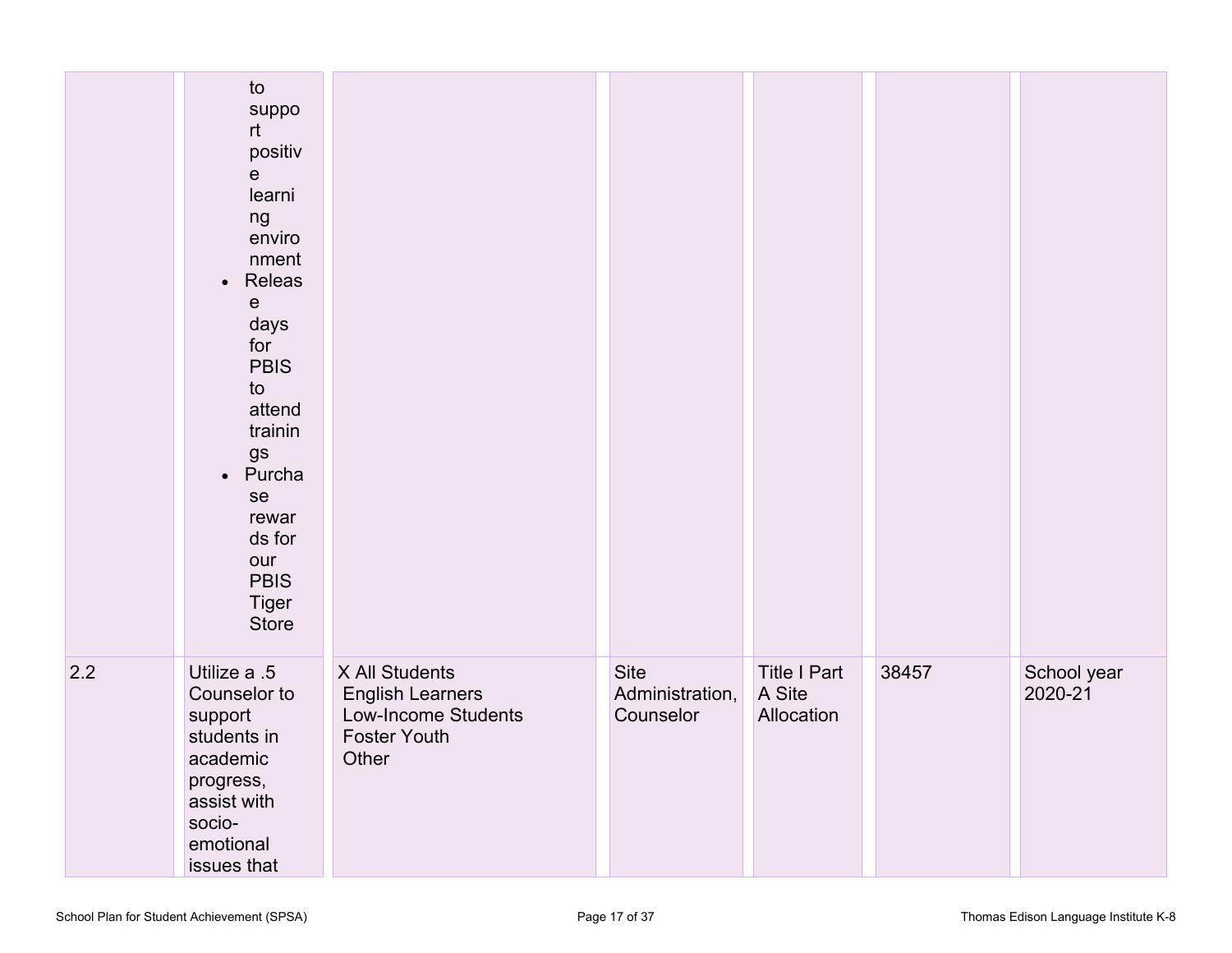|     | to<br>suppo<br>rt<br>positiv<br>$\mathsf{e}$<br>learni<br>ng<br>enviro<br>nment<br>• Releas<br>$\mathsf{e}$<br>days<br>for<br><b>PBIS</b><br>to<br>attend<br>trainin<br>gs<br>• Purcha<br>se<br>rewar<br>ds for<br>our<br><b>PBIS</b><br><b>Tiger</b><br>Store |                                                                                                  |                                      |                                             |       |                        |
|-----|----------------------------------------------------------------------------------------------------------------------------------------------------------------------------------------------------------------------------------------------------------------|--------------------------------------------------------------------------------------------------|--------------------------------------|---------------------------------------------|-------|------------------------|
| 2.2 | Utilize a .5<br>Counselor to<br>support<br>students in<br>academic<br>progress,<br>assist with<br>socio-<br>emotional<br>issues that                                                                                                                           | X All Students<br><b>English Learners</b><br>Low-Income Students<br><b>Foster Youth</b><br>Other | Site<br>Administration,<br>Counselor | <b>Title I Part</b><br>A Site<br>Allocation | 38457 | School year<br>2020-21 |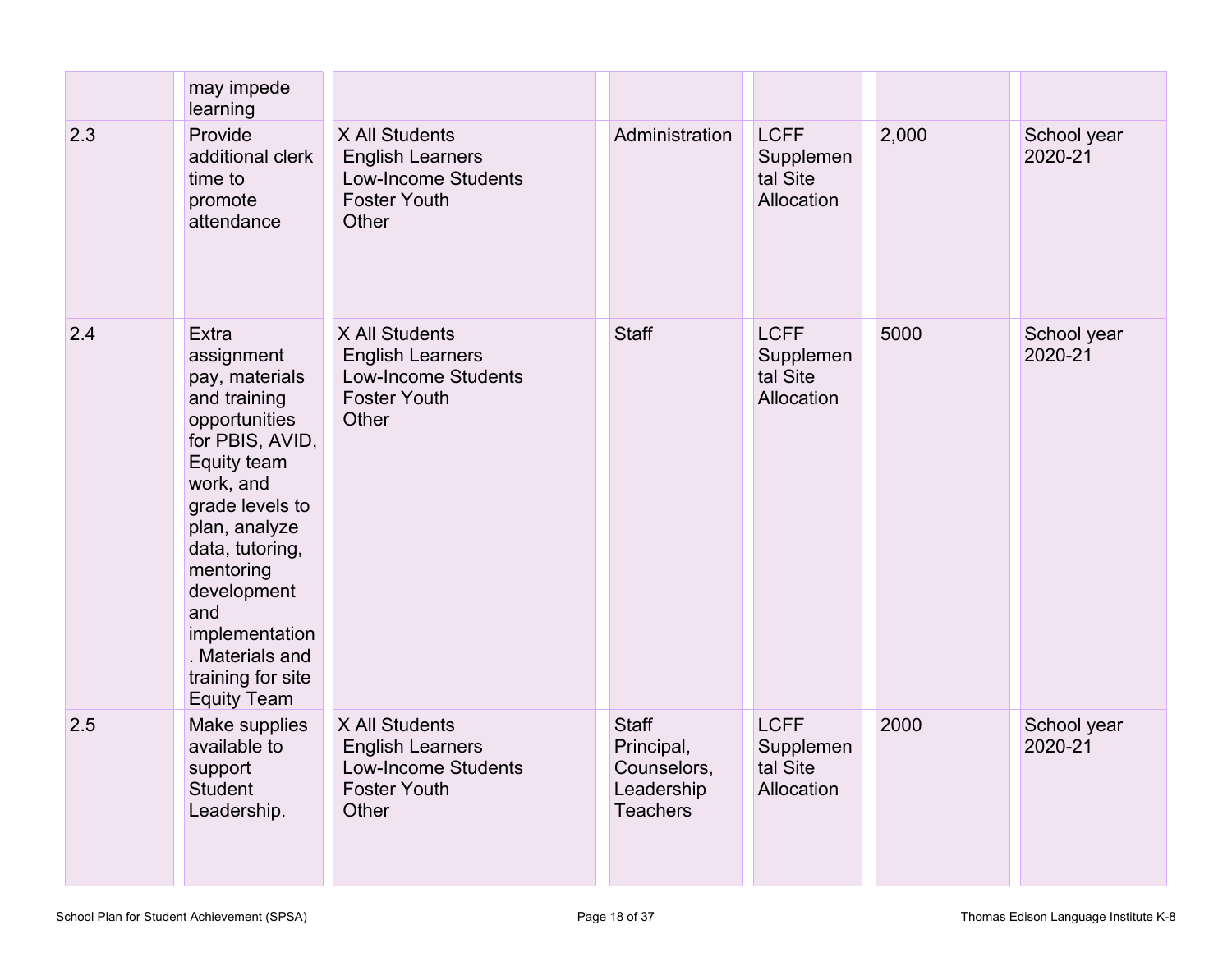|     | may impede<br>learning                                                                                                                                                                                                                                                                                 |                                                                                                         |                                                                            |                                                    |       |                        |
|-----|--------------------------------------------------------------------------------------------------------------------------------------------------------------------------------------------------------------------------------------------------------------------------------------------------------|---------------------------------------------------------------------------------------------------------|----------------------------------------------------------------------------|----------------------------------------------------|-------|------------------------|
| 2.3 | Provide<br>additional clerk<br>time to<br>promote<br>attendance                                                                                                                                                                                                                                        | X All Students<br><b>English Learners</b><br><b>Low-Income Students</b><br><b>Foster Youth</b><br>Other | Administration                                                             | <b>LCFF</b><br>Supplemen<br>tal Site<br>Allocation | 2,000 | School year<br>2020-21 |
| 2.4 | <b>Extra</b><br>assignment<br>pay, materials<br>and training<br>opportunities<br>for PBIS, AVID,<br>Equity team<br>work, and<br>grade levels to<br>plan, analyze<br>data, tutoring,<br>mentoring<br>development<br>and<br>implementation<br>. Materials and<br>training for site<br><b>Equity Team</b> | X All Students<br><b>English Learners</b><br><b>Low-Income Students</b><br><b>Foster Youth</b><br>Other | <b>Staff</b>                                                               | <b>LCFF</b><br>Supplemen<br>tal Site<br>Allocation | 5000  | School year<br>2020-21 |
| 2.5 | Make supplies<br>available to<br>support<br><b>Student</b><br>Leadership.                                                                                                                                                                                                                              | X All Students<br><b>English Learners</b><br>Low-Income Students<br><b>Foster Youth</b><br>Other        | <b>Staff</b><br>Principal,<br>Counselors,<br>Leadership<br><b>Teachers</b> | <b>LCFF</b><br>Supplemen<br>tal Site<br>Allocation | 2000  | School year<br>2020-21 |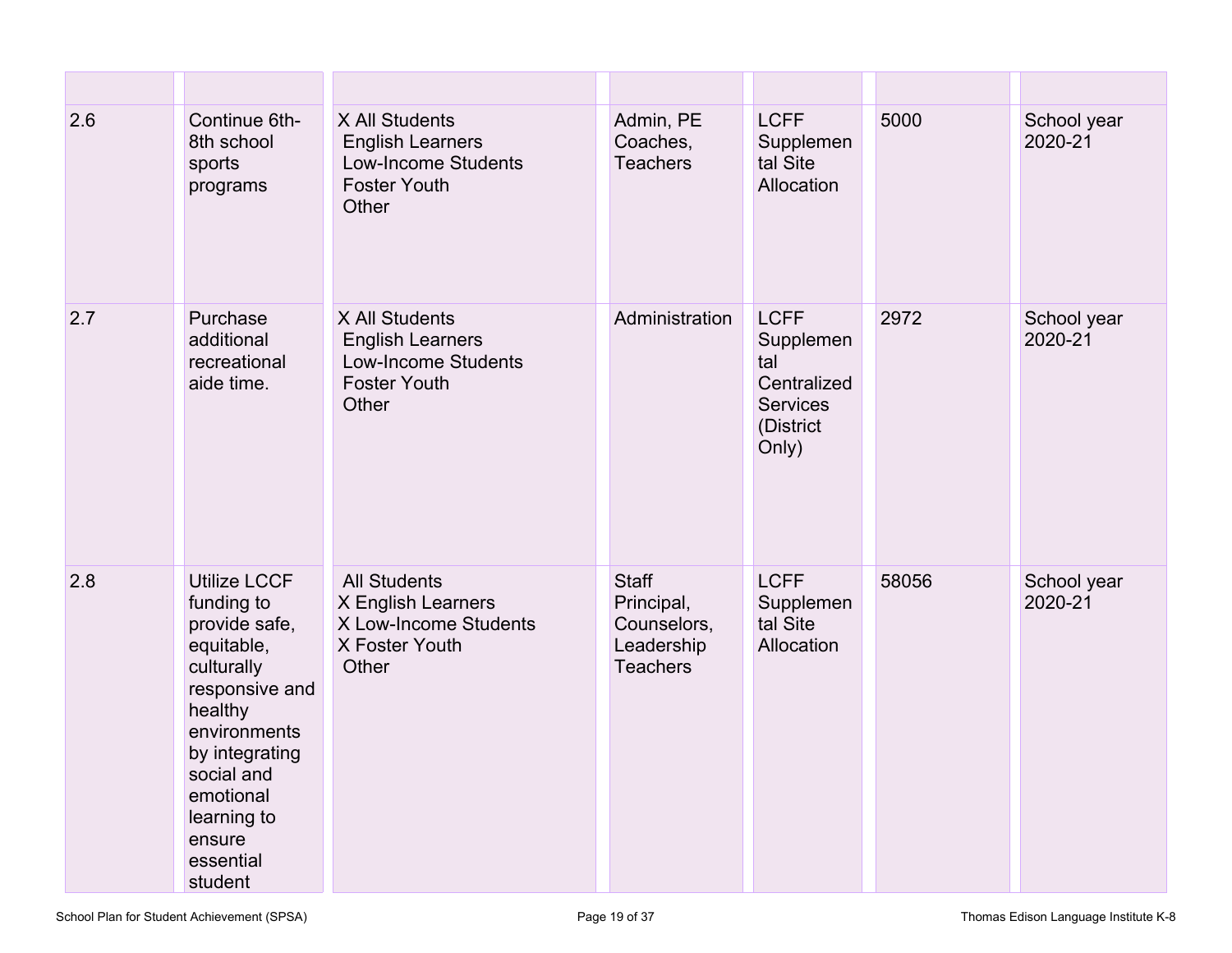| 2.6 | Continue 6th-<br>8th school<br>sports<br>programs                                                                                                                                                                         | X All Students<br><b>English Learners</b><br><b>Low-Income Students</b><br><b>Foster Youth</b><br>Other | Admin, PE<br>Coaches,<br><b>Teachers</b>                                   | <b>LCFF</b><br>Supplemen<br>tal Site<br>Allocation                                      | 5000  | School year<br>2020-21 |
|-----|---------------------------------------------------------------------------------------------------------------------------------------------------------------------------------------------------------------------------|---------------------------------------------------------------------------------------------------------|----------------------------------------------------------------------------|-----------------------------------------------------------------------------------------|-------|------------------------|
| 2.7 | Purchase<br>additional<br>recreational<br>aide time.                                                                                                                                                                      | X All Students<br><b>English Learners</b><br><b>Low-Income Students</b><br><b>Foster Youth</b><br>Other | Administration                                                             | <b>LCFF</b><br>Supplemen<br>tal<br>Centralized<br><b>Services</b><br>(District<br>Only) | 2972  | School year<br>2020-21 |
| 2.8 | <b>Utilize LCCF</b><br>funding to<br>provide safe,<br>equitable,<br>culturally<br>responsive and<br>healthy<br>environments<br>by integrating<br>social and<br>emotional<br>learning to<br>ensure<br>essential<br>student | <b>All Students</b><br>X English Learners<br>X Low-Income Students<br>X Foster Youth<br>Other           | <b>Staff</b><br>Principal,<br>Counselors,<br>Leadership<br><b>Teachers</b> | <b>LCFF</b><br>Supplemen<br>tal Site<br>Allocation                                      | 58056 | School year<br>2020-21 |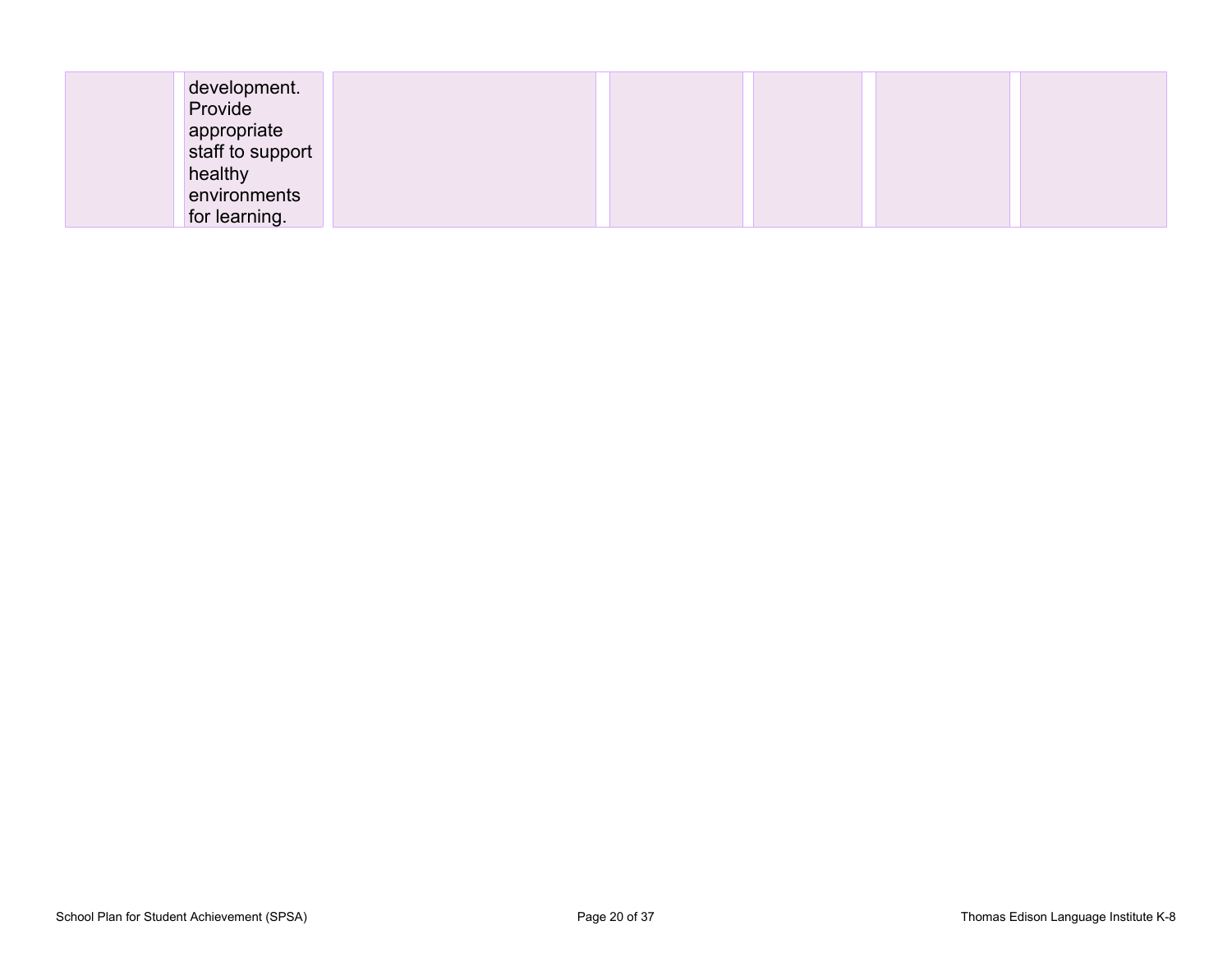| development.     |  |  |
|------------------|--|--|
| Provide          |  |  |
| appropriate      |  |  |
| staff to support |  |  |
| healthy          |  |  |
| environments     |  |  |
| for learning.    |  |  |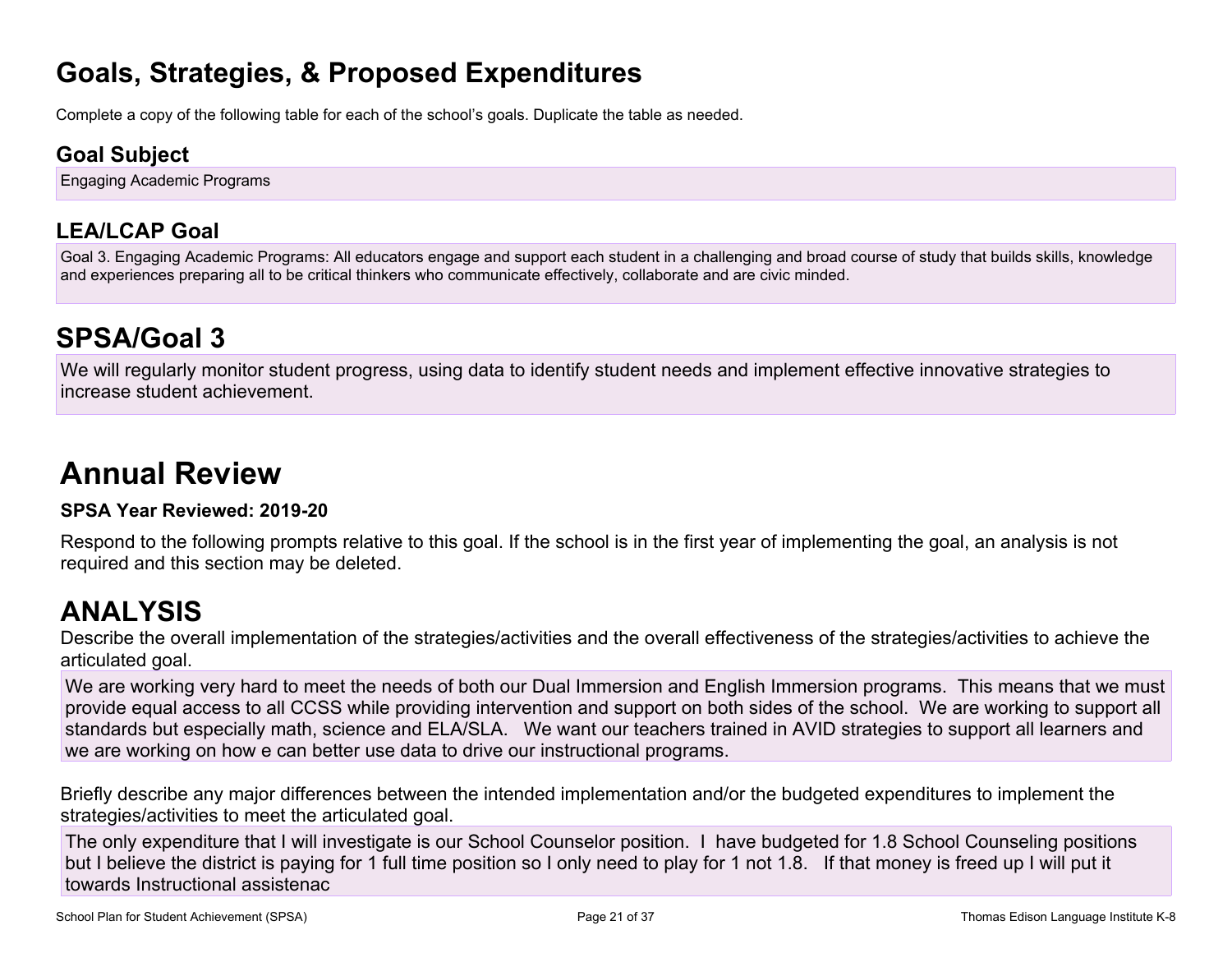# **Goals, Strategies, & Proposed Expenditures**

Complete a copy of the following table for each of the school's goals. Duplicate the table as needed.

### **Goal Subject**

Engaging Academic Programs

### **LEA/LCAP Goal**

Goal 3. Engaging Academic Programs: All educators engage and support each student in a challenging and broad course of study that builds skills, knowledge and experiences preparing all to be critical thinkers who communicate effectively, collaborate and are civic minded.

# **SPSA/Goal 3**

We will regularly monitor student progress, using data to identify student needs and implement effective innovative strategies to increase student achievement.

# **Annual Review**

#### **SPSA Year Reviewed: 2019-20**

Respond to the following prompts relative to this goal. If the school is in the first year of implementing the goal, an analysis is not required and this section may be deleted.

# **ANALYSIS**

Describe the overall implementation of the strategies/activities and the overall effectiveness of the strategies/activities to achieve the articulated goal.

We are working very hard to meet the needs of both our Dual Immersion and English Immersion programs. This means that we must provide equal access to all CCSS while providing intervention and support on both sides of the school. We are working to support all standards but especially math, science and ELA/SLA. We want our teachers trained in AVID strategies to support all learners and we are working on how e can better use data to drive our instructional programs.

Briefly describe any major differences between the intended implementation and/or the budgeted expenditures to implement the strategies/activities to meet the articulated goal.

The only expenditure that I will investigate is our School Counselor position. I have budgeted for 1.8 School Counseling positions but I believe the district is paying for 1 full time position so I only need to play for 1 not 1.8. If that money is freed up I will put it towards Instructional assistenac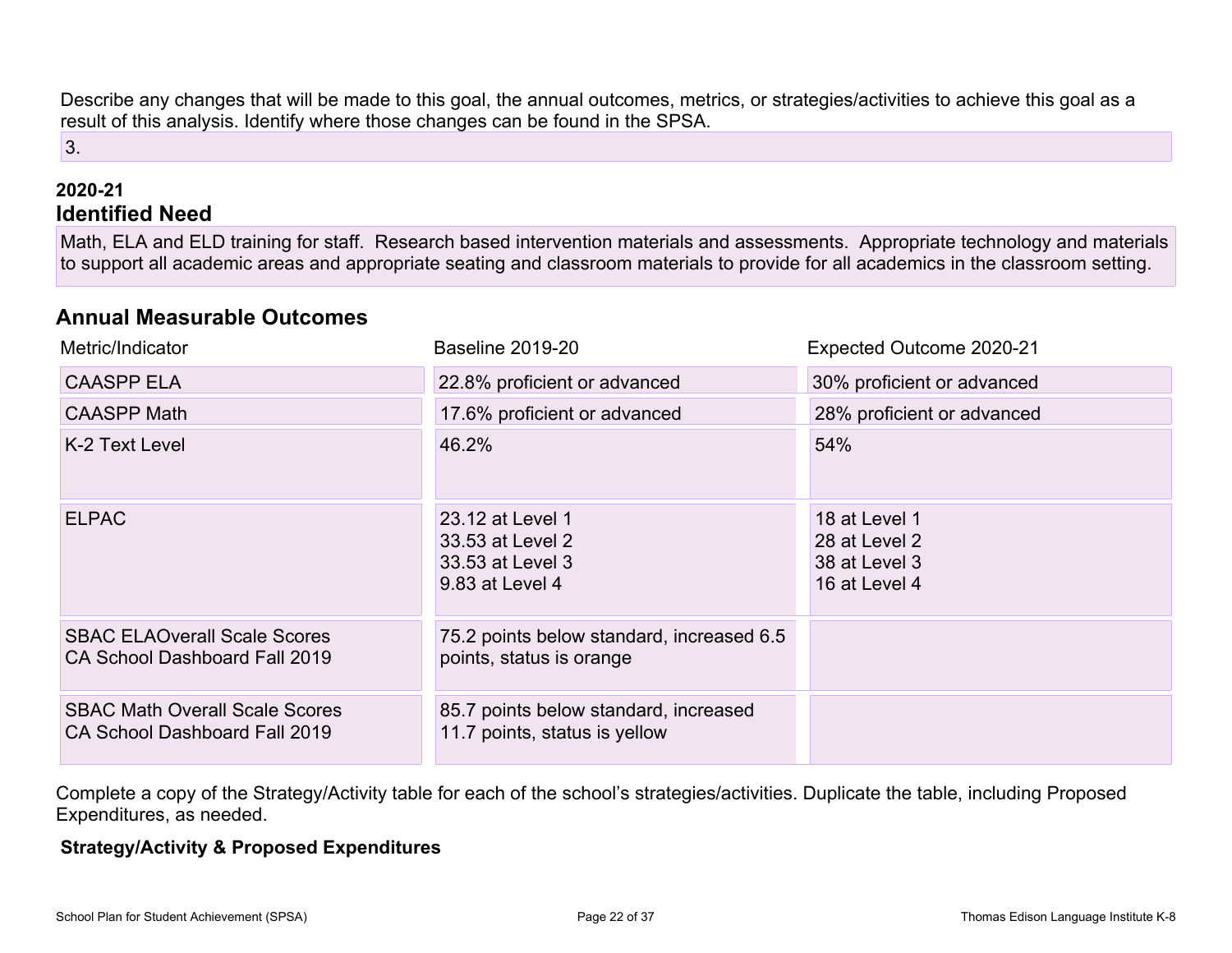Describe any changes that will be made to this goal, the annual outcomes, metrics, or strategies/activities to achieve this goal as a result of this analysis. Identify where those changes can be found in the SPSA.

### 3.

#### **2020-21 Identified Need**

Math, ELA and ELD training for staff. Research based intervention materials and assessments. Appropriate technology and materials to support all academic areas and appropriate seating and classroom materials to provide for all academics in the classroom setting.

### **Annual Measurable Outcomes**

| Metric/Indicator                                                       | <b>Baseline 2019-20</b>                                                     | Expected Outcome 2020-21                                         |
|------------------------------------------------------------------------|-----------------------------------------------------------------------------|------------------------------------------------------------------|
| <b>CAASPP ELA</b>                                                      | 22.8% proficient or advanced                                                | 30% proficient or advanced                                       |
| <b>CAASPP Math</b>                                                     | 17.6% proficient or advanced                                                | 28% proficient or advanced                                       |
| K-2 Text Level                                                         | 46.2%                                                                       | 54%                                                              |
| <b>ELPAC</b>                                                           | 23.12 at Level 1<br>33.53 at Level 2<br>33.53 at Level 3<br>9.83 at Level 4 | 18 at Level 1<br>28 at Level 2<br>38 at Level 3<br>16 at Level 4 |
| <b>SBAC ELAOverall Scale Scores</b><br>CA School Dashboard Fall 2019   | 75.2 points below standard, increased 6.5<br>points, status is orange       |                                                                  |
| <b>SBAC Math Overall Scale Scores</b><br>CA School Dashboard Fall 2019 | 85.7 points below standard, increased<br>11.7 points, status is yellow      |                                                                  |

Complete a copy of the Strategy/Activity table for each of the school's strategies/activities. Duplicate the table, including Proposed Expenditures, as needed.

#### **Strategy/Activity & Proposed Expenditures**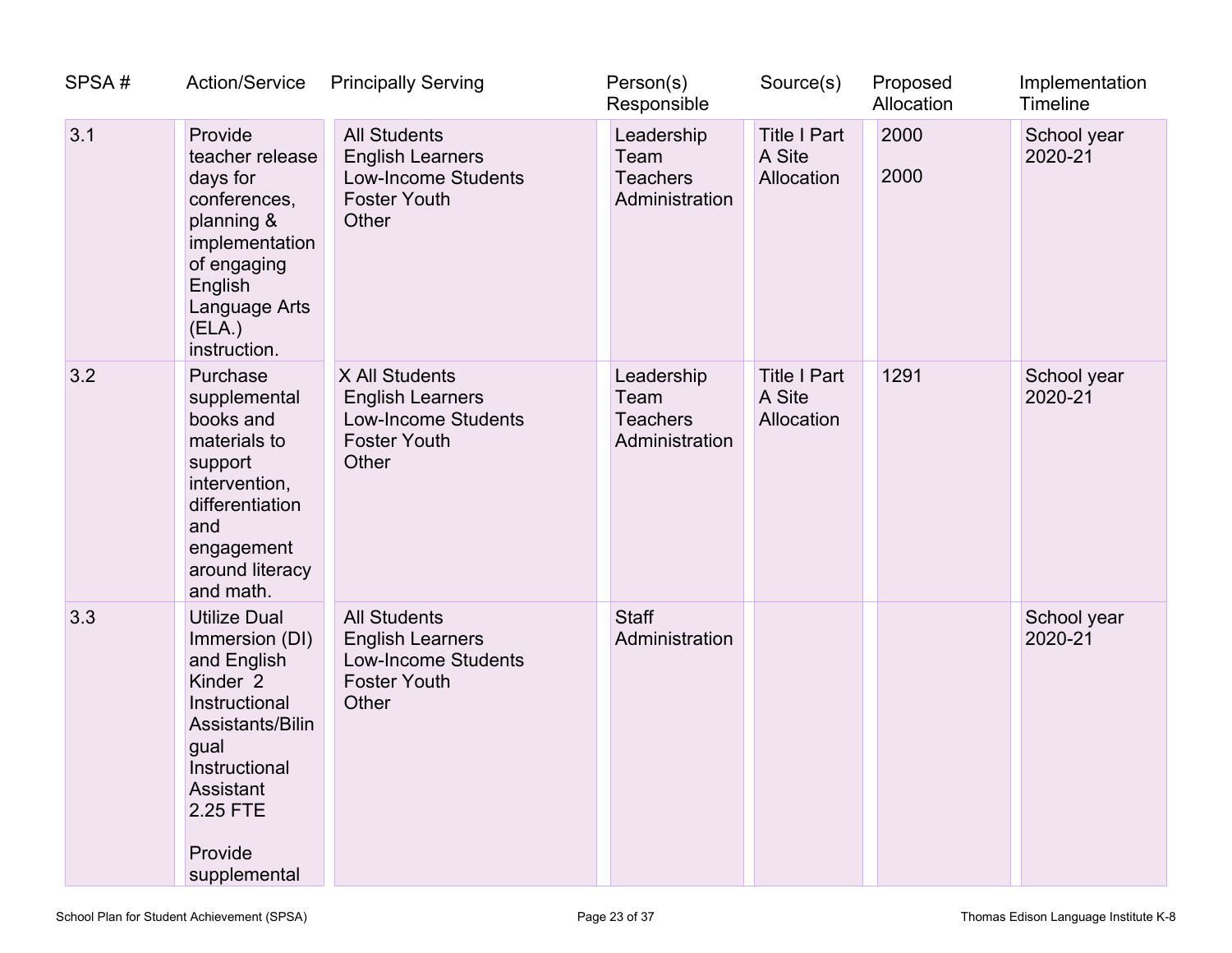| SPSA# | <b>Action/Service</b>                                                                                                                                                                         | <b>Principally Serving</b>                                                                                   | Person(s)<br>Responsible                                | Source(s)                                   | Proposed<br>Allocation | Implementation<br>Timeline |
|-------|-----------------------------------------------------------------------------------------------------------------------------------------------------------------------------------------------|--------------------------------------------------------------------------------------------------------------|---------------------------------------------------------|---------------------------------------------|------------------------|----------------------------|
| 3.1   | Provide<br>teacher release<br>days for<br>conferences,<br>planning &<br>implementation<br>of engaging<br>English<br>Language Arts<br>(ELA.)<br>instruction.                                   | <b>All Students</b><br><b>English Learners</b><br><b>Low-Income Students</b><br><b>Foster Youth</b><br>Other | Leadership<br>Team<br><b>Teachers</b><br>Administration | <b>Title I Part</b><br>A Site<br>Allocation | 2000<br>2000           | School year<br>2020-21     |
| 3.2   | Purchase<br>supplemental<br>books and<br>materials to<br>support<br>intervention,<br>differentiation<br>and<br>engagement<br>around literacy<br>and math.                                     | X All Students<br><b>English Learners</b><br><b>Low-Income Students</b><br><b>Foster Youth</b><br>Other      | Leadership<br>Team<br><b>Teachers</b><br>Administration | <b>Title I Part</b><br>A Site<br>Allocation | 1291                   | School year<br>2020-21     |
| 3.3   | <b>Utilize Dual</b><br>Immersion (DI)<br>and English<br>Kinder <sub>2</sub><br>Instructional<br>Assistants/Bilin<br>gual<br>Instructional<br>Assistant<br>2.25 FTE<br>Provide<br>supplemental | <b>All Students</b><br><b>English Learners</b><br><b>Low-Income Students</b><br><b>Foster Youth</b><br>Other | <b>Staff</b><br>Administration                          |                                             |                        | School year<br>2020-21     |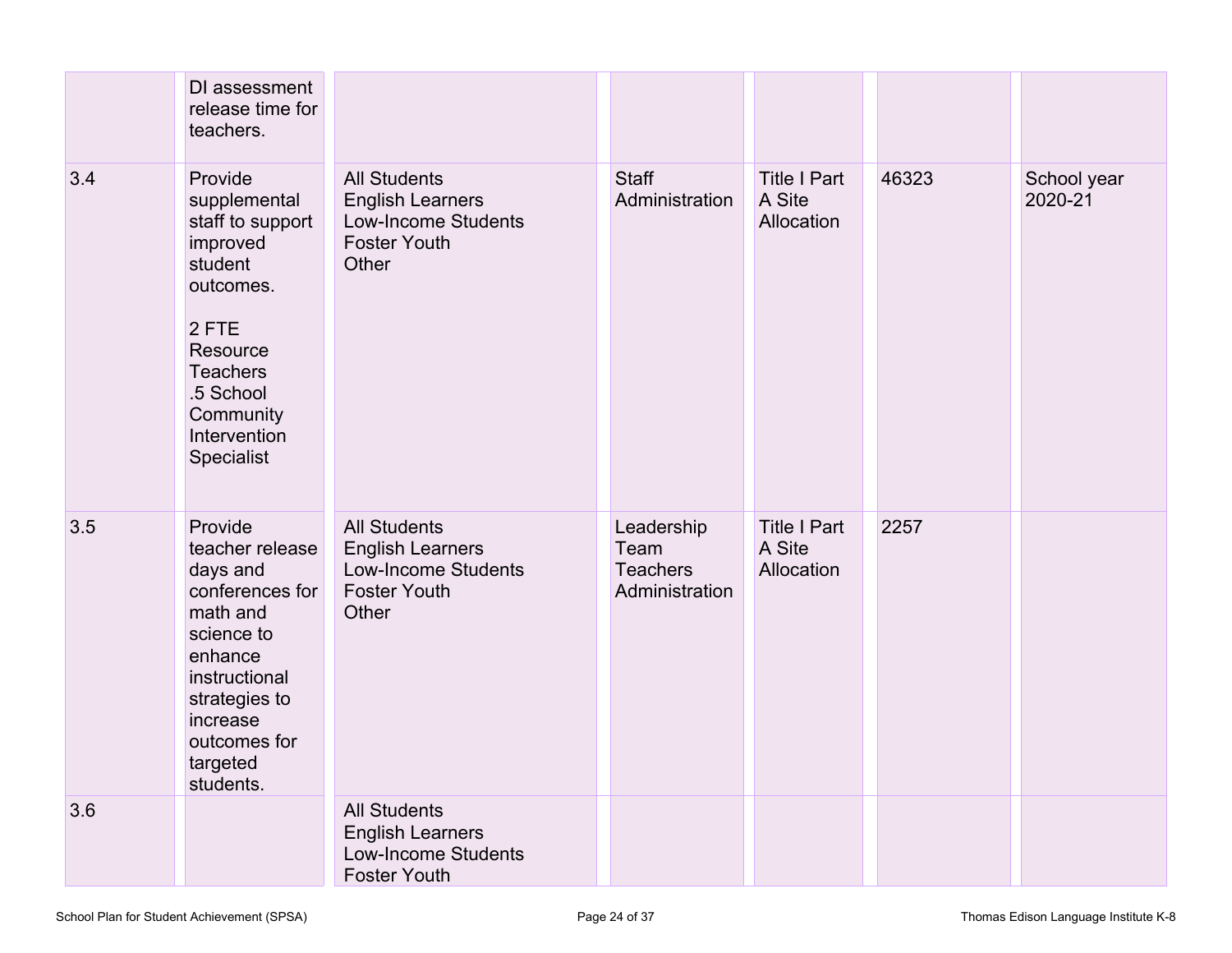|     | DI assessment<br>release time for<br>teachers.                                                                                                                                        |                                                                                                              |                                                         |                                             |       |                        |
|-----|---------------------------------------------------------------------------------------------------------------------------------------------------------------------------------------|--------------------------------------------------------------------------------------------------------------|---------------------------------------------------------|---------------------------------------------|-------|------------------------|
| 3.4 | Provide<br>supplemental<br>staff to support<br>improved<br>student<br>outcomes.<br>2 FTE<br>Resource<br><b>Teachers</b><br>.5 School<br>Community<br>Intervention<br>Specialist       | <b>All Students</b><br><b>English Learners</b><br>Low-Income Students<br><b>Foster Youth</b><br>Other        | <b>Staff</b><br>Administration                          | <b>Title I Part</b><br>A Site<br>Allocation | 46323 | School year<br>2020-21 |
| 3.5 | Provide<br>teacher release<br>days and<br>conferences for<br>math and<br>science to<br>enhance<br>instructional<br>strategies to<br>increase<br>outcomes for<br>targeted<br>students. | <b>All Students</b><br><b>English Learners</b><br><b>Low-Income Students</b><br><b>Foster Youth</b><br>Other | Leadership<br>Team<br><b>Teachers</b><br>Administration | <b>Title I Part</b><br>A Site<br>Allocation | 2257  |                        |
| 3.6 |                                                                                                                                                                                       | <b>All Students</b><br><b>English Learners</b><br><b>Low-Income Students</b><br><b>Foster Youth</b>          |                                                         |                                             |       |                        |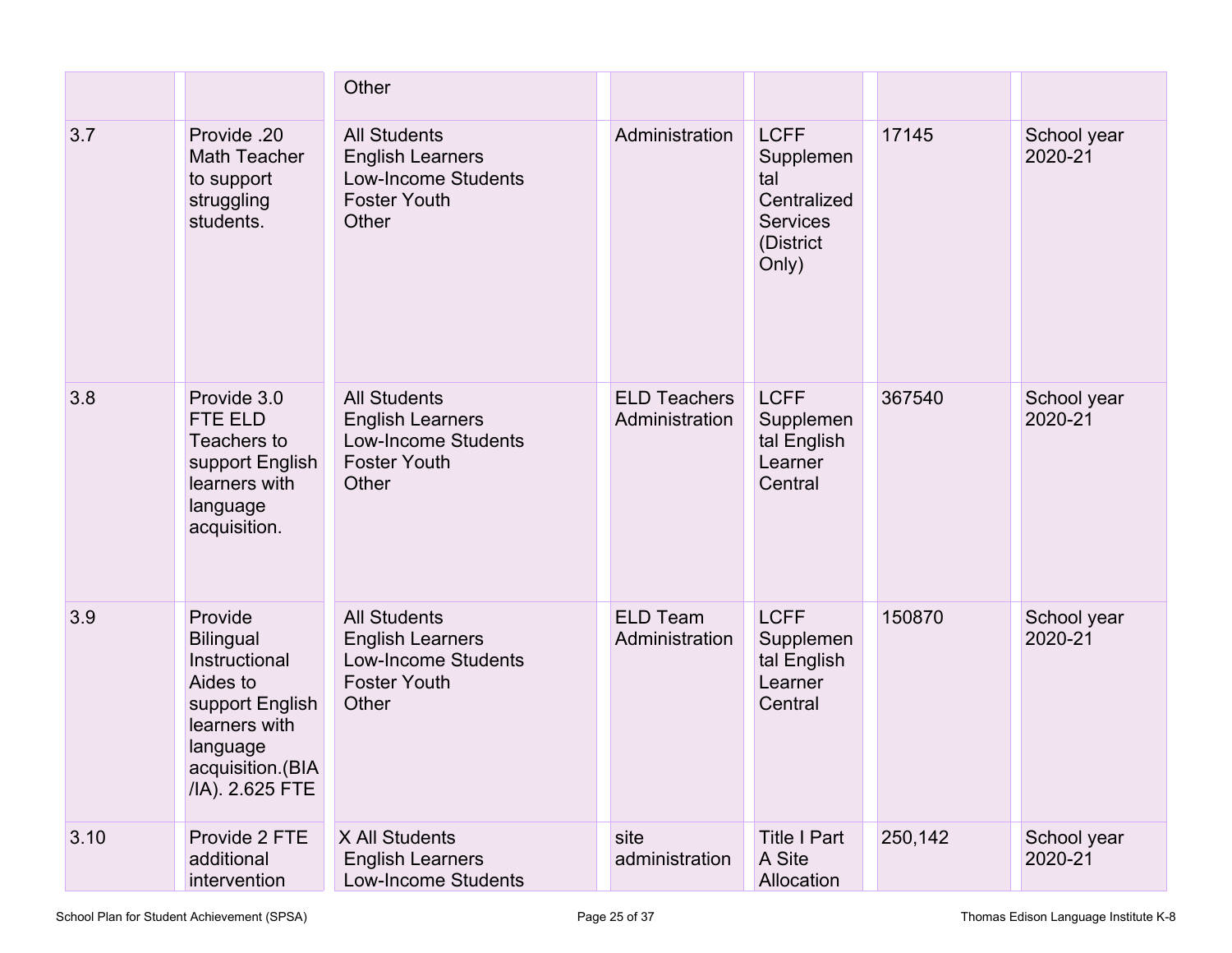|      |                                                                                                                                                 | Other                                                                                                        |                                       |                                                                                         |         |                        |
|------|-------------------------------------------------------------------------------------------------------------------------------------------------|--------------------------------------------------------------------------------------------------------------|---------------------------------------|-----------------------------------------------------------------------------------------|---------|------------------------|
| 3.7  | Provide .20<br>Math Teacher<br>to support<br>struggling<br>students.                                                                            | <b>All Students</b><br><b>English Learners</b><br><b>Low-Income Students</b><br><b>Foster Youth</b><br>Other | Administration                        | <b>LCFF</b><br>Supplemen<br>tal<br>Centralized<br><b>Services</b><br>(District<br>Only) | 17145   | School year<br>2020-21 |
| 3.8  | Provide 3.0<br>FTE ELD<br>Teachers to<br>support English<br>learners with<br>language<br>acquisition.                                           | <b>All Students</b><br><b>English Learners</b><br><b>Low-Income Students</b><br><b>Foster Youth</b><br>Other | <b>ELD Teachers</b><br>Administration | <b>LCFF</b><br>Supplemen<br>tal English<br>Learner<br>Central                           | 367540  | School year<br>2020-21 |
| 3.9  | Provide<br><b>Bilingual</b><br>Instructional<br>Aides to<br>support English<br>learners with<br>language<br>acquisition.(BIA<br>/IA). 2.625 FTE | <b>All Students</b><br><b>English Learners</b><br><b>Low-Income Students</b><br><b>Foster Youth</b><br>Other | <b>ELD Team</b><br>Administration     | <b>LCFF</b><br>Supplemen<br>tal English<br>Learner<br>Central                           | 150870  | School year<br>2020-21 |
| 3.10 | Provide 2 FTE<br>additional<br>intervention                                                                                                     | X All Students<br><b>English Learners</b><br>Low-Income Students                                             | site<br>administration                | <b>Title I Part</b><br>A Site<br>Allocation                                             | 250,142 | School year<br>2020-21 |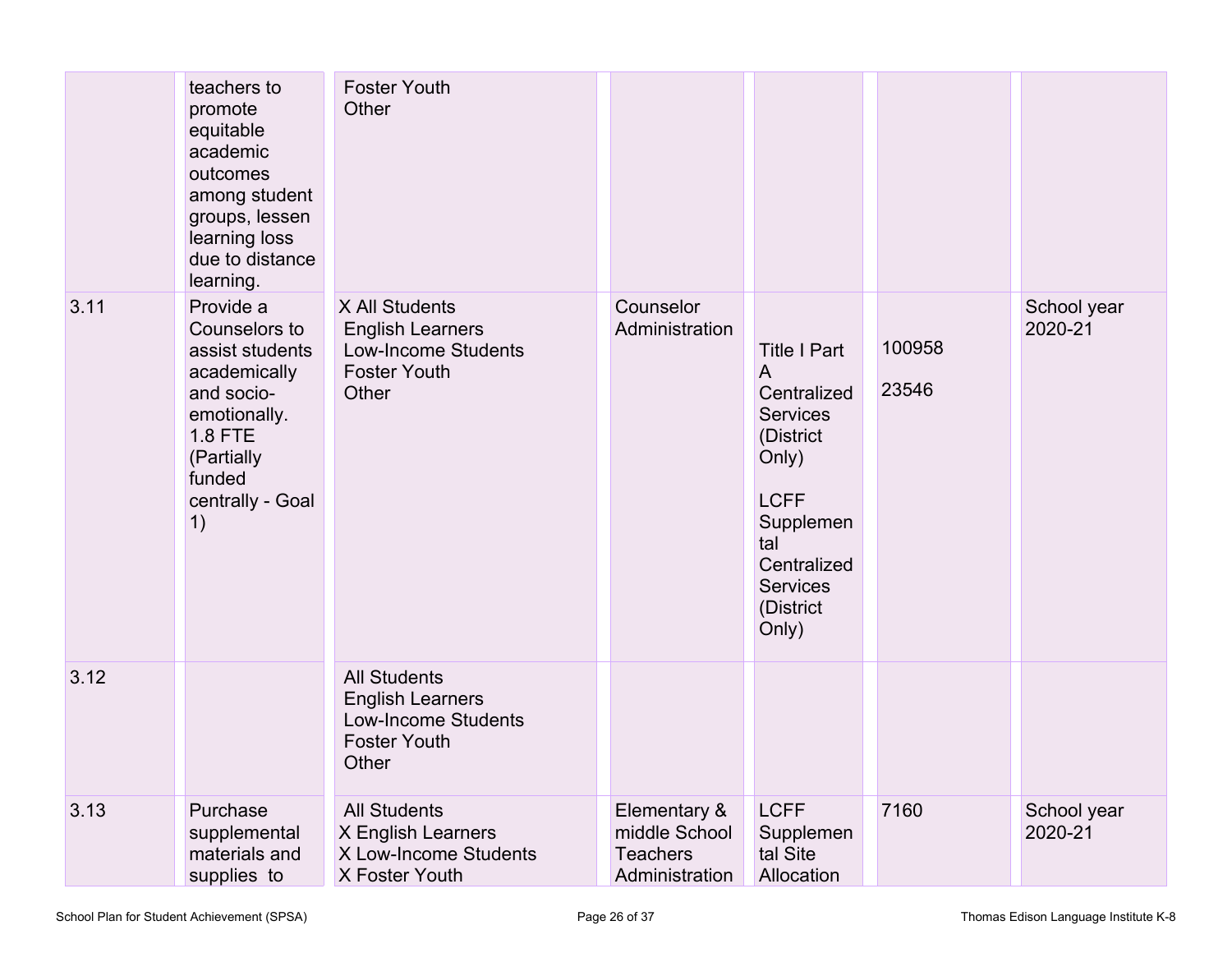|      | teachers to<br>promote<br>equitable<br>academic<br>outcomes<br>among student<br>groups, lessen<br>learning loss<br>due to distance                                           | <b>Foster Youth</b><br>Other                                                                                 |                                                                    |                                                                                                                                                                             |                 |                        |
|------|------------------------------------------------------------------------------------------------------------------------------------------------------------------------------|--------------------------------------------------------------------------------------------------------------|--------------------------------------------------------------------|-----------------------------------------------------------------------------------------------------------------------------------------------------------------------------|-----------------|------------------------|
| 3.11 | learning.<br>Provide a<br>Counselors to<br>assist students<br>academically<br>and socio-<br>emotionally.<br><b>1.8 FTE</b><br>(Partially<br>funded<br>centrally - Goal<br>1) | X All Students<br><b>English Learners</b><br><b>Low-Income Students</b><br><b>Foster Youth</b><br>Other      | Counselor<br>Administration                                        | <b>Title I Part</b><br>A<br>Centralized<br><b>Services</b><br>(District<br>Only)<br><b>LCFF</b><br>Supplemen<br>tal<br>Centralized<br><b>Services</b><br>(District<br>Only) | 100958<br>23546 | School year<br>2020-21 |
| 3.12 |                                                                                                                                                                              | <b>All Students</b><br><b>English Learners</b><br><b>Low-Income Students</b><br><b>Foster Youth</b><br>Other |                                                                    |                                                                                                                                                                             |                 |                        |
| 3.13 | Purchase<br>supplemental<br>materials and<br>supplies to                                                                                                                     | <b>All Students</b><br>X English Learners<br>X Low-Income Students<br>X Foster Youth                         | Elementary &<br>middle School<br><b>Teachers</b><br>Administration | <b>LCFF</b><br>Supplemen<br>tal Site<br>Allocation                                                                                                                          | 7160            | School year<br>2020-21 |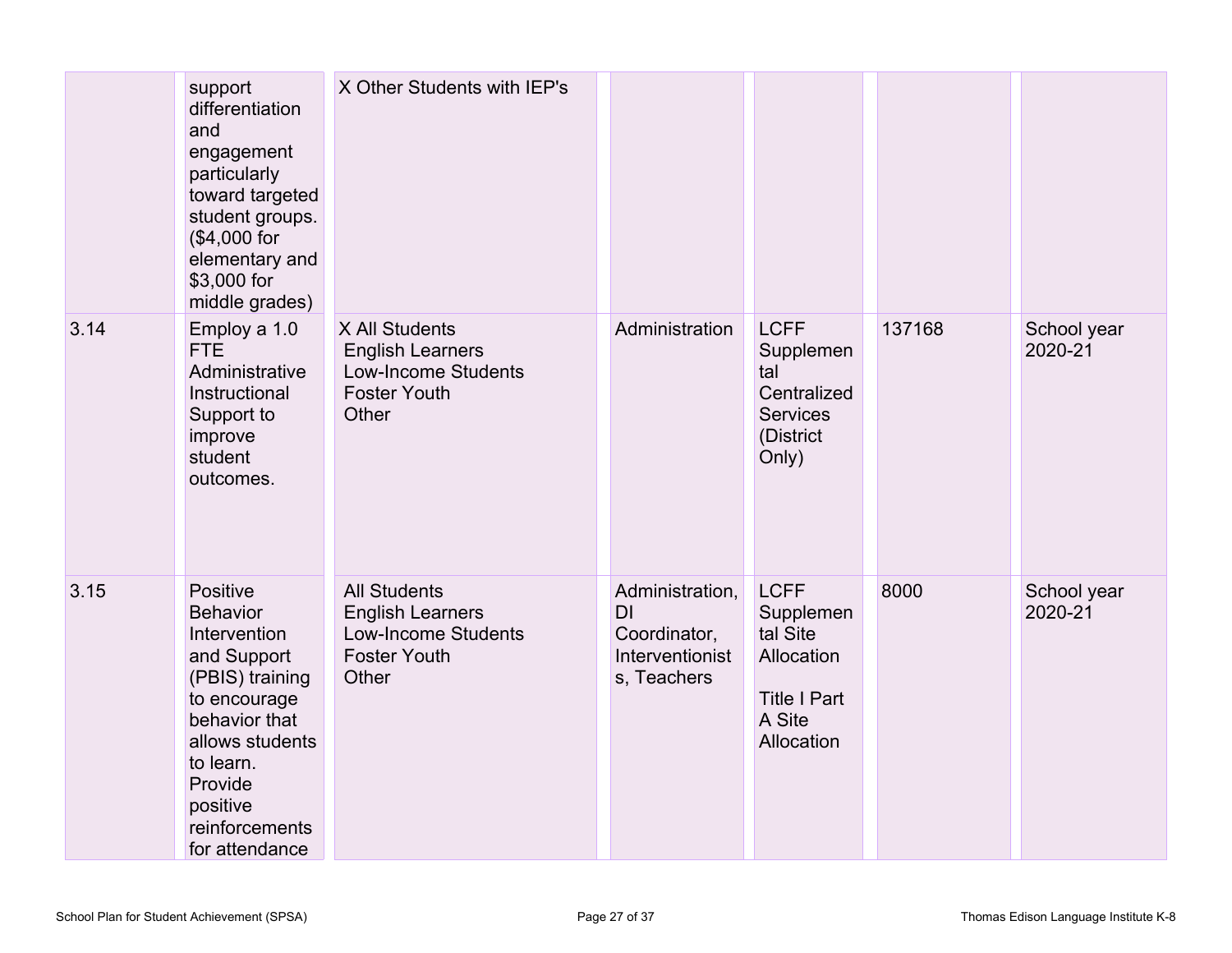|      | support<br>differentiation<br>and<br>engagement<br>particularly<br>toward targeted<br>student groups.<br>(\$4,000 for<br>elementary and<br>\$3,000 for<br>middle grades)                                  | X Other Students with IEP's                                                                                  |                                                                         |                                                                                                   |        |                        |
|------|-----------------------------------------------------------------------------------------------------------------------------------------------------------------------------------------------------------|--------------------------------------------------------------------------------------------------------------|-------------------------------------------------------------------------|---------------------------------------------------------------------------------------------------|--------|------------------------|
| 3.14 | Employ a 1.0<br>FTE.<br>Administrative<br>Instructional<br>Support to<br>improve<br>student<br>outcomes.                                                                                                  | X All Students<br><b>English Learners</b><br><b>Low-Income Students</b><br><b>Foster Youth</b><br>Other      | Administration                                                          | <b>LCFF</b><br>Supplemen<br>tal<br>Centralized<br><b>Services</b><br>(District<br>Only)           | 137168 | School year<br>2020-21 |
| 3.15 | Positive<br><b>Behavior</b><br>Intervention<br>and Support<br>(PBIS) training<br>to encourage<br>behavior that<br>allows students<br>to learn.<br>Provide<br>positive<br>reinforcements<br>for attendance | <b>All Students</b><br><b>English Learners</b><br><b>Low-Income Students</b><br><b>Foster Youth</b><br>Other | Administration,<br>DI<br>Coordinator,<br>Interventionist<br>s, Teachers | <b>LCFF</b><br>Supplemen<br>tal Site<br>Allocation<br><b>Title I Part</b><br>A Site<br>Allocation | 8000   | School year<br>2020-21 |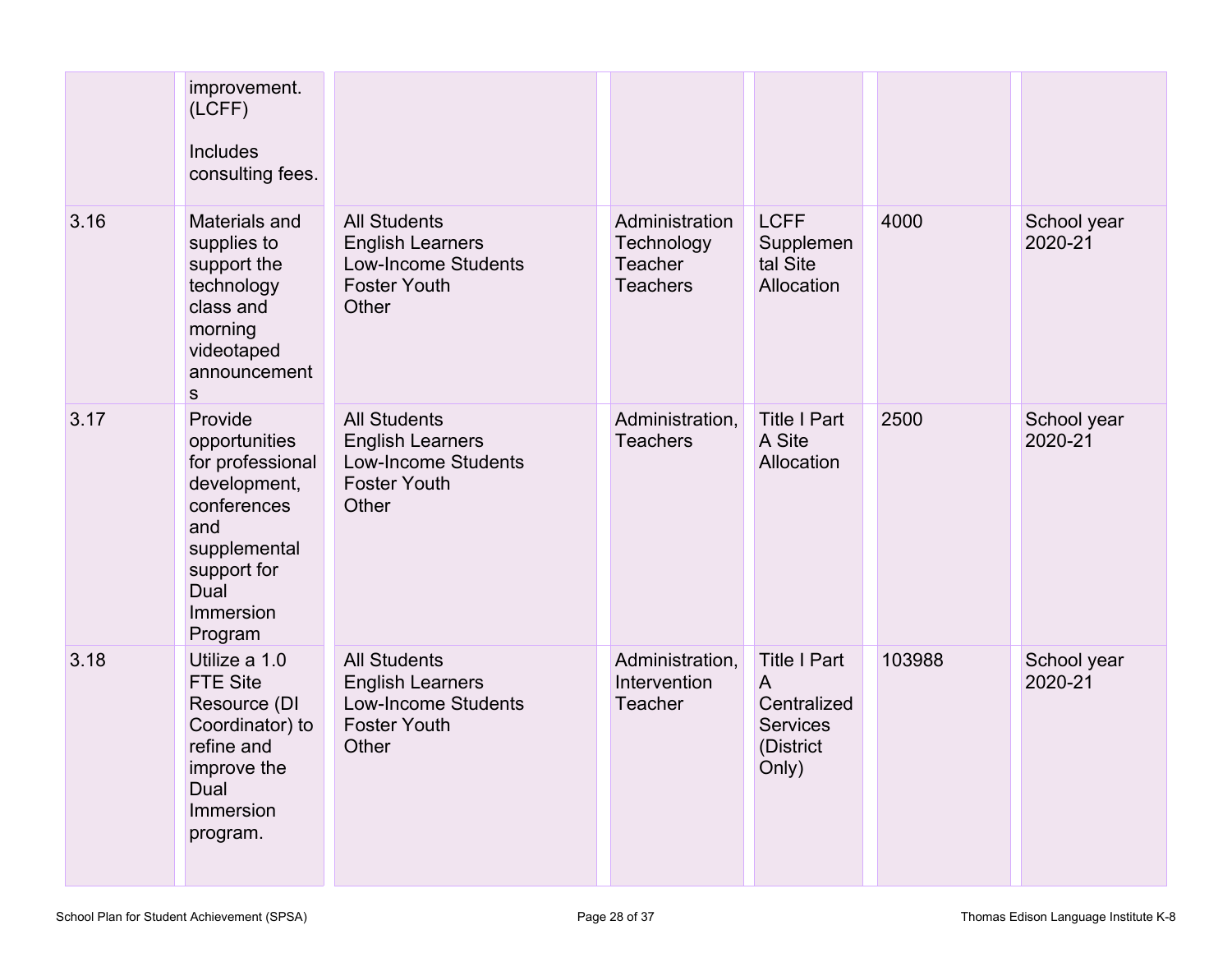|      | improvement.<br>(LCFF)<br>Includes<br>consulting fees.                                                                                            |                                                                                                              |                                                                   |                                                                                  |        |                        |
|------|---------------------------------------------------------------------------------------------------------------------------------------------------|--------------------------------------------------------------------------------------------------------------|-------------------------------------------------------------------|----------------------------------------------------------------------------------|--------|------------------------|
| 3.16 | Materials and<br>supplies to<br>support the<br>technology<br>class and<br>morning<br>videotaped<br>announcement<br>$\mathsf S$                    | <b>All Students</b><br><b>English Learners</b><br><b>Low-Income Students</b><br><b>Foster Youth</b><br>Other | Administration<br>Technology<br><b>Teacher</b><br><b>Teachers</b> | <b>LCFF</b><br>Supplemen<br>tal Site<br>Allocation                               | 4000   | School year<br>2020-21 |
| 3.17 | Provide<br>opportunities<br>for professional<br>development,<br>conferences<br>and<br>supplemental<br>support for<br>Dual<br>Immersion<br>Program | <b>All Students</b><br><b>English Learners</b><br><b>Low-Income Students</b><br><b>Foster Youth</b><br>Other | Administration,<br><b>Teachers</b>                                | <b>Title I Part</b><br>A Site<br>Allocation                                      | 2500   | School year<br>2020-21 |
| 3.18 | Utilize a 1.0<br><b>FTE Site</b><br>Resource (DI<br>Coordinator) to<br>refine and<br>improve the<br>Dual<br>Immersion<br>program.                 | <b>All Students</b><br><b>English Learners</b><br>Low-Income Students<br><b>Foster Youth</b><br>Other        | Administration,<br>Intervention<br><b>Teacher</b>                 | <b>Title I Part</b><br>A<br>Centralized<br><b>Services</b><br>(District<br>Only) | 103988 | School year<br>2020-21 |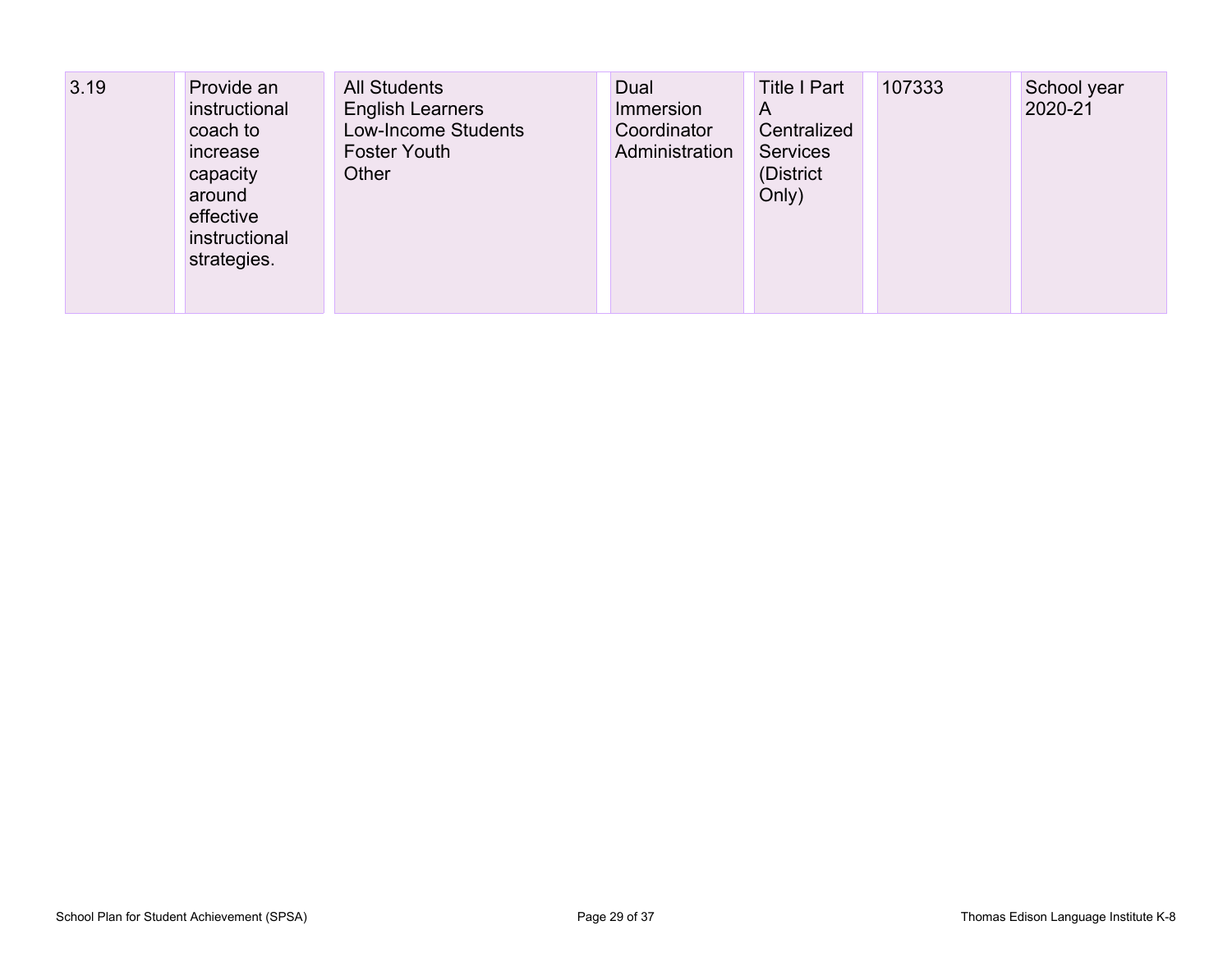| 3.19 | Provide an<br>instructional<br>coach to<br>increase<br>capacity<br>around<br>effective<br>instructional<br>strategies. | <b>All Students</b><br><b>English Learners</b><br>Low-Income Students<br><b>Foster Youth</b><br>Other | Dual<br>Immersion<br>Coordinator<br>Administration | <b>Title I Part</b><br>A<br>Centralized<br><b>Services</b><br>(District<br>Only) | 107333 | School year<br>2020-21 |
|------|------------------------------------------------------------------------------------------------------------------------|-------------------------------------------------------------------------------------------------------|----------------------------------------------------|----------------------------------------------------------------------------------|--------|------------------------|
|------|------------------------------------------------------------------------------------------------------------------------|-------------------------------------------------------------------------------------------------------|----------------------------------------------------|----------------------------------------------------------------------------------|--------|------------------------|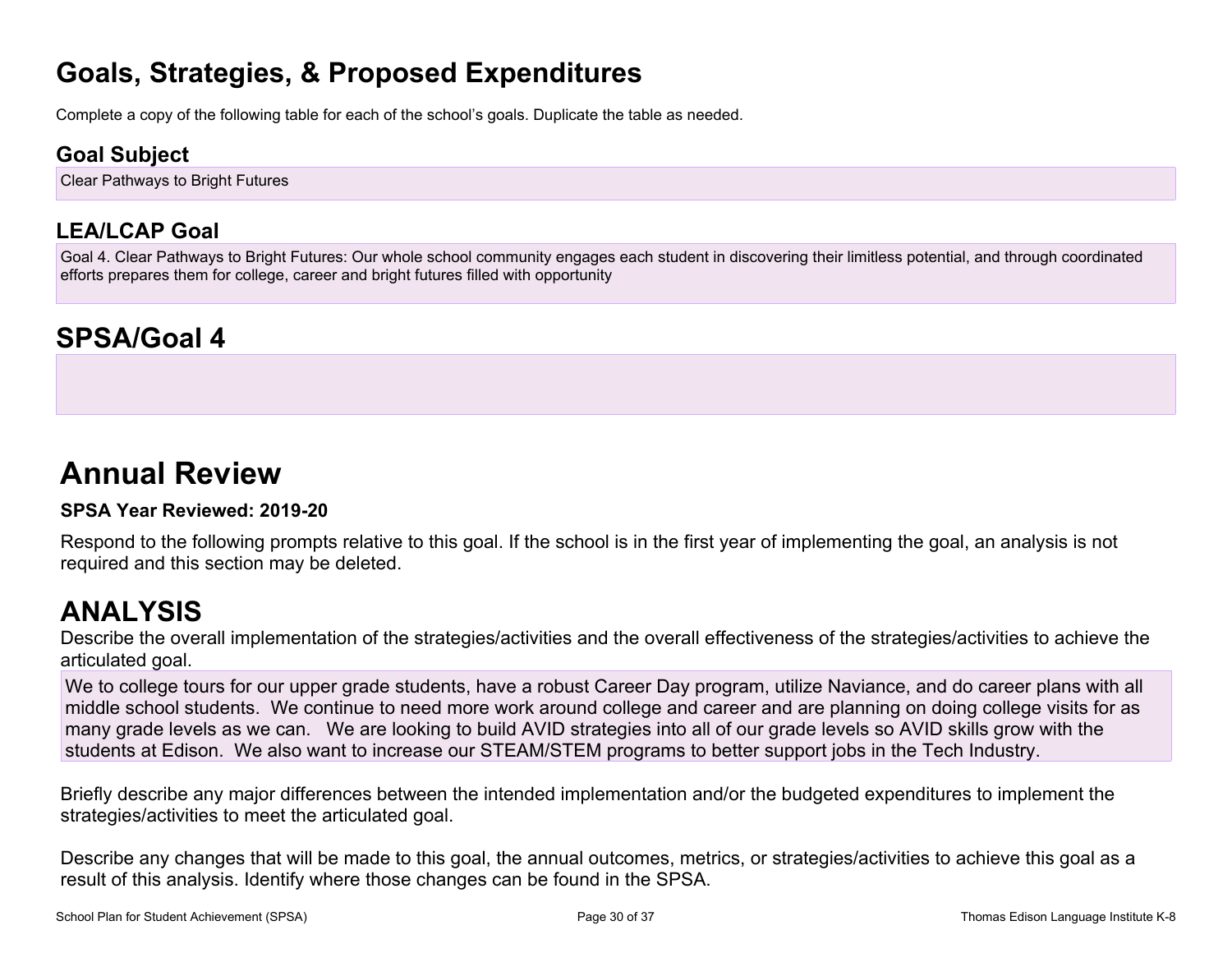# **Goals, Strategies, & Proposed Expenditures**

Complete a copy of the following table for each of the school's goals. Duplicate the table as needed.

### **Goal Subject**

Clear Pathways to Bright Futures

### **LEA/LCAP Goal**

Goal 4. Clear Pathways to Bright Futures: Our whole school community engages each student in discovering their limitless potential, and through coordinated efforts prepares them for college, career and bright futures filled with opportunity

# **SPSA/Goal 4**

# **Annual Review**

#### **SPSA Year Reviewed: 2019-20**

Respond to the following prompts relative to this goal. If the school is in the first year of implementing the goal, an analysis is not required and this section may be deleted.

# **ANALYSIS**

Describe the overall implementation of the strategies/activities and the overall effectiveness of the strategies/activities to achieve the articulated goal.

We to college tours for our upper grade students, have a robust Career Day program, utilize Naviance, and do career plans with all middle school students. We continue to need more work around college and career and are planning on doing college visits for as many grade levels as we can. We are looking to build AVID strategies into all of our grade levels so AVID skills grow with the students at Edison. We also want to increase our STEAM/STEM programs to better support jobs in the Tech Industry.

Briefly describe any major differences between the intended implementation and/or the budgeted expenditures to implement the strategies/activities to meet the articulated goal.

Describe any changes that will be made to this goal, the annual outcomes, metrics, or strategies/activities to achieve this goal as a result of this analysis. Identify where those changes can be found in the SPSA.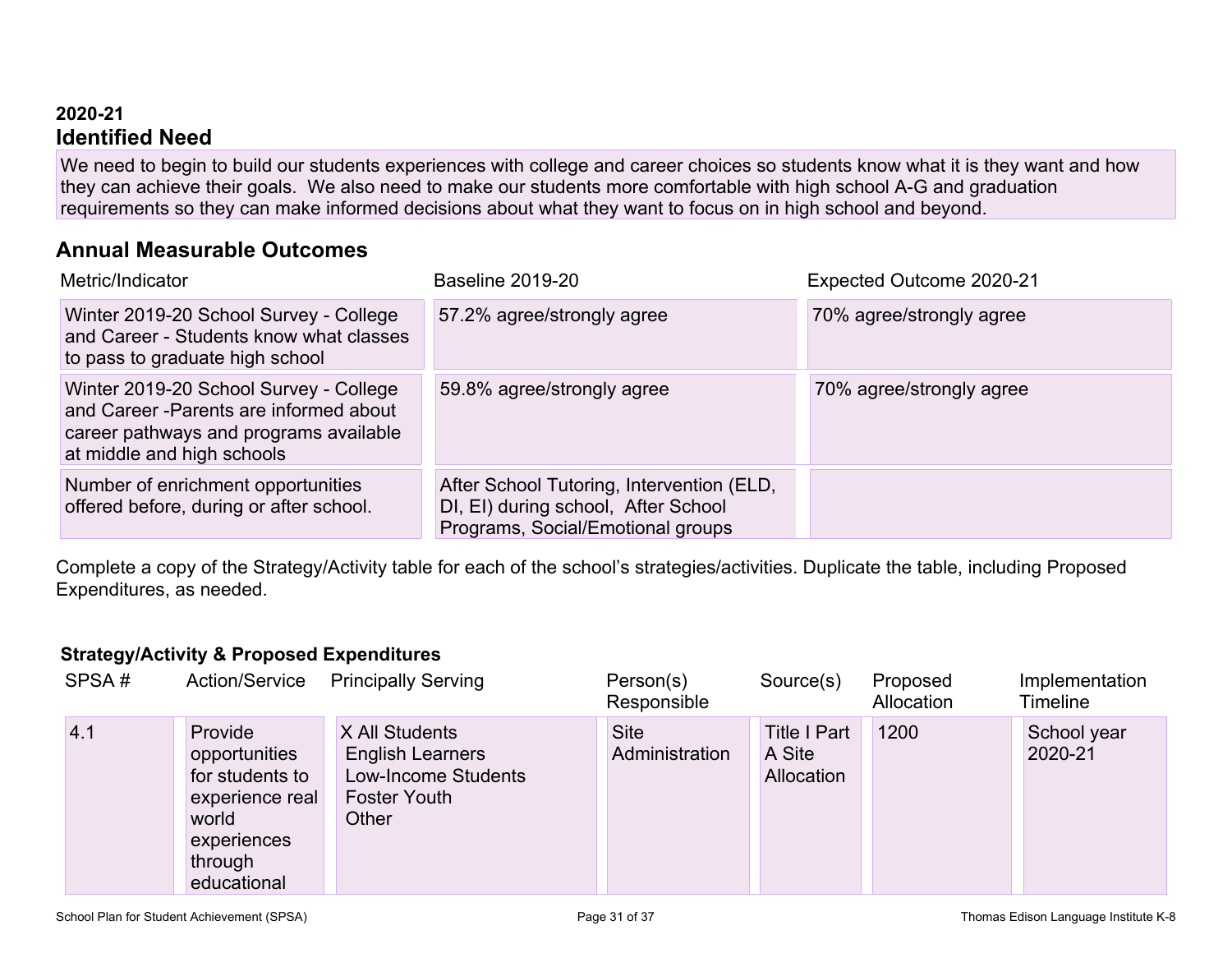#### **2020-21 Identified Need**

We need to begin to build our students experiences with college and career choices so students know what it is they want and how they can achieve their goals. We also need to make our students more comfortable with high school A-G and graduation requirements so they can make informed decisions about what they want to focus on in high school and beyond.

### **Annual Measurable Outcomes**

| Metric/Indicator                                                                                                                                          | <b>Baseline 2019-20</b>                                                                                               | Expected Outcome 2020-21 |
|-----------------------------------------------------------------------------------------------------------------------------------------------------------|-----------------------------------------------------------------------------------------------------------------------|--------------------------|
| Winter 2019-20 School Survey - College<br>and Career - Students know what classes<br>to pass to graduate high school                                      | 57.2% agree/strongly agree                                                                                            | 70% agree/strongly agree |
| Winter 2019-20 School Survey - College<br>and Career - Parents are informed about<br>career pathways and programs available<br>at middle and high schools | 59.8% agree/strongly agree                                                                                            | 70% agree/strongly agree |
| Number of enrichment opportunities<br>offered before, during or after school.                                                                             | After School Tutoring, Intervention (ELD,<br>DI, EI) during school, After School<br>Programs, Social/Emotional groups |                          |

Complete a copy of the Strategy/Activity table for each of the school's strategies/activities. Duplicate the table, including Proposed Expenditures, as needed.

#### **Strategy/Activity & Proposed Expenditures**

| SPSA# | Action/Service                                                                                                   | <b>Principally Serving</b>                                                                       | Person(s)<br>Responsible      | Source(s)                                   | Proposed<br>Allocation | Implementation<br>Timeline |
|-------|------------------------------------------------------------------------------------------------------------------|--------------------------------------------------------------------------------------------------|-------------------------------|---------------------------------------------|------------------------|----------------------------|
| 4.1   | Provide<br>opportunities<br>for students to<br>experience real<br>world<br>experiences<br>through<br>educational | X All Students<br><b>English Learners</b><br>Low-Income Students<br><b>Foster Youth</b><br>Other | <b>Site</b><br>Administration | <b>Title I Part</b><br>A Site<br>Allocation | 1200                   | School year<br>2020-21     |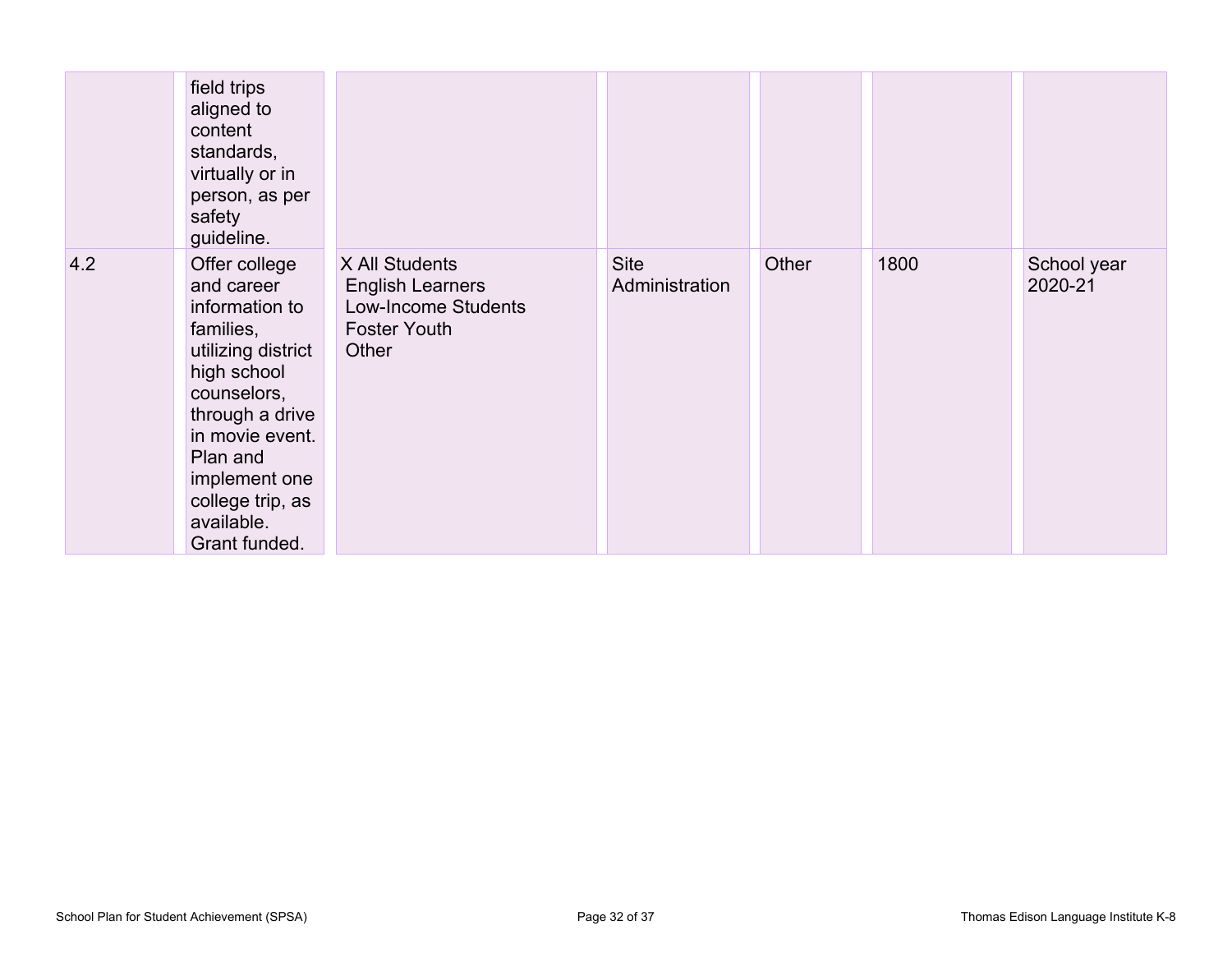|     | field trips<br>aligned to<br>content<br>standards,<br>virtually or in<br>person, as per<br>safety<br>guideline.                                                                                                                      |                                                                                                  |                               |       |      |                        |
|-----|--------------------------------------------------------------------------------------------------------------------------------------------------------------------------------------------------------------------------------------|--------------------------------------------------------------------------------------------------|-------------------------------|-------|------|------------------------|
| 4.2 | Offer college<br>and career<br>information to<br>families,<br>utilizing district<br>high school<br>counselors,<br>through a drive<br>in movie event.<br>Plan and<br>implement one<br>college trip, as<br>available.<br>Grant funded. | X All Students<br><b>English Learners</b><br>Low-Income Students<br><b>Foster Youth</b><br>Other | <b>Site</b><br>Administration | Other | 1800 | School year<br>2020-21 |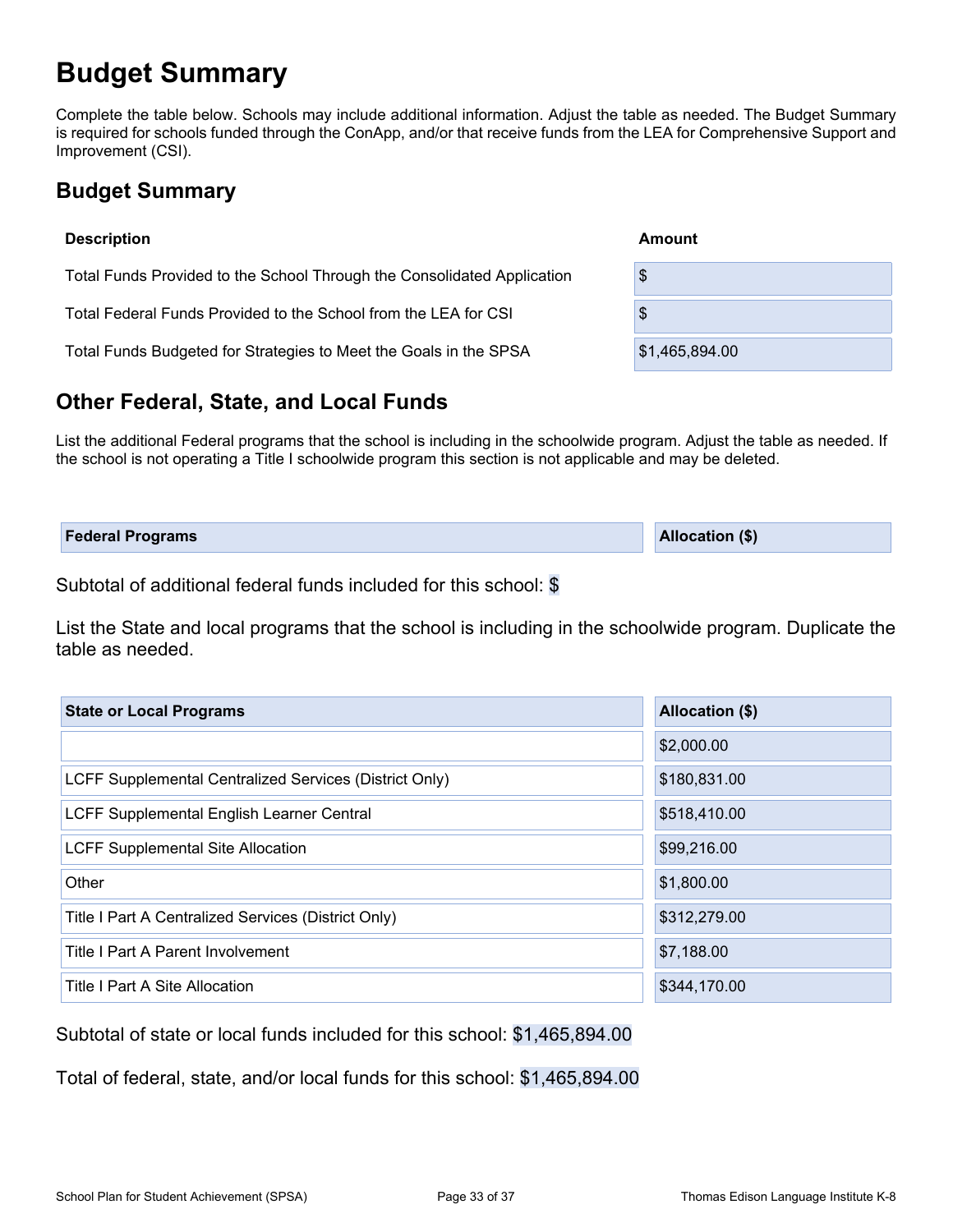# **Budget Summary**

Complete the table below. Schools may include additional information. Adjust the table as needed. The Budget Summary is required for schools funded through the ConApp, and/or that receive funds from the LEA for Comprehensive Support and Improvement (CSI).

### **Budget Summary**

| <b>Description</b>                                                      | Amount         |
|-------------------------------------------------------------------------|----------------|
| Total Funds Provided to the School Through the Consolidated Application | \$             |
| Total Federal Funds Provided to the School from the LEA for CSI         | \$             |
| Total Funds Budgeted for Strategies to Meet the Goals in the SPSA       | \$1,465,894.00 |

### **Other Federal, State, and Local Funds**

List the additional Federal programs that the school is including in the schoolwide program. Adjust the table as needed. If the school is not operating a Title I schoolwide program this section is not applicable and may be deleted.

|--|

Subtotal of additional federal funds included for this school: \$

List the State and local programs that the school is including in the schoolwide program. Duplicate the table as needed.

| <b>State or Local Programs</b>                         | Allocation (\$) |
|--------------------------------------------------------|-----------------|
|                                                        | \$2,000.00      |
| LCFF Supplemental Centralized Services (District Only) | \$180,831.00    |
| LCFF Supplemental English Learner Central              | \$518,410.00    |
| <b>LCFF Supplemental Site Allocation</b>               | \$99,216.00     |
| Other                                                  | \$1,800.00      |
| Title I Part A Centralized Services (District Only)    | \$312,279.00    |
| Title I Part A Parent Involvement                      | \$7,188.00      |
| Title I Part A Site Allocation                         | \$344,170.00    |

Subtotal of state or local funds included for this school: \$1,465,894.00

Total of federal, state, and/or local funds for this school: \$1,465,894.00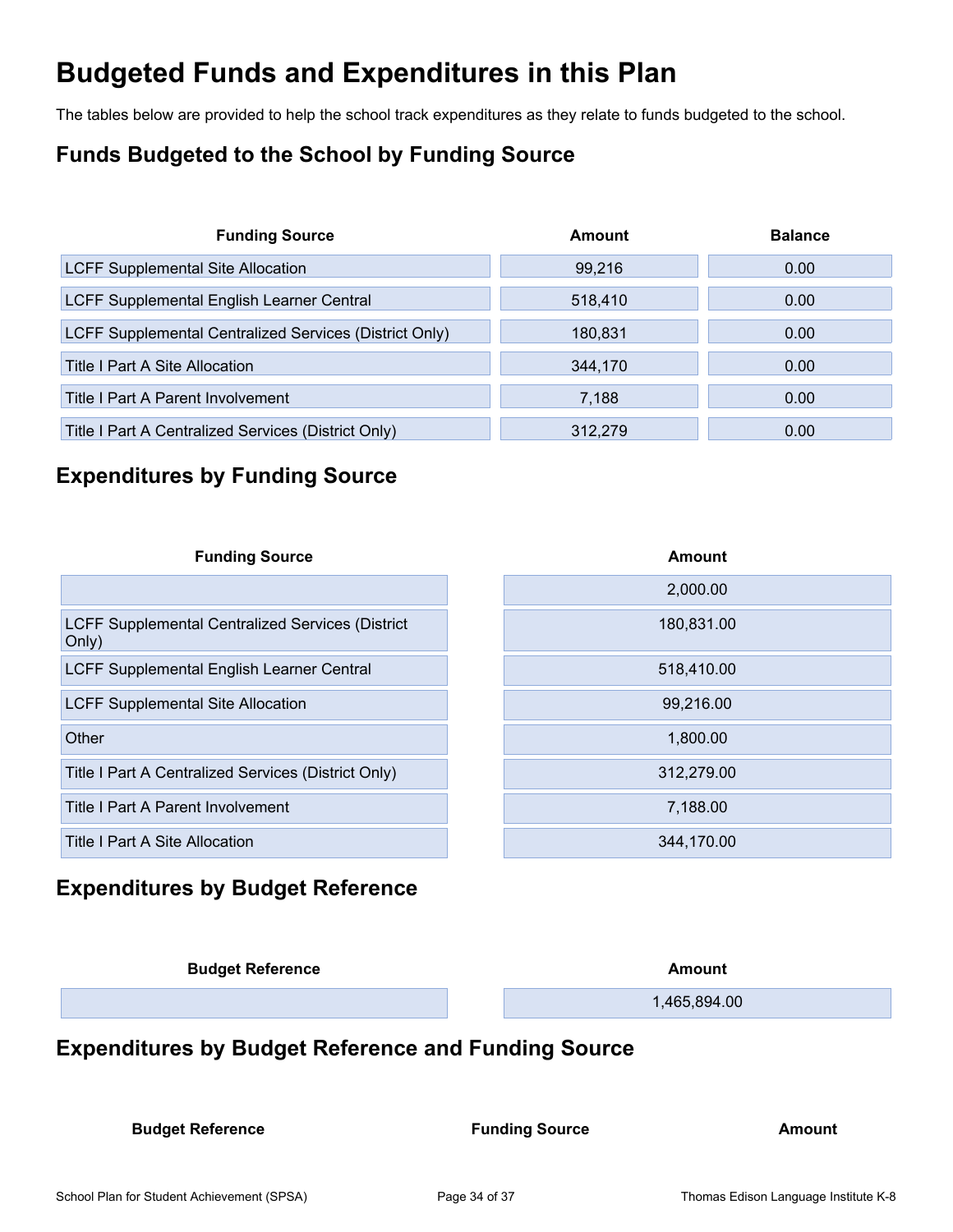# **Budgeted Funds and Expenditures in this Plan**

The tables below are provided to help the school track expenditures as they relate to funds budgeted to the school.

### **Funds Budgeted to the School by Funding Source**

| <b>Funding Source</b>                                  | Amount  | <b>Balance</b> |
|--------------------------------------------------------|---------|----------------|
| <b>LCFF Supplemental Site Allocation</b>               | 99,216  | 0.00           |
| LCFF Supplemental English Learner Central              | 518,410 | 0.00           |
| LCFF Supplemental Centralized Services (District Only) | 180.831 | 0.00           |
| <b>Title I Part A Site Allocation</b>                  | 344,170 | 0.00           |
| Title I Part A Parent Involvement                      | 7,188   | 0.00           |
| Title I Part A Centralized Services (District Only)    | 312,279 | 0.00           |

### **Expenditures by Funding Source**

| <b>Funding Source</b>                                            | Amount     |
|------------------------------------------------------------------|------------|
|                                                                  | 2,000.00   |
| <b>LCFF Supplemental Centralized Services (District</b><br>Only) | 180,831.00 |
| LCFF Supplemental English Learner Central                        | 518,410.00 |
| <b>LCFF Supplemental Site Allocation</b>                         | 99,216.00  |
| Other                                                            | 1,800.00   |
| Title I Part A Centralized Services (District Only)              | 312,279.00 |
| Title I Part A Parent Involvement                                | 7,188.00   |
| Title I Part A Site Allocation                                   | 344,170.00 |

### **Expenditures by Budget Reference**

| <b>Budget Reference</b> | Amount       |
|-------------------------|--------------|
|                         | 1,465,894.00 |
|                         |              |

### **Expenditures by Budget Reference and Funding Source**

**Budget Reference Funding Source Amount**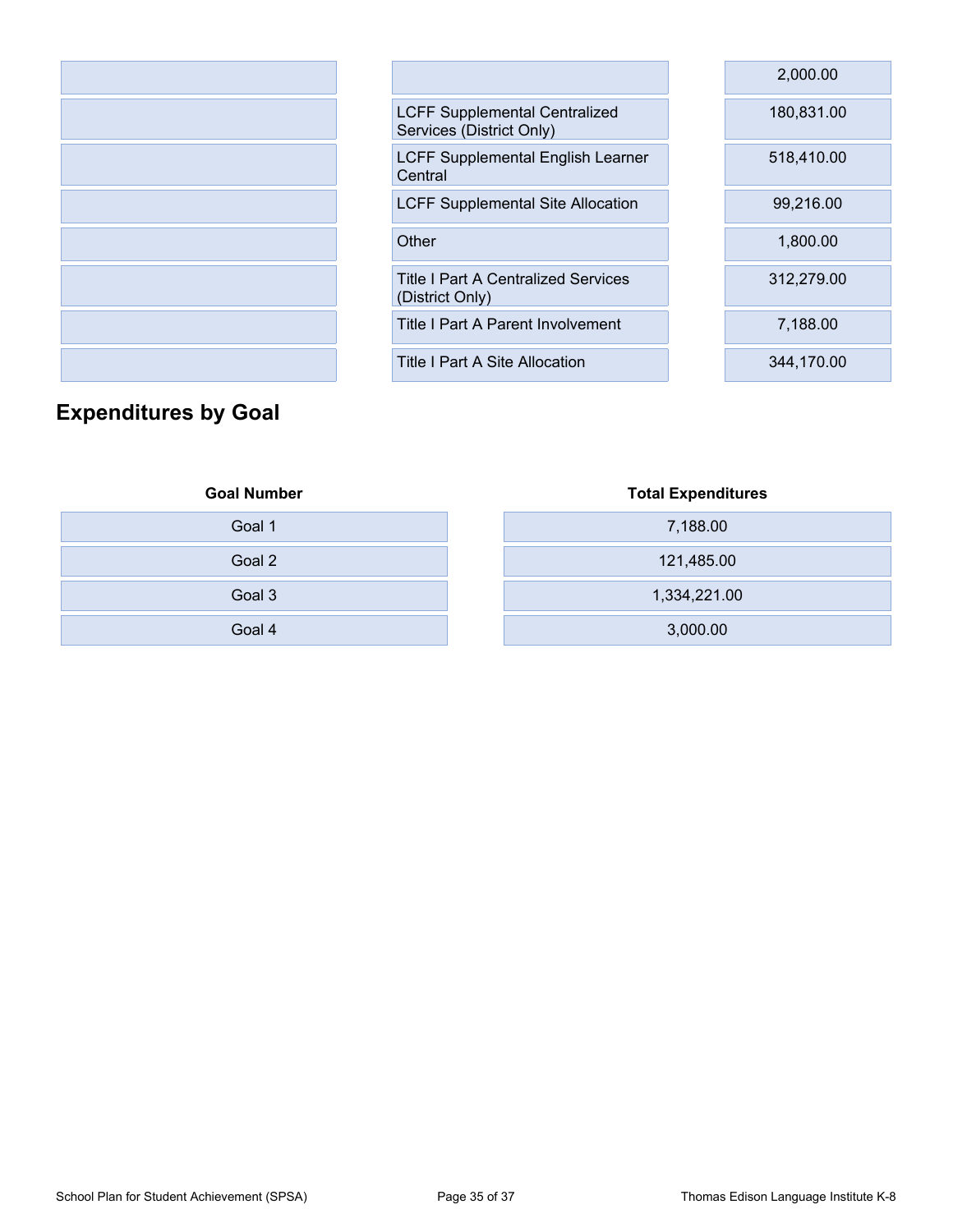|                                                                  | 2,000.00   |
|------------------------------------------------------------------|------------|
| <b>LCFF Supplemental Centralized</b><br>Services (District Only) | 180,831.00 |
| LCFF Supplemental English Learner<br>Central                     | 518,410.00 |
| <b>LCFF Supplemental Site Allocation</b>                         | 99,216.00  |
| Other                                                            | 1,800.00   |
| <b>Title I Part A Centralized Services</b><br>(District Only)    | 312,279.00 |
| Title I Part A Parent Involvement                                | 7,188.00   |
| Title I Part A Site Allocation                                   | 344,170.00 |

### **Expenditures by Goal**

| <b>Goal Number</b> | <b>Total Expenditures</b> |
|--------------------|---------------------------|
| Goal 1             | 7,188.00                  |
| Goal 2             | 121,485.00                |
| Goal 3             | 1,334,221.00              |
| Goal 4             | 3,000.00                  |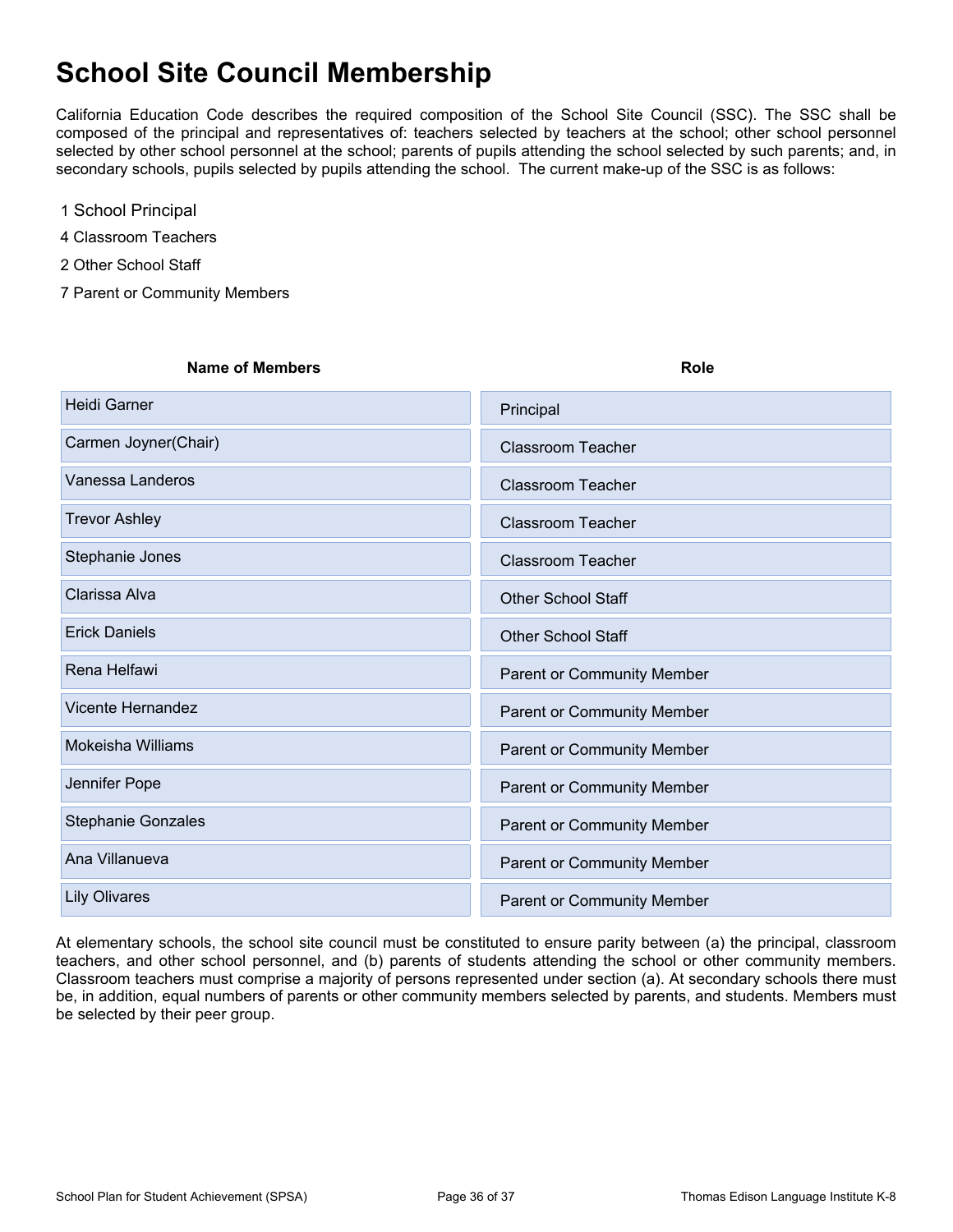# **School Site Council Membership**

California Education Code describes the required composition of the School Site Council (SSC). The SSC shall be composed of the principal and representatives of: teachers selected by teachers at the school; other school personnel selected by other school personnel at the school; parents of pupils attending the school selected by such parents; and, in secondary schools, pupils selected by pupils attending the school. The current make-up of the SSC is as follows:

- 1 School Principal
- 4 Classroom Teachers
- 2 Other School Staff
- 7 Parent or Community Members

#### **Name of Members Role Role Role Role Role**

| <b>Heidi Garner</b>       | Principal                         |
|---------------------------|-----------------------------------|
| Carmen Joyner(Chair)      | <b>Classroom Teacher</b>          |
| Vanessa Landeros          | <b>Classroom Teacher</b>          |
| <b>Trevor Ashley</b>      | <b>Classroom Teacher</b>          |
| Stephanie Jones           | <b>Classroom Teacher</b>          |
| Clarissa Alva             | <b>Other School Staff</b>         |
| <b>Erick Daniels</b>      | <b>Other School Staff</b>         |
| Rena Helfawi              | Parent or Community Member        |
| <b>Vicente Hernandez</b>  | Parent or Community Member        |
| <b>Mokeisha Williams</b>  | Parent or Community Member        |
| Jennifer Pope             | Parent or Community Member        |
| <b>Stephanie Gonzales</b> | Parent or Community Member        |
| Ana Villanueva            | Parent or Community Member        |
| <b>Lily Olivares</b>      | <b>Parent or Community Member</b> |

At elementary schools, the school site council must be constituted to ensure parity between (a) the principal, classroom teachers, and other school personnel, and (b) parents of students attending the school or other community members. Classroom teachers must comprise a majority of persons represented under section (a). At secondary schools there must be, in addition, equal numbers of parents or other community members selected by parents, and students. Members must be selected by their peer group.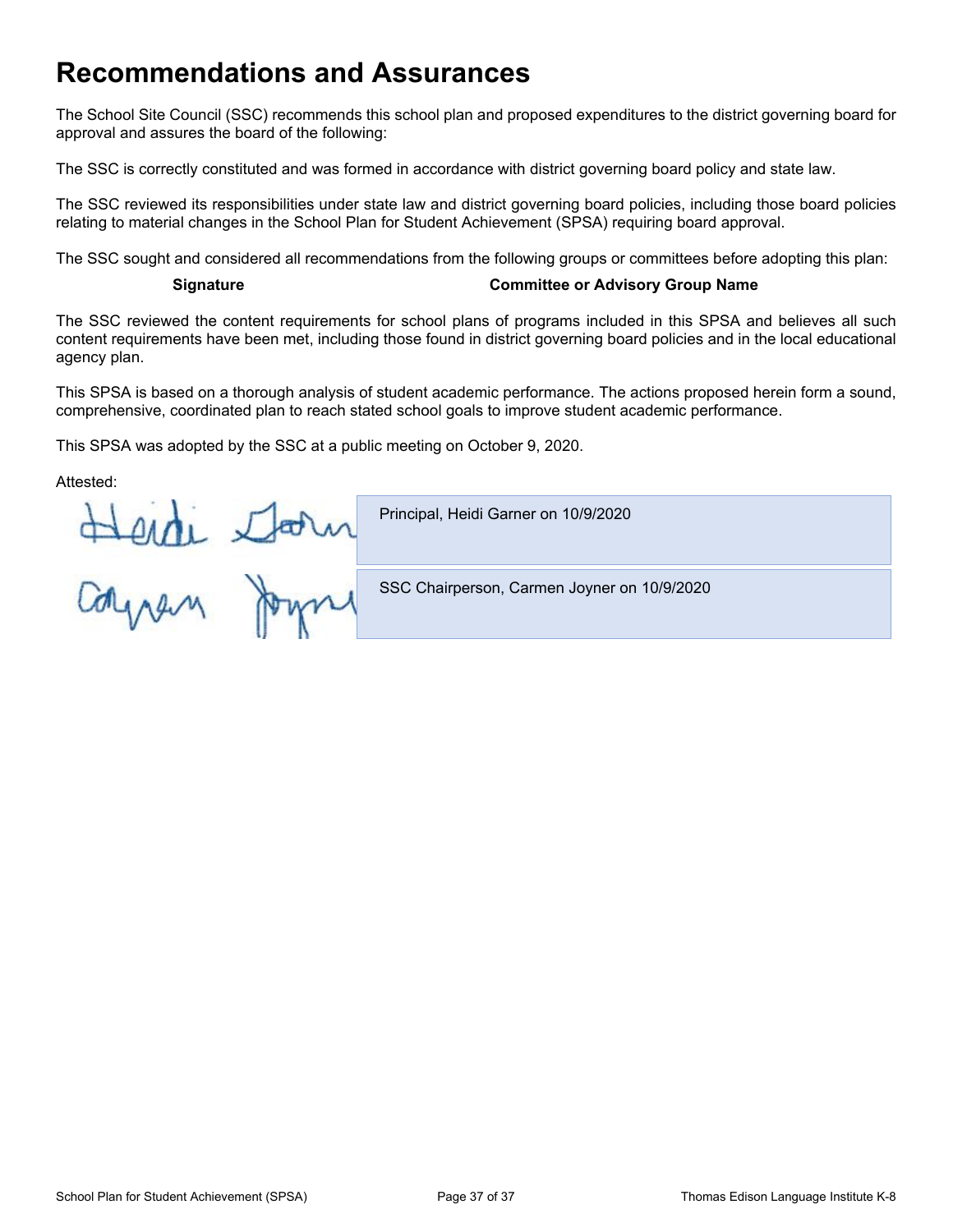# **Recommendations and Assurances**

The School Site Council (SSC) recommends this school plan and proposed expenditures to the district governing board for approval and assures the board of the following:

The SSC is correctly constituted and was formed in accordance with district governing board policy and state law.

The SSC reviewed its responsibilities under state law and district governing board policies, including those board policies relating to material changes in the School Plan for Student Achievement (SPSA) requiring board approval.

The SSC sought and considered all recommendations from the following groups or committees before adopting this plan:

#### **Signature Committee or Advisory Group Name**

The SSC reviewed the content requirements for school plans of programs included in this SPSA and believes all such content requirements have been met, including those found in district governing board policies and in the local educational agency plan.

This SPSA is based on a thorough analysis of student academic performance. The actions proposed herein form a sound, comprehensive, coordinated plan to reach stated school goals to improve student academic performance.

This SPSA was adopted by the SSC at a public meeting on October 9, 2020.

Attested:

Herdi Starn Principal, Heidi Garner on 10/9/2020 SSC Chairperson, Carmen Joyner on 10/9/2020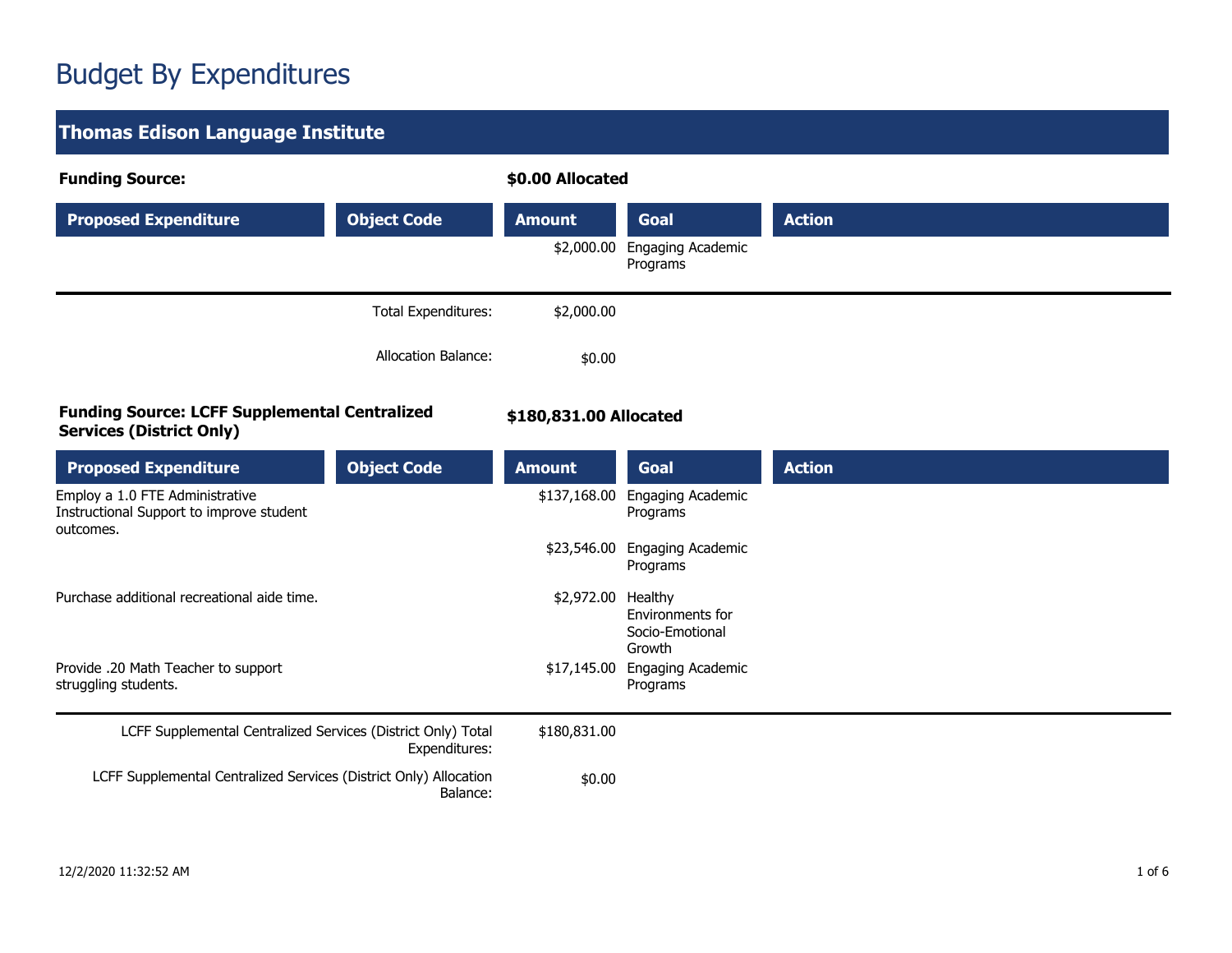# Budget By Expenditures

| <b>Thomas Edison Language Institute</b>                                                  |                            |                        |                                               |               |  |
|------------------------------------------------------------------------------------------|----------------------------|------------------------|-----------------------------------------------|---------------|--|
| <b>Funding Source:</b>                                                                   |                            | \$0.00 Allocated       |                                               |               |  |
| <b>Proposed Expenditure</b>                                                              | <b>Object Code</b>         | <b>Amount</b>          | Goal                                          | <b>Action</b> |  |
|                                                                                          |                            | \$2,000.00             | Engaging Academic<br>Programs                 |               |  |
|                                                                                          | <b>Total Expenditures:</b> | \$2,000.00             |                                               |               |  |
|                                                                                          | Allocation Balance:        | \$0.00                 |                                               |               |  |
| <b>Funding Source: LCFF Supplemental Centralized</b><br><b>Services (District Only)</b>  |                            | \$180,831.00 Allocated |                                               |               |  |
| <b>Proposed Expenditure</b>                                                              | <b>Object Code</b>         | <b>Amount</b>          | Goal                                          | <b>Action</b> |  |
| Employ a 1.0 FTE Administrative<br>Instructional Support to improve student<br>outcomes. |                            | \$137,168.00           | Engaging Academic<br>Programs                 |               |  |
|                                                                                          |                            |                        | \$23,546.00 Engaging Academic<br>Programs     |               |  |
| Purchase additional recreational aide time.                                              |                            | \$2,972.00 Healthy     | Environments for<br>Socio-Emotional<br>Growth |               |  |
| Provide .20 Math Teacher to support<br>struggling students.                              |                            | \$17,145.00            | Engaging Academic<br>Programs                 |               |  |
| LCFF Supplemental Centralized Services (District Only) Total<br>Expenditures:            |                            | \$180,831.00           |                                               |               |  |
| LCFF Supplemental Centralized Services (District Only) Allocation                        | Balance:                   | \$0.00                 |                                               |               |  |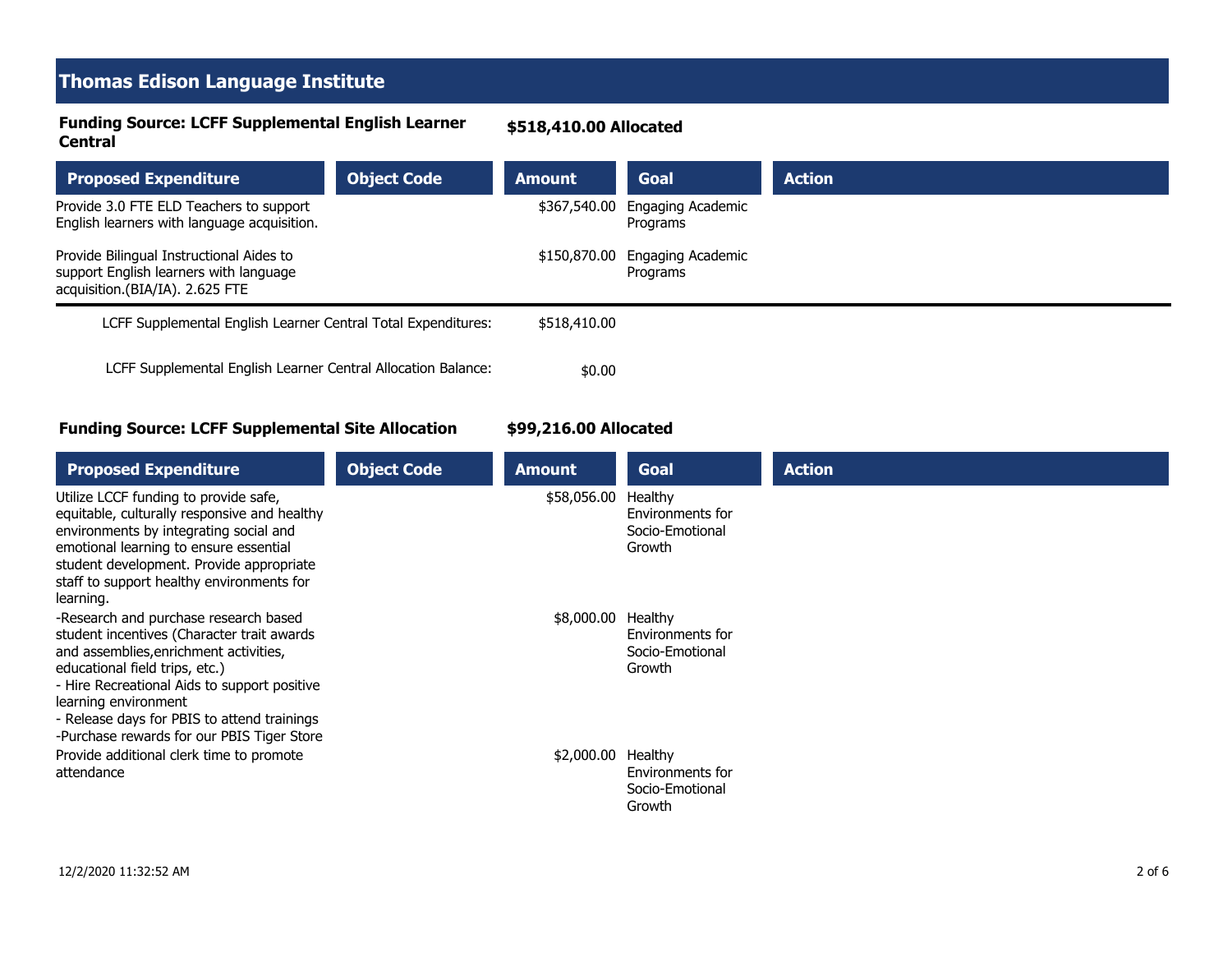### **Thomas Edison Language Institute**

#### **Funding Source: LCFF Supplemental English Learner Central**

#### **\$518,410.00 Allocated**

| <b>Proposed Expenditure</b>                                                                                           | <b>Object Code</b> | <b>Amount</b> | <b>Goal</b>                   | <b>Action</b> |
|-----------------------------------------------------------------------------------------------------------------------|--------------------|---------------|-------------------------------|---------------|
| Provide 3.0 FTE ELD Teachers to support<br>English learners with language acquisition.                                |                    | \$367,540.00  | Engaging Academic<br>Programs |               |
| Provide Bilingual Instructional Aides to<br>support English learners with language<br>acquisition.(BIA/IA). 2.625 FTE |                    | \$150,870.00  | Engaging Academic<br>Programs |               |
| LCFF Supplemental English Learner Central Total Expenditures:                                                         |                    | \$518,410.00  |                               |               |
| LCFF Supplemental English Learner Central Allocation Balance:                                                         |                    | \$0.00        |                               |               |

#### **Funding Source: LCFF Supplemental Site Allocation**

#### **\$99,216.00 Allocated**

| <b>Proposed Expenditure</b>                                                                                                                                                                                                                                                                                                          | <b>Object Code</b> | <b>Amount</b> | Goal                                                     | <b>Action</b> |
|--------------------------------------------------------------------------------------------------------------------------------------------------------------------------------------------------------------------------------------------------------------------------------------------------------------------------------------|--------------------|---------------|----------------------------------------------------------|---------------|
| Utilize LCCF funding to provide safe,<br>equitable, culturally responsive and healthy<br>environments by integrating social and<br>emotional learning to ensure essential<br>student development. Provide appropriate<br>staff to support healthy environments for<br>learning.                                                      |                    | \$58,056.00   | Healthy<br>Environments for<br>Socio-Emotional<br>Growth |               |
| -Research and purchase research based<br>student incentives (Character trait awards<br>and assemblies, enrichment activities,<br>educational field trips, etc.)<br>- Hire Recreational Aids to support positive<br>learning environment<br>- Release days for PBIS to attend trainings<br>-Purchase rewards for our PBIS Tiger Store |                    | \$8,000.00    | Healthy<br>Environments for<br>Socio-Emotional<br>Growth |               |
| Provide additional clerk time to promote<br>attendance                                                                                                                                                                                                                                                                               |                    | \$2,000.00    | Healthy<br>Environments for<br>Socio-Emotional<br>Growth |               |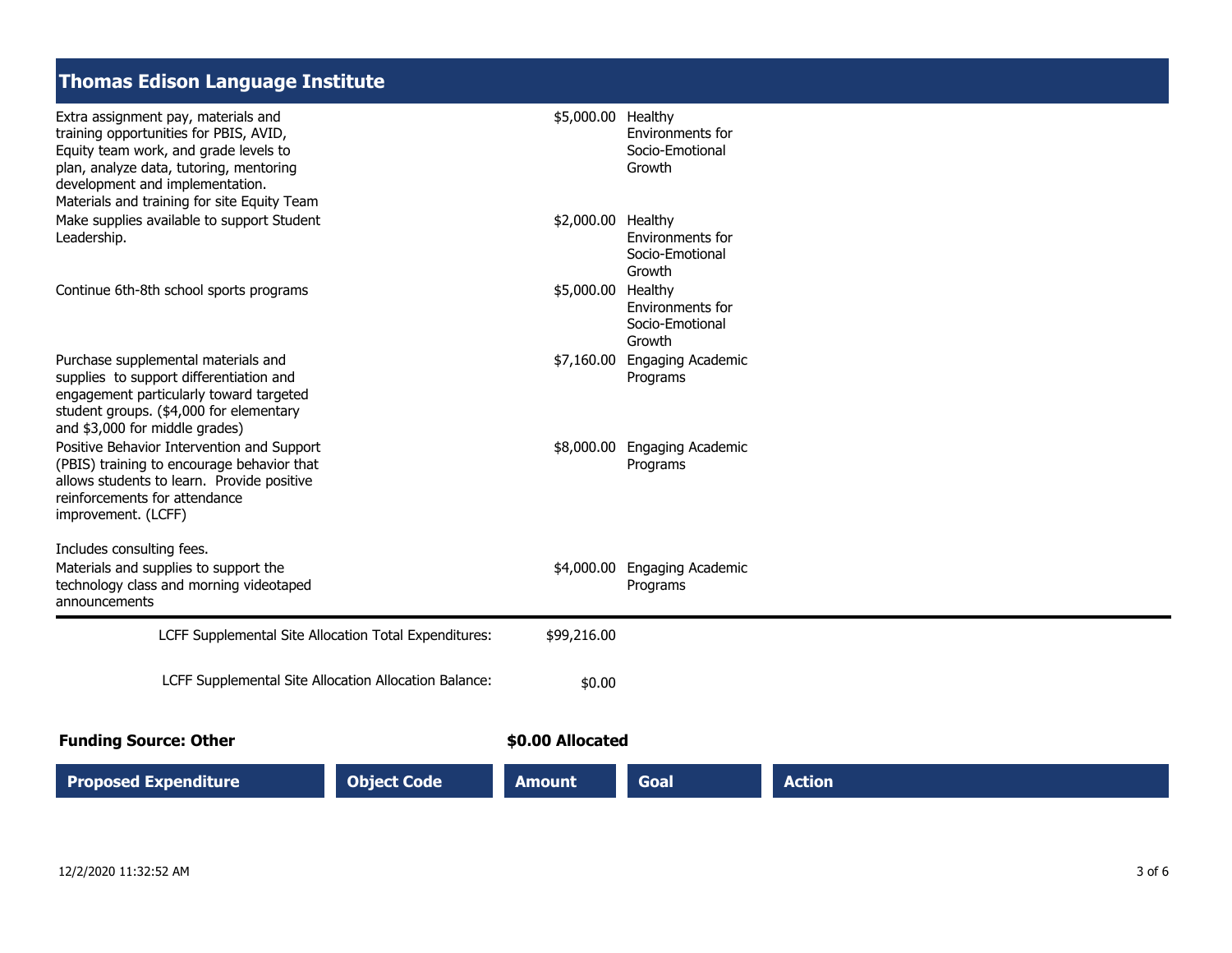## **Thomas Edison Language Institute**

| <b>Proposed Expenditure</b>                                                                                                                                                                                                                                               | <b>Object Code</b>                                    | <b>Amount</b>      | Goal                                                                       | <b>Action</b> |
|---------------------------------------------------------------------------------------------------------------------------------------------------------------------------------------------------------------------------------------------------------------------------|-------------------------------------------------------|--------------------|----------------------------------------------------------------------------|---------------|
| <b>Funding Source: Other</b>                                                                                                                                                                                                                                              |                                                       | \$0.00 Allocated   |                                                                            |               |
|                                                                                                                                                                                                                                                                           | LCFF Supplemental Site Allocation Allocation Balance: | \$0.00             |                                                                            |               |
|                                                                                                                                                                                                                                                                           | LCFF Supplemental Site Allocation Total Expenditures: | \$99,216.00        |                                                                            |               |
| Includes consulting fees.<br>Materials and supplies to support the<br>technology class and morning videotaped<br>announcements                                                                                                                                            |                                                       |                    | \$4,000.00 Engaging Academic<br>Programs                                   |               |
| and \$3,000 for middle grades)<br>Positive Behavior Intervention and Support<br>(PBIS) training to encourage behavior that<br>allows students to learn. Provide positive<br>reinforcements for attendance<br>improvement. (LCFF)                                          |                                                       |                    | \$8,000.00 Engaging Academic<br>Programs                                   |               |
| Purchase supplemental materials and<br>supplies to support differentiation and<br>engagement particularly toward targeted<br>student groups. (\$4,000 for elementary                                                                                                      |                                                       | \$7,160.00         | <b>Engaging Academic</b><br>Programs                                       |               |
| Continue 6th-8th school sports programs                                                                                                                                                                                                                                   |                                                       | \$5,000.00 Healthy | Socio-Emotional<br>Growth<br>Environments for<br>Socio-Emotional<br>Growth |               |
| training opportunities for PBIS, AVID,<br>Equity team work, and grade levels to<br>plan, analyze data, tutoring, mentoring<br>development and implementation.<br>Materials and training for site Equity Team<br>Make supplies available to support Student<br>Leadership. |                                                       | \$2,000.00 Healthy | Environments for<br>Socio-Emotional<br>Growth<br>Environments for          |               |
| Extra assignment pay, materials and                                                                                                                                                                                                                                       |                                                       | \$5,000.00 Healthy |                                                                            |               |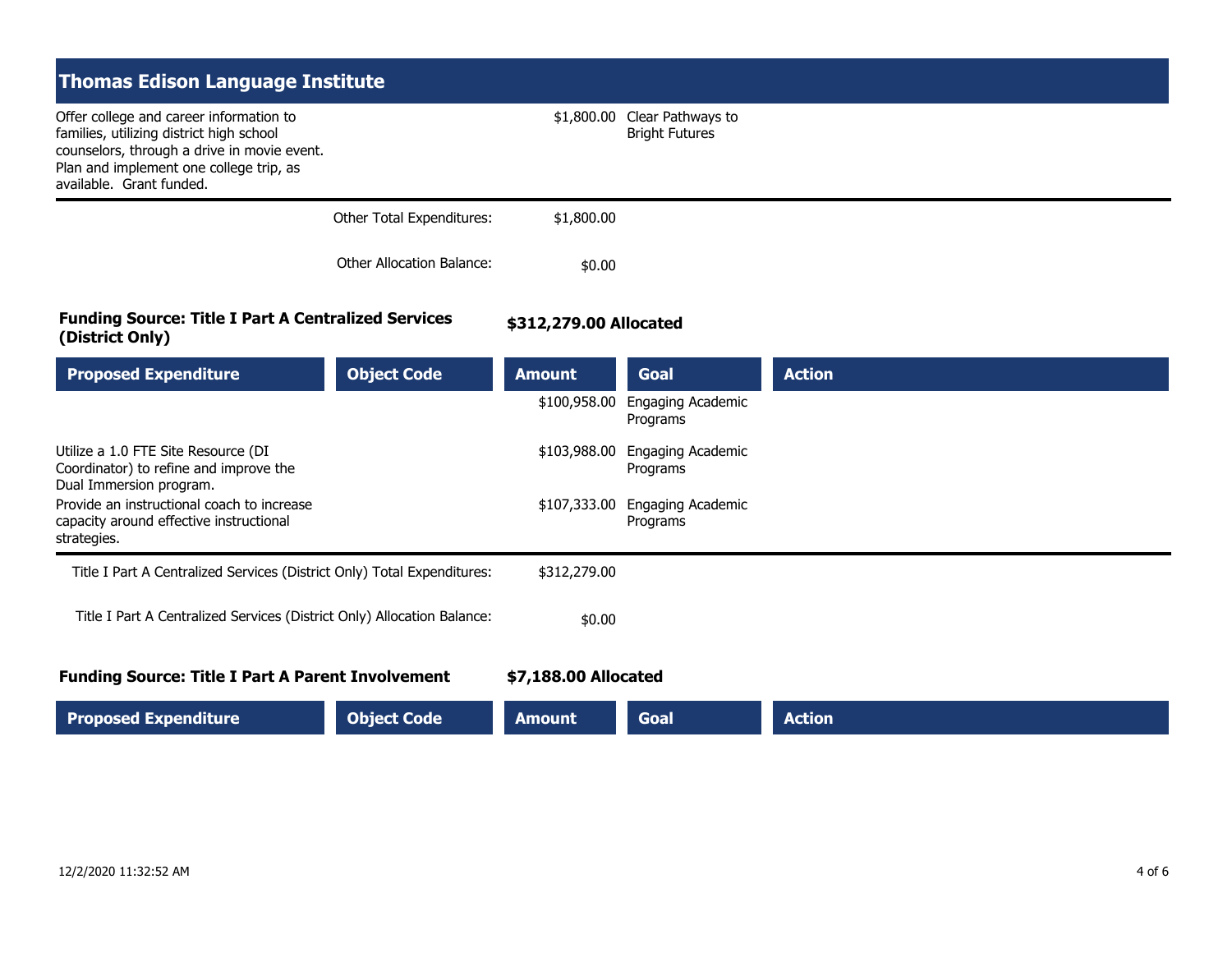| <b>Thomas Edison Language Institute</b><br>Offer college and career information to<br>families, utilizing district high school<br>counselors, through a drive in movie event.<br>Plan and implement one college trip, as |                           | \$1,800.00             | Clear Pathways to<br><b>Bright Futures</b> |               |
|--------------------------------------------------------------------------------------------------------------------------------------------------------------------------------------------------------------------------|---------------------------|------------------------|--------------------------------------------|---------------|
| available. Grant funded.                                                                                                                                                                                                 | Other Total Expenditures: | \$1,800.00             |                                            |               |
|                                                                                                                                                                                                                          | Other Allocation Balance: | \$0.00                 |                                            |               |
| <b>Funding Source: Title I Part A Centralized Services</b><br>(District Only)                                                                                                                                            |                           | \$312,279.00 Allocated |                                            |               |
| <b>Proposed Expenditure</b>                                                                                                                                                                                              | <b>Object Code</b>        | <b>Amount</b>          | <b>Goal</b>                                | <b>Action</b> |

| <b>Proposed Expenditure</b>                                                                              | <b>Object Code</b>   | <b>Amount</b> | Goal                          | <b>Action</b> |
|----------------------------------------------------------------------------------------------------------|----------------------|---------------|-------------------------------|---------------|
|                                                                                                          |                      | \$100,958.00  | Engaging Academic<br>Programs |               |
| Utilize a 1.0 FTE Site Resource (DI<br>Coordinator) to refine and improve the<br>Dual Immersion program. |                      | \$103,988.00  | Engaging Academic<br>Programs |               |
| Provide an instructional coach to increase<br>capacity around effective instructional<br>strategies.     |                      | \$107,333.00  | Engaging Academic<br>Programs |               |
| Title I Part A Centralized Services (District Only) Total Expenditures:                                  |                      | \$312,279.00  |                               |               |
| Title I Part A Centralized Services (District Only) Allocation Balance:                                  |                      | \$0.00        |                               |               |
| <b>Funding Source: Title I Part A Parent Involvement</b>                                                 | \$7,188.00 Allocated |               |                               |               |
| <b>Proposed Expenditure</b>                                                                              | <b>Object Code</b>   | <b>Amount</b> | Goal                          | <b>Action</b> |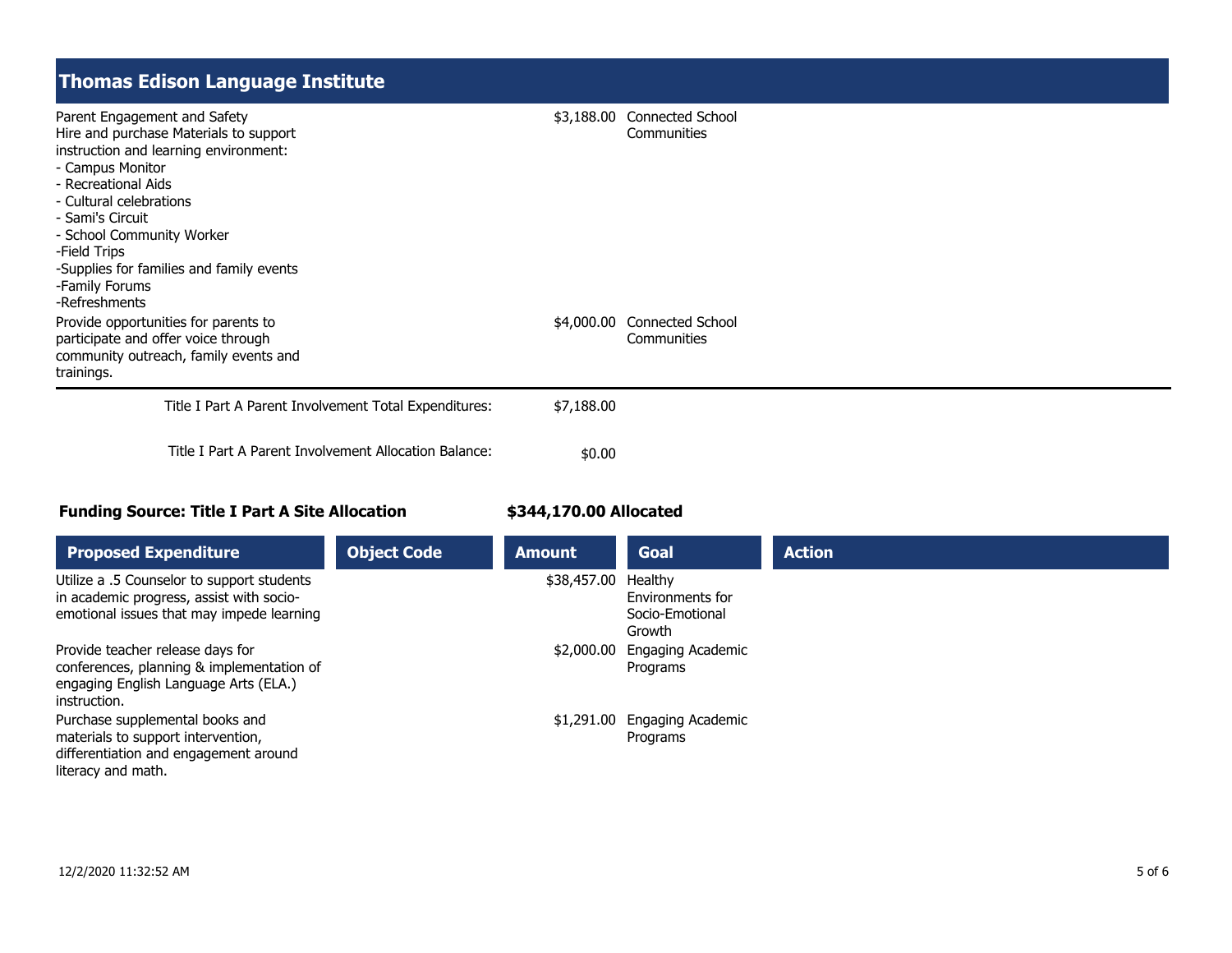### **Thomas Edison Language Institute**

| Parent Engagement and Safety<br>- Campus Monitor<br>- Recreational Aids<br>- Cultural celebrations<br>- Sami's Circuit<br>- School Community Worker<br>-Field Trips<br>-Family Forums<br>-Refreshments | Hire and purchase Materials to support<br>instruction and learning environment:<br>-Supplies for families and family events |            | \$3,188.00 Connected School<br><b>Communities</b> |
|--------------------------------------------------------------------------------------------------------------------------------------------------------------------------------------------------------|-----------------------------------------------------------------------------------------------------------------------------|------------|---------------------------------------------------|
| Provide opportunities for parents to<br>participate and offer voice through<br>trainings.                                                                                                              | community outreach, family events and                                                                                       |            | \$4,000.00 Connected School<br>Communities        |
|                                                                                                                                                                                                        | Title I Part A Parent Involvement Total Expenditures:                                                                       | \$7,188.00 |                                                   |
|                                                                                                                                                                                                        | Title I Part A Parent Involvement Allocation Balance:                                                                       | \$0.00     |                                                   |

#### **Funding Source: Title I Part A Site Allocation**

#### **\$344,170.00 Allocated**

| <b>Proposed Expenditure</b>                                                                                                            | <b>Object Code</b> | <b>Amount</b> | <b>Goal</b>                                              | <b>Action</b> |
|----------------------------------------------------------------------------------------------------------------------------------------|--------------------|---------------|----------------------------------------------------------|---------------|
| Utilize a .5 Counselor to support students<br>in academic progress, assist with socio-<br>emotional issues that may impede learning    |                    | \$38,457.00   | Healthy<br>Environments for<br>Socio-Emotional<br>Growth |               |
| Provide teacher release days for<br>conferences, planning & implementation of<br>engaging English Language Arts (ELA.)<br>instruction. |                    | \$2,000.00    | Engaging Academic<br>Programs                            |               |
| Purchase supplemental books and<br>materials to support intervention,<br>differentiation and engagement around<br>literacy and math.   |                    | \$1,291.00    | Engaging Academic<br>Programs                            |               |